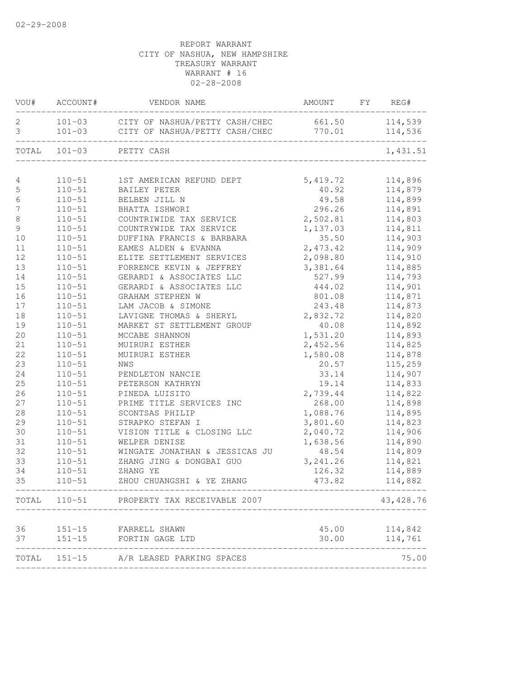|                     |                          | VOU# ACCOUNT# VENDOR NAME                                                                                    | AMOUNT FY REG# |                    |
|---------------------|--------------------------|--------------------------------------------------------------------------------------------------------------|----------------|--------------------|
| 2<br>$\mathfrak{Z}$ |                          | 101-03 CITY OF NASHUA/PETTY CASH/CHEC 661.50 114,539<br>101-03 CITY OF NASHUA/PETTY CASH/CHEC 770.01 114,536 |                |                    |
|                     |                          |                                                                                                              |                |                    |
|                     |                          | TOTAL 101-03 PETTY CASH                                                                                      |                | 1,431.51           |
|                     |                          |                                                                                                              |                |                    |
| 4<br>$\mathbb S$    | $110 - 51$               | 110-51 1ST AMERICAN REFUND DEPT 5,419.72<br>BAILEY PETER                                                     |                | 114,896            |
| $\epsilon$          |                          | BELBEN JILL N                                                                                                | 40.92<br>49.58 | 114,879<br>114,899 |
| $\boldsymbol{7}$    | $110 - 51$<br>$110 - 51$ | BHATTA ISHWORI                                                                                               | 296.26         | 114,891            |
| $\,8\,$             | $110 - 51$               | COUNTRIWIDE TAX SERVICE                                                                                      | 2,502.81       | 114,803            |
| $\overline{9}$      | $110 - 51$               | COUNTRYWIDE TAX SERVICE                                                                                      | 1,137.03       | 114,811            |
| 10                  | $110 - 51$               | DUFFINA FRANCIS & BARBARA                                                                                    | 35.50          | 114,903            |
| 11                  | $110 - 51$               | EAMES ALDEN & EVANNA                                                                                         | 2,473.42       | 114,909            |
| 12                  | $110 - 51$               | ELITE SETTLEMENT SERVICES                                                                                    | 2,098.80       | 114,910            |
| 13                  | $110 - 51$               | FORRENCE KEVIN & JEFFREY                                                                                     | 3,381.64       | 114,885            |
| 14                  | $110 - 51$               | GERARDI & ASSOCIATES LLC                                                                                     | 527.99         | 114,793            |
| 15                  | $110 - 51$               | GERARDI & ASSOCIATES LLC                                                                                     | 444.02         | 114,901            |
| 16                  | $110 - 51$               | GRAHAM STEPHEN W                                                                                             | 801.08         | 114,871            |
| 17                  | $110 - 51$               | LAM JACOB & SIMONE                                                                                           | 243.48         | 114,873            |
| 18                  | $110 - 51$               | LAVIGNE THOMAS & SHERYL                                                                                      | 2,832.72       | 114,820            |
| 19                  | $110 - 51$               | MARKET ST SETTLEMENT GROUP                                                                                   | 40.08          | 114,892            |
| 20                  | $110 - 51$               | MCCABE SHANNON                                                                                               | 1,531.20       | 114,893            |
| 21                  | $110 - 51$               | MUIRURI ESTHER                                                                                               | 2,452.56       | 114,825            |
| 22                  | $110 - 51$               | MUIRURI ESTHER                                                                                               | 1,580.08       | 114,878            |
| 23                  | $110 - 51$               | NWS                                                                                                          | 20.57          | 115,259            |
| 24                  | $110 - 51$               | PENDLETON NANCIE                                                                                             | 33.14          | 114,907            |
| 25                  | $110 - 51$               | PETERSON KATHRYN                                                                                             | 19.14          | 114,833            |
| 26                  | $110 - 51$               | PINEDA LUISITO                                                                                               | 2,739.44       | 114,822            |
| 27                  | $110 - 51$               | PRIME TITLE SERVICES INC                                                                                     | 268.00         | 114,898            |
| 28                  | $110 - 51$               | SCONTSAS PHILIP                                                                                              | 1,088.76       | 114,895            |
| 29                  | $110 - 51$               | STRAPKO STEFAN I                                                                                             | 3,801.60       | 114,823            |
| 30                  | $110 - 51$               | VISION TITLE & CLOSING LLC                                                                                   | 2,040.72       | 114,906            |
| 31                  | $110 - 51$               | WELPER DENISE                                                                                                | 1,638.56       | 114,890            |
| 32                  | $110 - 51$               | WINGATE JONATHAN & JESSICAS JU                                                                               | 48.54          | 114,809            |
| 33                  | $110 - 51$               | ZHANG JING & DONGBAI GUO                                                                                     | 3, 241.26      | 114,821            |
| 34                  | $110 - 51$               | ZHANG YE                                                                                                     | 126.32         | 114,889            |
| 35                  | $110 - 51$               | ZHOU CHUANGSHI & YE ZHANG                                                                                    | 473.82         | 114,882            |
|                     |                          | TOTAL 110-51 PROPERTY TAX RECEIVABLE 2007                                                                    |                | 43,428.76          |
| 36                  |                          | 151-15 FARRELL SHAWN                                                                                         |                | 45.00 114,842      |
|                     |                          | 37 151-15 FORTIN GAGE LTD                                                                                    | 30.00          | 114,761            |
|                     |                          | TOTAL 151-15 A/R LEASED PARKING SPACES                                                                       |                | ---------<br>75.00 |
|                     |                          |                                                                                                              |                |                    |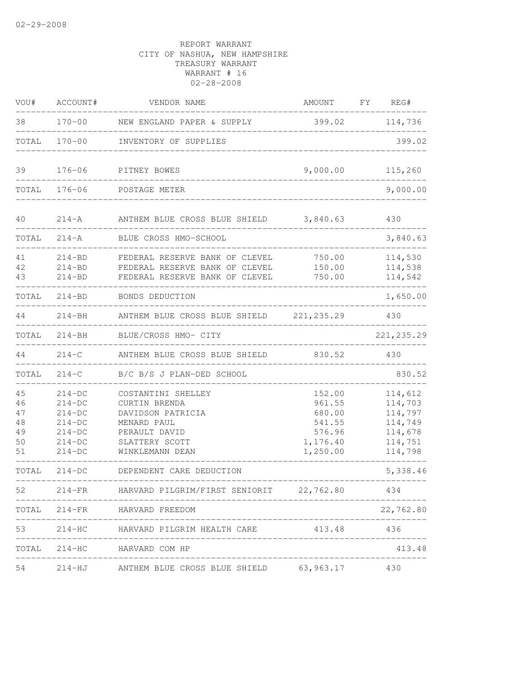| VOU#                                   | ACCOUNT#                                                                         | VENDOR NAME                                                                                                                   | AMOUNT FY REG#                                                         |                                                                           |
|----------------------------------------|----------------------------------------------------------------------------------|-------------------------------------------------------------------------------------------------------------------------------|------------------------------------------------------------------------|---------------------------------------------------------------------------|
| 38                                     |                                                                                  | 170-00 NEW ENGLAND PAPER & SUPPLY                                                                                             | 399.02 114,736                                                         |                                                                           |
| TOTAL                                  |                                                                                  | 170-00 INVENTORY OF SUPPLIES                                                                                                  |                                                                        | 399.02                                                                    |
| 39                                     | $176 - 06$                                                                       | PITNEY BOWES                                                                                                                  | 9,000.00                                                               | 115,260                                                                   |
| TOTAL                                  | $176 - 06$                                                                       | POSTAGE METER                                                                                                                 |                                                                        | 9,000.00                                                                  |
| 40                                     |                                                                                  | 214-A ANTHEM BLUE CROSS BLUE SHIELD                                                                                           | 3,840.63                                                               | 430                                                                       |
| TOTAL                                  | $214 - A$                                                                        | BLUE CROSS HMO-SCHOOL                                                                                                         |                                                                        | 3,840.63                                                                  |
| 41<br>42<br>43                         | $214 - BD$<br>$214 - BD$<br>$214 - BD$                                           | FEDERAL RESERVE BANK OF CLEVEL<br>FEDERAL RESERVE BANK OF CLEVEL<br>FEDERAL RESERVE BANK OF CLEVEL                            | 750.00<br>150.00<br>750.00                                             | 114,530<br>114,538<br>114,542                                             |
|                                        | TOTAL 214-BD                                                                     | BONDS DEDUCTION                                                                                                               |                                                                        | 1,650.00                                                                  |
|                                        |                                                                                  | 214-BH ANTHEM BLUE CROSS BLUE SHIELD 221, 235.29                                                                              |                                                                        | 430                                                                       |
| TOTAL                                  |                                                                                  | 214-BH BLUE/CROSS HMO- CITY                                                                                                   |                                                                        | 221, 235.29                                                               |
| 44                                     |                                                                                  | 214-C ANTHEM BLUE CROSS BLUE SHIELD                                                                                           | 830.52                                                                 | 430                                                                       |
| TOTAL                                  | $214-C$                                                                          | B/C B/S J PLAN-DED SCHOOL                                                                                                     |                                                                        | 830.52                                                                    |
| 45<br>46<br>47<br>48<br>49<br>50<br>51 | $214-DC$<br>$214-DC$<br>$214-DC$<br>$214-DC$<br>$214-DC$<br>$214-DC$<br>$214-DC$ | COSTANTINI SHELLEY<br>CURTIN BRENDA<br>DAVIDSON PATRICIA<br>MENARD PAUL<br>PERAULT DAVID<br>SLATTERY SCOTT<br>WINKLEMANN DEAN | 152.00<br>961.55<br>680.00<br>541.55<br>576.96<br>1,176.40<br>1,250.00 | 114,612<br>114,703<br>114,797<br>114,749<br>114,678<br>114,751<br>114,798 |
| TOTAL                                  | $214-DC$                                                                         | DEPENDENT CARE DEDUCTION                                                                                                      |                                                                        | 5,338.46                                                                  |
| 52                                     |                                                                                  | 214-FR HARVARD PILGRIM/FIRST SENIORIT 22,762.80                                                                               |                                                                        | 434                                                                       |
|                                        |                                                                                  | TOTAL 214-FR HARVARD FREEDOM                                                                                                  |                                                                        | 22,762.80                                                                 |
| 53                                     |                                                                                  | 214-HC HARVARD PILGRIM HEALTH CARE 413.48                                                                                     |                                                                        | 436                                                                       |
|                                        |                                                                                  | TOTAL 214-HC HARVARD COM HP                                                                                                   |                                                                        | 413.48                                                                    |
| 54                                     |                                                                                  | 214-HJ ANTHEM BLUE CROSS BLUE SHIELD 63,963.17                                                                                |                                                                        | 430                                                                       |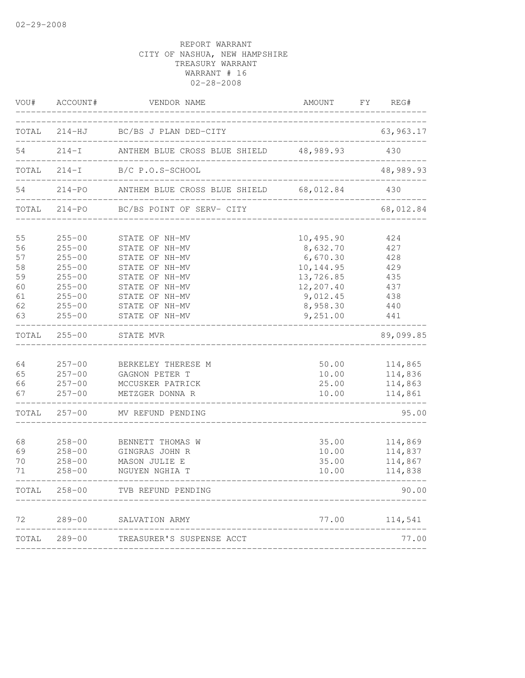|                                                    | VOU# ACCOUNT#                                                                                                              | VENDOR NAME                                                                                                                                                    | AMOUNT FY REG#<br>_________                                                                                   |                                                             |
|----------------------------------------------------|----------------------------------------------------------------------------------------------------------------------------|----------------------------------------------------------------------------------------------------------------------------------------------------------------|---------------------------------------------------------------------------------------------------------------|-------------------------------------------------------------|
|                                                    |                                                                                                                            | TOTAL 214-HJ BC/BS J PLAN DED-CITY                                                                                                                             |                                                                                                               | 63,963.17                                                   |
| 54                                                 |                                                                                                                            | 214-I ANTHEM BLUE CROSS BLUE SHIELD 48,989.93                                                                                                                  |                                                                                                               | 430                                                         |
|                                                    |                                                                                                                            | TOTAL 214-I B/C P.O.S-SCHOOL                                                                                                                                   |                                                                                                               | 48,989.93                                                   |
| 54                                                 |                                                                                                                            | 214-PO ANTHEM BLUE CROSS BLUE SHIELD 68,012.84                                                                                                                 |                                                                                                               | 430                                                         |
| TOTAL                                              | $214 - PO$                                                                                                                 | BC/BS POINT OF SERV- CITY                                                                                                                                      |                                                                                                               | 68,012.84                                                   |
| 55<br>56<br>57<br>58<br>59<br>60<br>61<br>62<br>63 | $255 - 00$<br>$255 - 00$<br>$255 - 00$<br>$255 - 00$<br>$255 - 00$<br>$255 - 00$<br>$255 - 00$<br>$255 - 00$<br>$255 - 00$ | STATE OF NH-MV<br>STATE OF NH-MV<br>STATE OF NH-MV<br>STATE OF NH-MV<br>STATE OF NH-MV<br>STATE OF NH-MV<br>STATE OF NH-MV<br>STATE OF NH-MV<br>STATE OF NH-MV | 10,495.90<br>8,632.70<br>6,670.30<br>10, 144.95<br>13,726.85<br>12,207.40<br>9,012.45<br>8,958.30<br>9,251.00 | 424<br>427<br>428<br>429<br>435<br>437<br>438<br>440<br>441 |
| TOTAL                                              |                                                                                                                            | 255-00 STATE MVR                                                                                                                                               |                                                                                                               | 89,099.85                                                   |
| 64<br>65<br>66<br>67                               | $257 - 00$<br>$257 - 00$<br>$257 - 00$<br>$257 - 00$                                                                       | BERKELEY THERESE M<br>GAGNON PETER T<br>MCCUSKER PATRICK<br>METZGER DONNA R                                                                                    | 50.00<br>10.00<br>25.00<br>10.00                                                                              | 114,865<br>114,836<br>114,863<br>114,861                    |
| TOTAL                                              |                                                                                                                            | 257-00 MV REFUND PENDING                                                                                                                                       |                                                                                                               | 95.00                                                       |
| 68<br>69<br>70<br>71                               | $258 - 00$<br>$258 - 00$<br>$258 - 00$<br>$258 - 00$                                                                       | BENNETT THOMAS W<br>GINGRAS JOHN R<br>MASON JULIE E<br>NGUYEN NGHIA T                                                                                          | 35.00<br>10.00<br>35.00<br>10.00                                                                              | 114,869<br>114,837<br>114,867<br>114,838                    |
|                                                    |                                                                                                                            | TOTAL 258-00 TVB REFUND PENDING                                                                                                                                |                                                                                                               | 90.00                                                       |
| 72                                                 |                                                                                                                            | 289-00 SALVATION ARMY                                                                                                                                          | 77.00                                                                                                         | 114,541                                                     |
|                                                    | TOTAL 289-00                                                                                                               | TREASURER'S SUSPENSE ACCT                                                                                                                                      |                                                                                                               | 77.00                                                       |
|                                                    |                                                                                                                            |                                                                                                                                                                |                                                                                                               |                                                             |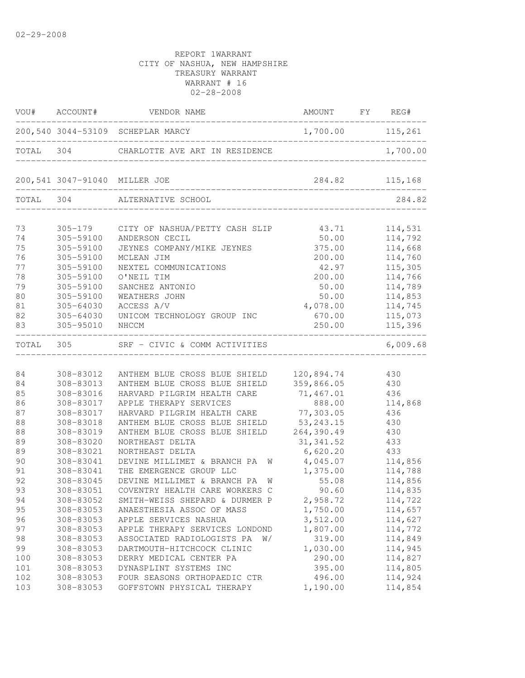|       |             | VOU# ACCOUNT# VENDOR NAME                         | AMOUNT FY REG#           |                |
|-------|-------------|---------------------------------------------------|--------------------------|----------------|
|       |             | 200,540 3044-53109 SCHEPLAR MARCY                 | 1,700.00 115,261         | التابيبات      |
|       |             | TOTAL 304 CHARLOTTE AVE ART IN RESIDENCE 1,700.00 |                          |                |
|       |             | 200,541 3047-91040 MILLER JOE                     |                          | 284.82 115,168 |
|       |             | TOTAL 304 ALTERNATIVE SCHOOL                      | ________________________ | 284.82         |
| 73    | $305 - 179$ | CITY OF NASHUA/PETTY CASH SLIP                    | 43.71                    | 114,531        |
| 74    | 305-59100   | ANDERSON CECIL                                    | 50.00                    | 114,792        |
| 75    | 305-59100   | JEYNES COMPANY/MIKE JEYNES                        | 375.00                   | 114,668        |
| 76    | 305-59100   | MCLEAN JIM                                        | 200.00                   | 114,760        |
| 77    | 305-59100   | NEXTEL COMMUNICATIONS                             | 42.97                    | 115,305        |
| 78    | 305-59100   | O'NEIL TIM                                        | 200.00                   | 114,766        |
| 79    | 305-59100   | SANCHEZ ANTONIO                                   | 50.00                    | 114,789        |
| 80    | 305-59100   | WEATHERS JOHN                                     | 50.00                    | 114,853        |
| 81    | 305-64030   | ACCESS A/V                                        | 4,078.00                 | 114,745        |
| 82    | 305-64030   | UNICOM TECHNOLOGY GROUP INC                       | 670.00                   | 115,073        |
| 83    | 305-95010   | NHCCM                                             | 250.00                   | 115,396        |
| TOTAL | 305         | SRF - CIVIC & COMM ACTIVITIES                     |                          | 6,009.68       |
|       |             |                                                   |                          |                |
| 84    | 308-83012   | ANTHEM BLUE CROSS BLUE SHIELD                     | 120,894.74               | 430            |
| 84    | 308-83013   | ANTHEM BLUE CROSS BLUE SHIELD                     | 359,866.05               | 430            |
| 85    | 308-83016   | HARVARD PILGRIM HEALTH CARE                       | 71,467.01                | 436            |
| 86    | 308-83017   | APPLE THERAPY SERVICES                            | 888.00                   | 114,868        |
| 87    | 308-83017   | HARVARD PILGRIM HEALTH CARE                       | 77,303.05                | 436            |
| 88    | 308-83018   | ANTHEM BLUE CROSS BLUE SHIELD                     | 53, 243.15               | 430            |
| 88    | 308-83019   | ANTHEM BLUE CROSS BLUE SHIELD                     | 264,390.49               | 430            |
| 89    | 308-83020   | NORTHEAST DELTA                                   | 31, 341.52               | 433            |
| 89    | 308-83021   | NORTHEAST DELTA                                   | 6,620.20                 | 433            |
| 90    | 308-83041   | DEVINE MILLIMET & BRANCH PA<br>W                  | 4,045.07                 | 114,856        |
| 91    | 308-83041   | THE EMERGENCE GROUP LLC                           | 1,375.00                 | 114,788        |
| 92    | 308-83045   | DEVINE MILLIMET & BRANCH PA<br>W                  | 55.08                    | 114,856        |
| 93    | 308-83051   | COVENTRY HEALTH CARE WORKERS C                    | 90.60                    | 114,835        |
| 94    | 308-83052   | SMITH-WEISS SHEPARD & DURMER P                    | 2,958.72                 | 114,722        |
| 95    | 308-83053   | ANAESTHESIA ASSOC OF MASS                         | 1,750.00                 | 114,657        |
| 96    | 308-83053   | APPLE SERVICES NASHUA                             | 3,512.00                 | 114,627        |
| 97    | 308-83053   | APPLE THERAPY SERVICES LONDOND                    | 1,807.00                 | 114,772        |
| 98    | 308-83053   | ASSOCIATED RADIOLOGISTS PA<br>W/                  | 319.00                   | 114,849        |
| 99    | 308-83053   | DARTMOUTH-HITCHCOCK CLINIC                        | 1,030.00                 | 114,945        |
| 100   | 308-83053   | DERRY MEDICAL CENTER PA                           | 290.00                   | 114,827        |
| 101   | 308-83053   | DYNASPLINT SYSTEMS INC                            | 395.00                   | 114,805        |
| 102   | 308-83053   | FOUR SEASONS ORTHOPAEDIC CTR                      | 496.00                   | 114,924        |
| 103   | 308-83053   | GOFFSTOWN PHYSICAL THERAPY                        | 1,190.00                 | 114,854        |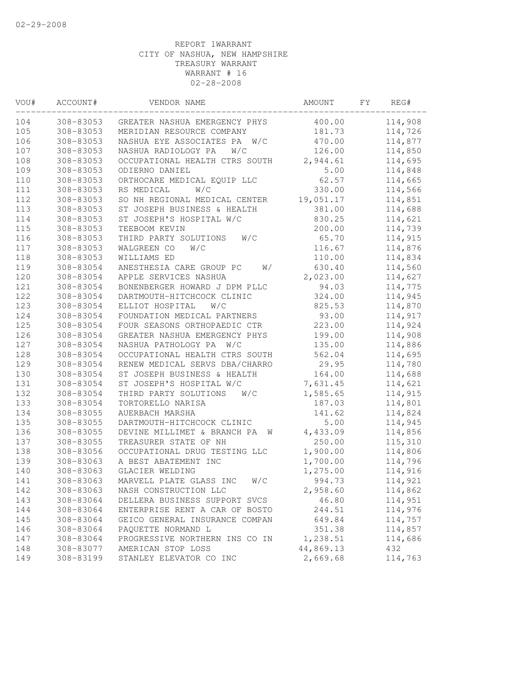| VOU# | ACCOUNT#  | VENDOR NAME                      | AMOUNT    | FΥ | REG#    |
|------|-----------|----------------------------------|-----------|----|---------|
| 104  | 308-83053 | GREATER NASHUA EMERGENCY PHYS    | 400.00    |    | 114,908 |
| 105  | 308-83053 | MERIDIAN RESOURCE COMPANY        | 181.73    |    | 114,726 |
| 106  | 308-83053 | W/C<br>NASHUA EYE ASSOCIATES PA  | 470.00    |    | 114,877 |
| 107  | 308-83053 | NASHUA RADIOLOGY PA<br>W/C       | 126.00    |    | 114,850 |
| 108  | 308-83053 | OCCUPATIONAL HEALTH CTRS SOUTH   | 2,944.61  |    | 114,695 |
| 109  | 308-83053 | ODIERNO DANIEL                   | 5.00      |    | 114,848 |
| 110  | 308-83053 | ORTHOCARE MEDICAL EQUIP LLC      | 62.57     |    | 114,665 |
| 111  | 308-83053 | W/C<br>RS MEDICAL                | 330.00    |    | 114,566 |
| 112  | 308-83053 | SO NH REGIONAL MEDICAL CENTER    | 19,051.17 |    | 114,851 |
| 113  | 308-83053 | ST JOSEPH BUSINESS & HEALTH      | 381.00    |    | 114,688 |
| 114  | 308-83053 | ST JOSEPH'S HOSPITAL W/C         | 830.25    |    | 114,621 |
| 115  | 308-83053 | TEEBOOM KEVIN                    | 200.00    |    | 114,739 |
| 116  | 308-83053 | THIRD PARTY SOLUTIONS<br>W/C     | 65.70     |    | 114,915 |
| 117  | 308-83053 | WALGREEN CO<br>W/C               | 116.67    |    | 114,876 |
| 118  | 308-83053 | WILLIAMS ED                      | 110.00    |    | 114,834 |
| 119  | 308-83054 | ANESTHESIA CARE GROUP PC<br>W/   | 630.40    |    | 114,560 |
| 120  | 308-83054 | APPLE SERVICES NASHUA            | 2,023.00  |    | 114,627 |
| 121  | 308-83054 | BONENBERGER HOWARD J DPM PLLC    | 94.03     |    | 114,775 |
| 122  | 308-83054 | DARTMOUTH-HITCHCOCK CLINIC       | 324.00    |    | 114,945 |
| 123  | 308-83054 | ELLIOT HOSPITAL<br>W/C           | 825.53    |    | 114,870 |
| 124  | 308-83054 | FOUNDATION MEDICAL PARTNERS      | 93.00     |    | 114,917 |
| 125  | 308-83054 | FOUR SEASONS ORTHOPAEDIC CTR     | 223.00    |    | 114,924 |
| 126  | 308-83054 | GREATER NASHUA EMERGENCY PHYS    | 199.00    |    | 114,908 |
| 127  | 308-83054 | NASHUA PATHOLOGY PA<br>W/C       | 135.00    |    | 114,886 |
| 128  | 308-83054 | OCCUPATIONAL HEALTH CTRS SOUTH   | 562.04    |    | 114,695 |
| 129  | 308-83054 | RENEW MEDICAL SERVS DBA/CHARRO   | 29.95     |    | 114,780 |
| 130  | 308-83054 | ST JOSEPH BUSINESS & HEALTH      | 164.00    |    | 114,688 |
| 131  | 308-83054 | ST JOSEPH'S HOSPITAL W/C         | 7,631.45  |    | 114,621 |
| 132  | 308-83054 | THIRD PARTY SOLUTIONS<br>W/C     | 1,585.65  |    | 114,915 |
| 133  | 308-83054 | TORTORELLO NARISA                | 187.03    |    | 114,801 |
| 134  | 308-83055 | AUERBACH MARSHA                  | 141.62    |    | 114,824 |
| 135  | 308-83055 | DARTMOUTH-HITCHCOCK CLINIC       | 5.00      |    | 114,945 |
| 136  | 308-83055 | DEVINE MILLIMET & BRANCH PA<br>W | 4,433.09  |    | 114,856 |
| 137  | 308-83055 | TREASURER STATE OF NH            | 250.00    |    | 115,310 |
| 138  | 308-83056 | OCCUPATIONAL DRUG TESTING LLC    | 1,900.00  |    | 114,806 |
| 139  | 308-83063 | A BEST ABATEMENT INC             | 1,700.00  |    | 114,796 |
| 140  | 308-83063 | GLACIER WELDING                  | 1,275.00  |    | 114,916 |
| 141  | 308-83063 | MARVELL PLATE GLASS INC<br>W/C   | 994.73    |    | 114,921 |
| 142  | 308-83063 | NASH CONSTRUCTION LLC            | 2,958.60  |    | 114,862 |
| 143  | 308-83064 | DELLERA BUSINESS SUPPORT SVCS    | 46.80     |    | 114,951 |
| 144  | 308-83064 | ENTERPRISE RENT A CAR OF BOSTO   | 244.51    |    | 114,976 |
| 145  | 308-83064 | GEICO GENERAL INSURANCE COMPAN   | 649.84    |    | 114,757 |
| 146  | 308-83064 | PAQUETTE NORMAND L               | 351.38    |    | 114,857 |
| 147  | 308-83064 | PROGRESSIVE NORTHERN INS CO IN   | 1,238.51  |    | 114,686 |
| 148  | 308-83077 | AMERICAN STOP LOSS               | 44,869.13 |    | 432     |
| 149  | 308-83199 | STANLEY ELEVATOR CO INC          | 2,669.68  |    | 114,763 |
|      |           |                                  |           |    |         |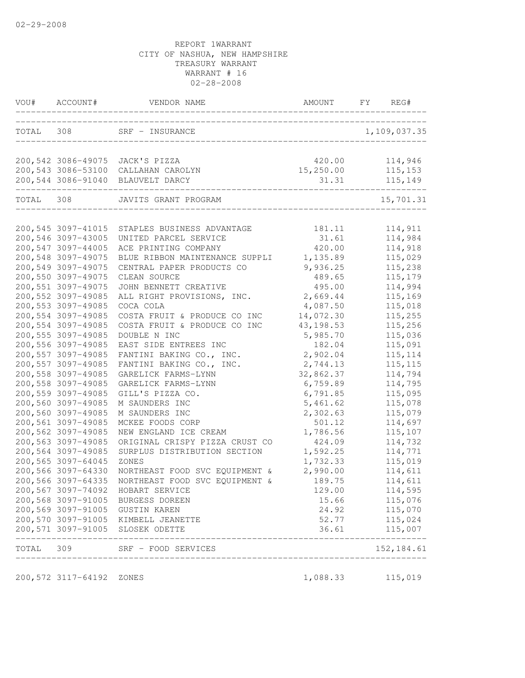|           | VOU# ACCOUNT#                             | VENDOR NAME                                                  | AMOUNT             | FY | REG#                   |
|-----------|-------------------------------------------|--------------------------------------------------------------|--------------------|----|------------------------|
|           | TOTAL 308                                 | SRF - INSURANCE<br>_____________________________             |                    |    | 1,109,037.35           |
|           |                                           |                                                              |                    |    |                        |
|           | 200,542 3086-49075                        | JACK'S PIZZA                                                 | 420.00             |    | 114,946                |
|           | 200,543 3086-53100                        | CALLAHAN CAROLYN                                             | 15, 250.00         |    | 115, 153               |
|           | 200,544 3086-91040                        | BLAUVELT DARCY                                               | 31.31              |    | 115,149                |
| TOTAL 308 |                                           | JAVITS GRANT PROGRAM                                         |                    |    | 15,701.31              |
|           |                                           |                                                              |                    |    |                        |
|           | 200, 545 3097-41015                       | STAPLES BUSINESS ADVANTAGE                                   | 181.11             |    | 114,911                |
|           | 200,546 3097-43005                        | UNITED PARCEL SERVICE                                        | 31.61              |    | 114,984                |
|           | 200,547 3097-44005                        | ACE PRINTING COMPANY                                         | 420.00             |    | 114,918                |
|           | 200,548 3097-49075                        | BLUE RIBBON MAINTENANCE SUPPLI                               | 1,135.89           |    | 115,029                |
|           | 200,549 3097-49075                        | CENTRAL PAPER PRODUCTS CO                                    | 9,936.25           |    | 115,238                |
|           | 200,550 3097-49075                        | CLEAN SOURCE                                                 | 489.65             |    | 115,179                |
|           | 200,551 3097-49075                        | JOHN BENNETT CREATIVE                                        | 495.00             |    | 114,994                |
|           | 200, 552 3097-49085                       | ALL RIGHT PROVISIONS, INC.                                   | 2,669.44           |    | 115,169                |
|           | 200,553 3097-49085                        | COCA COLA                                                    | 4,087.50           |    | 115,018                |
|           | 200,554 3097-49085                        | COSTA FRUIT & PRODUCE CO INC<br>COSTA FRUIT & PRODUCE CO INC | 14,072.30          |    | 115,255                |
|           | 200,554 3097-49085                        |                                                              | 43, 198.53         |    | 115,256                |
|           | 200, 555 3097-49085<br>200,556 3097-49085 | DOUBLE N INC<br>EAST SIDE ENTREES INC                        | 5,985.70<br>182.04 |    | 115,036                |
|           | 200,557 3097-49085                        | FANTINI BAKING CO., INC.                                     | 2,902.04           |    | 115,091                |
|           | 200,557 3097-49085                        | FANTINI BAKING CO., INC.                                     | 2,744.13           |    | 115, 114<br>115, 115   |
|           | 200,558 3097-49085                        | GARELICK FARMS-LYNN                                          | 32,862.37          |    | 114,794                |
|           | 200,558 3097-49085                        | GARELICK FARMS-LYNN                                          | 6,759.89           |    | 114,795                |
|           | 200,559 3097-49085                        | GILL'S PIZZA CO.                                             | 6,791.85           |    | 115,095                |
|           | 200,560 3097-49085                        | M SAUNDERS INC                                               | 5,461.62           |    | 115,078                |
|           | 200,560 3097-49085                        | M SAUNDERS INC                                               | 2,302.63           |    | 115,079                |
|           | 200,561 3097-49085                        | MCKEE FOODS CORP                                             | 501.12             |    | 114,697                |
|           | 200,562 3097-49085                        | NEW ENGLAND ICE CREAM                                        | 1,786.56           |    | 115,107                |
|           | 200,563 3097-49085                        | ORIGINAL CRISPY PIZZA CRUST CO                               | 424.09             |    | 114,732                |
|           | 200,564 3097-49085                        | SURPLUS DISTRIBUTION SECTION                                 | 1,592.25           |    | 114,771                |
|           | 200,565 3097-64045                        | ZONES                                                        | 1,732.33           |    | 115,019                |
|           | 200,566 3097-64330                        | NORTHEAST FOOD SVC EQUIPMENT &                               | 2,990.00           |    | 114,611                |
|           |                                           | 200,566 3097-64335 NORTHEAST FOOD SVC EQUIPMENT &            | 189.75             |    | 114,611                |
|           |                                           | 200,567 3097-74092 HOBART SERVICE                            | 129.00             |    | 114,595                |
|           |                                           | 200,568 3097-91005 BURGESS DOREEN                            | 15.66              |    | 115,076                |
|           |                                           | 200,569 3097-91005 GUSTIN KAREN                              | 24.92              |    | 115,070                |
|           |                                           | 200,570 3097-91005 KIMBELL JEANETTE                          | 52.77              |    | 115,024                |
|           |                                           | 200,571 3097-91005 SLOSEK ODETTE                             | 36.61              |    | 115,007                |
| TOTAL 309 |                                           | SRF - FOOD SERVICES<br>____________________________________  |                    |    | --------<br>152,184.61 |

200,572 3117-64192 ZONES 1,088.33 115,019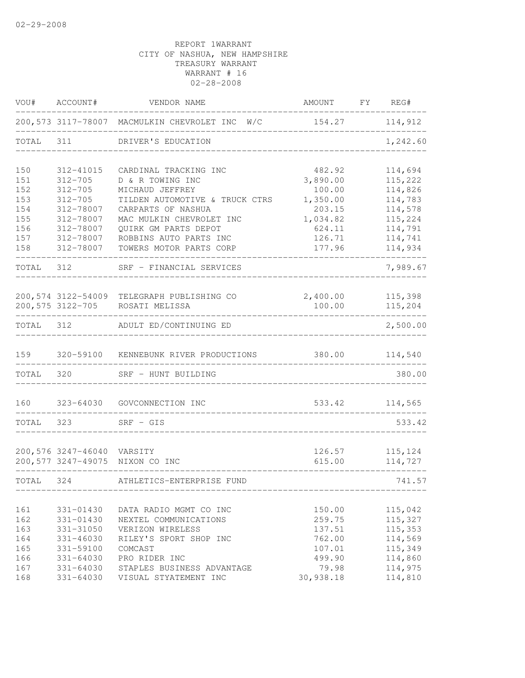| VOU#       | ACCOUNT#                   | VENDOR NAME                                       | AMOUNT           | FY | REG#               |
|------------|----------------------------|---------------------------------------------------|------------------|----|--------------------|
|            |                            | 200,573 3117-78007 MACMULKIN CHEVROLET INC W/C    | 154.27           |    | 114,912            |
| TOTAL      | 311                        | DRIVER'S EDUCATION                                |                  |    | 1,242.60           |
| 150        | 312-41015                  | CARDINAL TRACKING INC                             | 482.92           |    | 114,694            |
| 151        | $312 - 705$                | D & R TOWING INC                                  | 3,890.00         |    | 115,222            |
| 152        | $312 - 705$                | MICHAUD JEFFREY                                   | 100.00           |    | 114,826            |
| 153        | $312 - 705$                | TILDEN AUTOMOTIVE & TRUCK CTRS                    | 1,350.00         |    | 114,783            |
| 154        | 312-78007                  | CARPARTS OF NASHUA                                | 203.15           |    | 114,578            |
| 155        | 312-78007                  | MAC MULKIN CHEVROLET INC                          | 1,034.82         |    | 115,224            |
| 156        | 312-78007                  | QUIRK GM PARTS DEPOT                              | 624.11           |    | 114,791            |
| 157<br>158 | 312-78007<br>312-78007     | ROBBINS AUTO PARTS INC<br>TOWERS MOTOR PARTS CORP | 126.71<br>177.96 |    | 114,741<br>114,934 |
| TOTAL      | 312                        | SRF - FINANCIAL SERVICES                          |                  |    | 7,989.67           |
|            |                            |                                                   |                  |    |                    |
|            | 200,574 3122-54009         | TELEGRAPH PUBLISHING CO                           | 2,400.00         |    | 115,398            |
|            | 200,575 3122-705           | ROSATI MELISSA                                    | 100.00           |    | 115,204            |
| TOTAL      | 312                        | ADULT ED/CONTINUING ED                            |                  |    | 2,500.00           |
| 159        | 320-59100                  | KENNEBUNK RIVER PRODUCTIONS                       | 380.00           |    | 114,540            |
| TOTAL      | 320                        | SRF - HUNT BUILDING                               |                  |    | 380.00             |
| 160        | 323-64030                  | GOVCONNECTION INC                                 | 533.42           |    | 114,565            |
|            |                            |                                                   |                  |    |                    |
| TOTAL      | 323                        | $SRF - GIS$                                       |                  |    | 533.42             |
|            | 200,576 3247-46040 VARSITY |                                                   | 126.57           |    | 115,124            |
|            | 200,577 3247-49075         | NIXON CO INC                                      | 615.00           |    | 114,727            |
| TOTAL      | 324                        | ATHLETICS-ENTERPRISE FUND                         |                  |    | 741.57             |
|            |                            |                                                   |                  |    |                    |
| 161<br>162 | 331-01430<br>331-01430     | DATA RADIO MGMT CO INC<br>NEXTEL COMMUNICATIONS   | 150.00<br>259.75 |    | 115,042<br>115,327 |
| 163        | 331-31050                  | VERIZON WIRELESS                                  | 137.51           |    | 115,353            |
| 164        | $331 - 46030$              | RILEY'S SPORT SHOP INC                            | 762.00           |    | 114,569            |
| 165        | 331-59100                  | COMCAST                                           | 107.01           |    | 115,349            |
| 166        | $331 - 64030$              | PRO RIDER INC                                     | 499.90           |    | 114,860            |
| 167        | 331-64030                  | STAPLES BUSINESS ADVANTAGE                        | 79.98            |    | 114,975            |
| 168        | $331 - 64030$              | VISUAL STYATEMENT INC                             | 30,938.18        |    | 114,810            |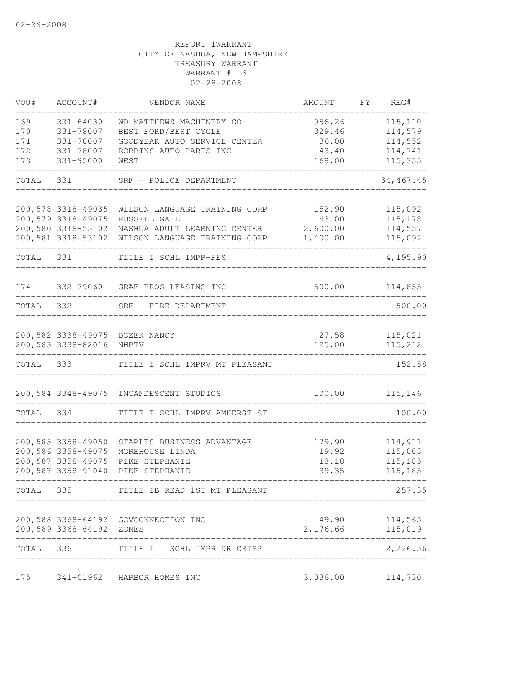| VOU#                            | ACCOUNT#                                                                             | VENDOR NAME                                                                                                                       | AMOUNT                                       | FΥ | REG#                                                 |
|---------------------------------|--------------------------------------------------------------------------------------|-----------------------------------------------------------------------------------------------------------------------------------|----------------------------------------------|----|------------------------------------------------------|
| 169<br>170<br>171<br>172<br>173 | $331 - 64030$<br>331-78007<br>331-78007<br>331-78007<br>$331 - 95000$                | WD MATTHEWS MACHINERY CO<br>BEST FORD/BEST CYCLE<br>GOODYEAR AUTO SERVICE CENTER<br>ROBBINS AUTO PARTS INC<br>WEST                | 956.26<br>329.46<br>36.00<br>43.40<br>168.00 |    | 115,110<br>114,579<br>114,552<br>114,741<br>115,355  |
| TOTAL                           | 331                                                                                  | SRF - POLICE DEPARTMENT                                                                                                           |                                              |    | 34, 467.45                                           |
|                                 | 200,578 3318-49035<br>200,579 3318-49075<br>200,580 3318-53102                       | WILSON LANGUAGE TRAINING CORP<br>RUSSELL GAIL<br>NASHUA ADULT LEARNING CENTER<br>200,581 3318-53102 WILSON LANGUAGE TRAINING CORP | 152.90<br>43.00<br>2,600.00<br>1,400.00      |    | 115,092<br>115,178<br>114,557<br>115,092             |
| TOTAL 331                       |                                                                                      | TITLE I SCHL IMPR-FES                                                                                                             |                                              |    | 4,195.90                                             |
| 174                             |                                                                                      | 332-79060 GRAF BROS LEASING INC                                                                                                   | 500.00                                       |    | 114,855                                              |
| TOTAL                           | 332                                                                                  | SRF - FIRE DEPARTMENT                                                                                                             |                                              |    | 500.00                                               |
|                                 | 200,583 3338-82016                                                                   | 200,582 3338-49075 BOZEK NANCY<br>NHPTV                                                                                           | 27.58<br>125.00                              |    | 115,021<br>115,212                                   |
| TOTAL 333                       |                                                                                      | TITLE I SCHL IMPRV MT PLEASANT                                                                                                    |                                              |    | 152.58                                               |
|                                 | 200,584 3348-49075                                                                   | INCANDESCENT STUDIOS                                                                                                              | 100.00                                       |    | 115,146                                              |
| TOTAL                           | 334                                                                                  | TITLE I SCHL IMPRV AMHERST ST                                                                                                     |                                              |    | 100.00                                               |
|                                 | 200,585 3358-49050<br>200,586 3358-49075<br>200,587 3358-49075<br>200,587 3358-91040 | STAPLES BUSINESS ADVANTAGE<br>MOREHOUSE LINDA<br>PIKE STEPHANIE<br>PIKE STEPHANIE                                                 | 179.90<br>19.92<br>18.18<br>39.35            |    | 114,911<br>115,003<br>115,185<br>115,185             |
| TOTAL 335                       |                                                                                      | TITLE IB READ 1ST MT PLEASANT                                                                                                     |                                              |    | 257.35                                               |
|                                 | 200,589 3368-64192 ZONES                                                             | 200,588 3368-64192 GOVCONNECTION INC<br>-----------<br>____________________________                                               |                                              |    | 49.90 114,565<br>2,176.66 115,019<br>--------------- |
| TOTAL 336                       |                                                                                      | TITLE I SCHL IMPR DR CRISP                                                                                                        | ____________________________                 |    | 2,226.56                                             |
| 175                             |                                                                                      | 341-01962 HARBOR HOMES INC                                                                                                        | 3,036.00                                     |    | 114,730                                              |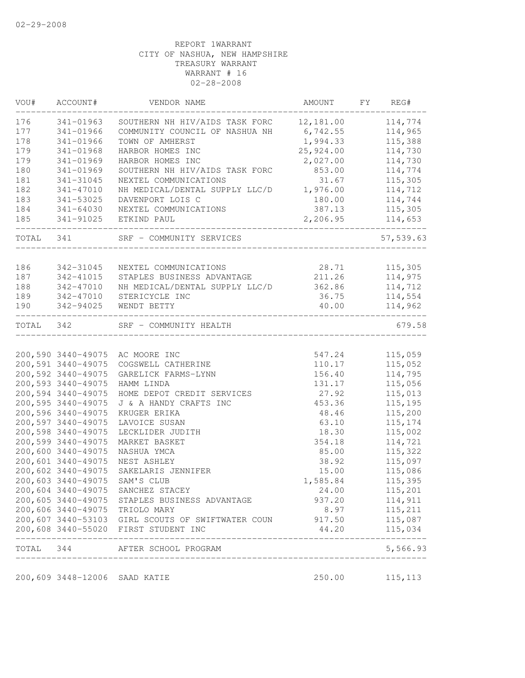| VOU#  | ACCOUNT#                      | VENDOR NAME                                                      | AMOUNT    | FY | REG#                                |
|-------|-------------------------------|------------------------------------------------------------------|-----------|----|-------------------------------------|
| 176   | 341-01963                     | SOUTHERN NH HIV/AIDS TASK FORC                                   | 12,181.00 |    | 114,774                             |
| 177   | 341-01966                     | COMMUNITY COUNCIL OF NASHUA NH                                   | 6,742.55  |    | 114,965                             |
| 178   | 341-01966                     | TOWN OF AMHERST                                                  | 1,994.33  |    | 115,388                             |
| 179   | 341-01968                     | HARBOR HOMES INC                                                 | 25,924.00 |    | 114,730                             |
| 179   | 341-01969                     | HARBOR HOMES INC                                                 | 2,027.00  |    | 114,730                             |
| 180   | 341-01969                     | SOUTHERN NH HIV/AIDS TASK FORC                                   | 853.00    |    | 114,774                             |
| 181   | 341-31045                     | NEXTEL COMMUNICATIONS                                            | 31.67     |    | 115,305                             |
| 182   | 341-47010                     | NH MEDICAL/DENTAL SUPPLY LLC/D                                   | 1,976.00  |    | 114,712                             |
| 183   | 341-53025                     | DAVENPORT LOIS C                                                 | 180.00    |    | 114,744                             |
| 184   | 341-64030                     | NEXTEL COMMUNICATIONS                                            | 387.13    |    | 115,305                             |
| 185   | 341-91025                     | ETKIND PAUL                                                      | 2,206.95  |    | 114,653                             |
| TOTAL | 341                           | SRF - COMMUNITY SERVICES                                         |           |    | 57,539.63                           |
| 186   | 342-31045                     | NEXTEL COMMUNICATIONS                                            | 28.71     |    | 115,305                             |
| 187   | 342-41015                     | STAPLES BUSINESS ADVANTAGE                                       | 211.26    |    | 114,975                             |
| 188   | 342-47010                     | NH MEDICAL/DENTAL SUPPLY LLC/D                                   | 362.86    |    | 114,712                             |
| 189   | 342-47010                     | STERICYCLE INC                                                   | 36.75     |    | 114,554                             |
| 190   | 342-94025                     | WENDT BETTY                                                      | 40.00     |    | 114,962                             |
| TOTAL | 342                           | SRF - COMMUNITY HEALTH                                           |           |    | 679.58                              |
|       |                               |                                                                  |           |    |                                     |
|       |                               | 200,590 3440-49075 AC MOORE INC                                  | 547.24    |    | 115,059                             |
|       | 200,591 3440-49075            | COGSWELL CATHERINE                                               | 110.17    |    | 115,052                             |
|       | 200,592 3440-49075            | GARELICK FARMS-LYNN                                              | 156.40    |    | 114,795                             |
|       | 200,593 3440-49075            | HAMM LINDA                                                       | 131.17    |    | 115,056                             |
|       | 200,594 3440-49075            | HOME DEPOT CREDIT SERVICES                                       | 27.92     |    | 115,013                             |
|       | 200,595 3440-49075            | J & A HANDY CRAFTS INC                                           | 453.36    |    | 115,195                             |
|       | 200,596 3440-49075            | KRUGER ERIKA                                                     | 48.46     |    | 115,200                             |
|       | 200,597 3440-49075            | LAVOICE SUSAN                                                    | 63.10     |    | 115, 174                            |
|       | 200,598 3440-49075            | LECKLIDER JUDITH                                                 | 18.30     |    | 115,002                             |
|       | 200,599 3440-49075            | MARKET BASKET                                                    | 354.18    |    | 114,721                             |
|       | 200,600 3440-49075            | NASHUA YMCA                                                      | 85.00     |    | 115,322                             |
|       | 200,601 3440-49075            | NEST ASHLEY                                                      | 38.92     |    | 115,097                             |
|       | 200,602 3440-49075            | SAKELARIS JENNIFER                                               | 15.00     |    | 115,086                             |
|       |                               | 200,603 3440-49075 SAM'S CLUB                                    | 1,585.84  |    | 115,395                             |
|       |                               | 200,604 3440-49075 SANCHEZ STACEY                                | 24.00     |    | 115,201                             |
|       |                               | 200,605 3440-49075 STAPLES BUSINESS ADVANTAGE                    | 937.20    |    | 114,911                             |
|       |                               | 200,606 3440-49075 TRIOLO MARY                                   | 8.97      |    | 115,211                             |
|       |                               | 200,607 3440-53103 GIRL SCOUTS OF SWIFTWATER COUN 917.50 115,087 |           |    |                                     |
|       |                               | 200,608 3440-55020 FIRST STUDENT INC                             |           |    | 44.20 115,034<br>__________________ |
|       | _________________             | TOTAL 344 AFTER SCHOOL PROGRAM                                   |           |    | 5,566.93                            |
|       | 200,609 3448-12006 SAAD KATIE |                                                                  |           |    | 250.00 115,113                      |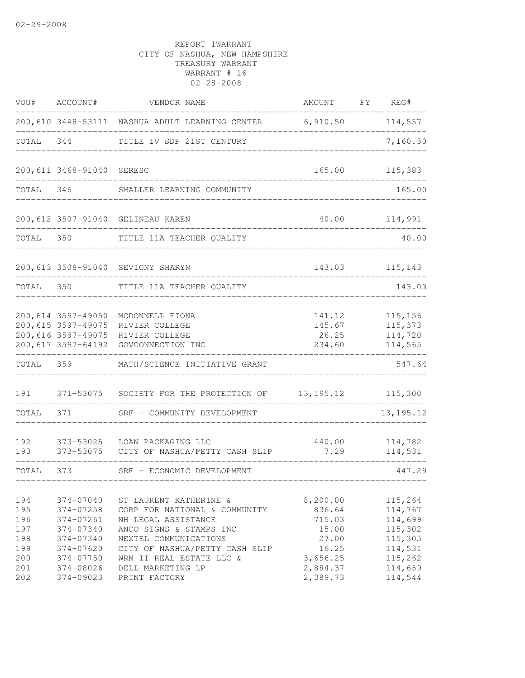|                                        | VOU# ACCOUNT#                                                                  | VENDOR NAME                                                                                                                                                          | AMOUNT FY REG#                                          |                                                                |
|----------------------------------------|--------------------------------------------------------------------------------|----------------------------------------------------------------------------------------------------------------------------------------------------------------------|---------------------------------------------------------|----------------------------------------------------------------|
|                                        |                                                                                | 200, 610 3448-53111 NASHUA ADULT LEARNING CENTER 6, 910.50 114, 557                                                                                                  |                                                         |                                                                |
| TOTAL 344                              |                                                                                | TITLE IV SDF 21ST CENTURY                                                                                                                                            | ---------------                                         | 7,160.50                                                       |
|                                        | 200,611 3468-91040 SERESC                                                      | ________________________                                                                                                                                             |                                                         | 165.00 115,383                                                 |
| TOTAL 346                              |                                                                                | SMALLER LEARNING COMMUNITY                                                                                                                                           |                                                         | 165.00                                                         |
|                                        |                                                                                | 200,612 3507-91040 GELINEAU KAREN                                                                                                                                    |                                                         | 40.00 114,991                                                  |
| TOTAL 350                              |                                                                                | TITLE 11A TEACHER QUALITY                                                                                                                                            |                                                         | 40.00                                                          |
|                                        |                                                                                | 200,613 3508-91040 SEVIGNY SHARYN                                                                                                                                    |                                                         | 143.03 115,143                                                 |
| TOTAL 350                              |                                                                                | TITLE 11A TEACHER QUALITY                                                                                                                                            |                                                         | 143.03                                                         |
|                                        | 200,615 3597-49075<br>200,617 3597-64192                                       | 200,614 3597-49050 MCDONNELL FIONA<br>RIVIER COLLEGE<br>200,616 3597-49075 RIVIER COLLEGE<br>GOVCONNECTION INC                                                       | 141.12<br>145.67<br>26.25<br>234.60                     | 115,156<br>115,373<br>114,720<br>114,565                       |
| TOTAL 359                              |                                                                                | MATH/SCIENCE INITIATIVE GRANT                                                                                                                                        |                                                         | 547.64                                                         |
| 191                                    |                                                                                | 371-53075 SOCIETY FOR THE PROTECTION OF 13, 195.12 115, 300                                                                                                          |                                                         |                                                                |
| TOTAL                                  | 371                                                                            | SRF - COMMUNITY DEVELOPMENT                                                                                                                                          |                                                         | 13, 195. 12                                                    |
| 192<br>193                             | 373-53025                                                                      | LOAN PACKAGING LLC<br>373-53075 CITY OF NASHUA/PETTY CASH SLIP                                                                                                       | 440.00<br>7.29                                          | 114,782<br>114,531                                             |
| TOTAL                                  | 373 — 100                                                                      | SRF - ECONOMIC DEVELOPMENT                                                                                                                                           | ------------------------------                          | 447.29                                                         |
| 194<br>195<br>196<br>197<br>198<br>199 | 374-07040<br>374-07258<br>374-07261<br>374-07340<br>$374 - 07340$<br>374-07620 | ST LAURENT KATHERINE &<br>CORP FOR NATIONAL & COMMUNITY<br>NH LEGAL ASSISTANCE<br>ANCO SIGNS & STAMPS INC<br>NEXTEL COMMUNICATIONS<br>CITY OF NASHUA/PETTY CASH SLIP | 8,200.00<br>836.64<br>715.03<br>15.00<br>27.00<br>16.25 | 115,264<br>114,767<br>114,699<br>115,302<br>115,305<br>114,531 |
| 200<br>201<br>202                      | 374-07750<br>374-08026<br>374-09023                                            | WRN II REAL ESTATE LLC &<br>DELL MARKETING LP<br>PRINT FACTORY                                                                                                       | 3,656.25<br>2,884.37<br>2,389.73                        | 115,262<br>114,659<br>114,544                                  |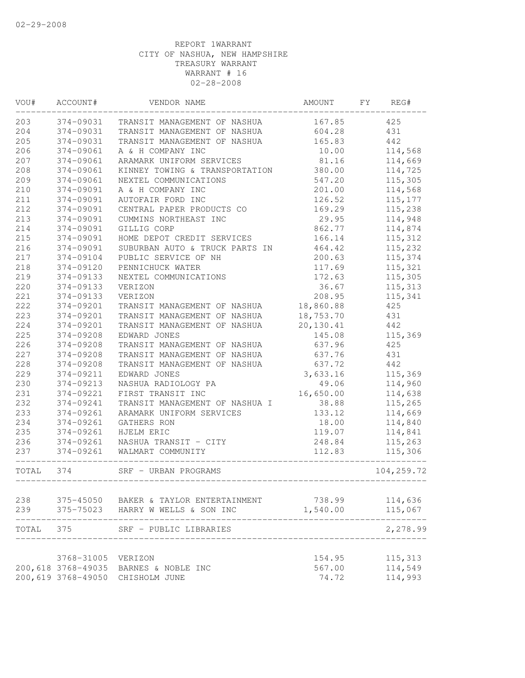| WOU#  | ACCOUNT#           | VENDOR NAME                                    | AMOUNT    | FY<br>REG# |
|-------|--------------------|------------------------------------------------|-----------|------------|
| 203   | 374-09031          | TRANSIT MANAGEMENT OF NASHUA                   | 167.85    | 425        |
| 204   | 374-09031          | TRANSIT MANAGEMENT OF NASHUA                   | 604.28    | 431        |
| 205   | 374-09031          | TRANSIT MANAGEMENT OF NASHUA                   | 165.83    | 442        |
| 206   | 374-09061          | A & H COMPANY INC                              | 10.00     | 114,568    |
| 207   | 374-09061          | ARAMARK UNIFORM SERVICES                       | 81.16     | 114,669    |
| 208   | 374-09061          | KINNEY TOWING & TRANSPORTATION                 | 380.00    | 114,725    |
| 209   | 374-09061          | NEXTEL COMMUNICATIONS                          | 547.20    | 115,305    |
| 210   | 374-09091          | A & H COMPANY INC                              | 201.00    | 114,568    |
| 211   | 374-09091          | AUTOFAIR FORD INC                              | 126.52    | 115, 177   |
| 212   | 374-09091          | CENTRAL PAPER PRODUCTS CO                      | 169.29    | 115,238    |
| 213   | 374-09091          | CUMMINS NORTHEAST INC                          | 29.95     | 114,948    |
| 214   | 374-09091          | GILLIG CORP                                    | 862.77    | 114,874    |
| 215   | 374-09091          | HOME DEPOT CREDIT SERVICES                     | 166.14    | 115,312    |
| 216   | 374-09091          | SUBURBAN AUTO & TRUCK PARTS IN                 | 464.42    | 115,232    |
| 217   | 374-09104          | PUBLIC SERVICE OF NH                           | 200.63    | 115,374    |
| 218   | 374-09120          | PENNICHUCK WATER                               | 117.69    | 115,321    |
| 219   | 374-09133          | NEXTEL COMMUNICATIONS                          | 172.63    | 115,305    |
| 220   | 374-09133          | VERIZON                                        | 36.67     | 115,313    |
| 221   | 374-09133          | VERIZON                                        | 208.95    | 115,341    |
| 222   | 374-09201          | TRANSIT MANAGEMENT OF NASHUA                   | 18,860.88 | 425        |
| 223   | 374-09201          | TRANSIT MANAGEMENT OF NASHUA                   | 18,753.70 | 431        |
| 224   | 374-09201          | TRANSIT MANAGEMENT OF NASHUA                   | 20,130.41 | 442        |
| 225   | 374-09208          | EDWARD JONES                                   | 145.08    | 115,369    |
| 226   | 374-09208          | TRANSIT MANAGEMENT OF NASHUA                   | 637.96    | 425        |
| 227   | 374-09208          | TRANSIT MANAGEMENT OF NASHUA                   | 637.76    | 431        |
| 228   | 374-09208          | TRANSIT MANAGEMENT OF NASHUA                   | 637.72    | 442        |
| 229   | 374-09211          | EDWARD JONES                                   | 3,633.16  | 115,369    |
| 230   | 374-09213          | NASHUA RADIOLOGY PA                            | 49.06     | 114,960    |
| 231   | 374-09221          | FIRST TRANSIT INC                              | 16,650.00 | 114,638    |
| 232   | 374-09241          | TRANSIT MANAGEMENT OF NASHUA I                 | 38.88     | 115,265    |
| 233   | 374-09261          | ARAMARK UNIFORM SERVICES                       | 133.12    | 114,669    |
| 234   | 374-09261          | GATHERS RON                                    | 18.00     | 114,840    |
| 235   | 374-09261          | HJELM ERIC                                     | 119.07    | 114,841    |
| 236   | 374-09261          | NASHUA TRANSIT - CITY                          | 248.84    | 115,263    |
| 237   | 374-09261          | WALMART COMMUNITY                              | 112.83    | 115,306    |
| TOTAL | 374                | SRF - URBAN PROGRAMS<br>---------------------- |           | 104,259.72 |
| 238   |                    | 375-45050 BAKER & TAYLOR ENTERTAINMENT         | 738.99    | 114,636    |
| 239   |                    | 375-75023 HARRY W WELLS & SON INC              | 1,540.00  | 115,067    |
| TOTAL | 375                | SRF - PUBLIC LIBRARIES                         |           | 2,278.99   |
|       |                    |                                                |           |            |
|       | 3768-31005         | VERIZON                                        | 154.95    | 115, 313   |
|       | 200,618 3768-49035 | BARNES & NOBLE INC                             | 567.00    | 114,549    |
|       | 200,619 3768-49050 | CHISHOLM JUNE                                  | 74.72     | 114,993    |
|       |                    |                                                |           |            |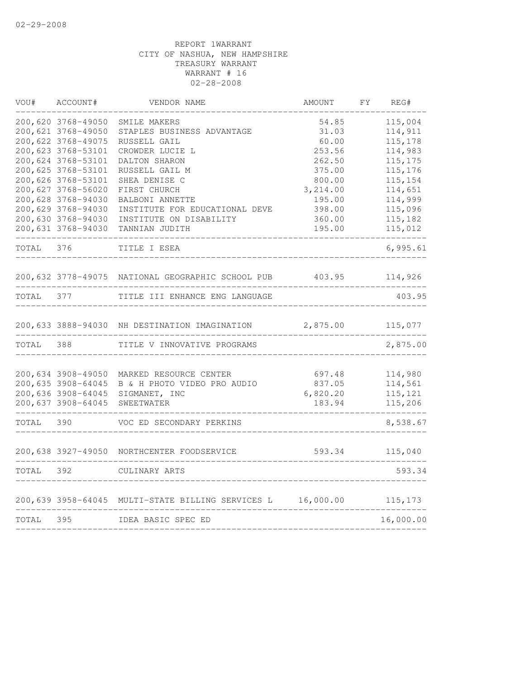| VOU#      | ACCOUNT#                                 | VENDOR NAME                                                        | AMOUNT             | FΥ | REG#               |
|-----------|------------------------------------------|--------------------------------------------------------------------|--------------------|----|--------------------|
|           | 200,620 3768-49050                       | SMILE MAKERS                                                       | 54.85              |    | 115,004            |
|           | 200,621 3768-49050                       | STAPLES BUSINESS ADVANTAGE                                         | 31.03              |    | 114,911            |
|           | 200,622 3768-49075                       | RUSSELL GAIL                                                       | 60.00              |    | 115,178            |
|           | 200,623 3768-53101                       | CROWDER LUCIE L                                                    | 253.56             |    | 114,983            |
|           | 200,624 3768-53101                       | DALTON SHARON                                                      | 262.50             |    | 115, 175           |
|           | 200,625 3768-53101                       | RUSSELL GAIL M                                                     | 375.00             |    | 115,176            |
|           | 200,626 3768-53101<br>200,627 3768-56020 | SHEA DENISE C                                                      | 800.00<br>3,214.00 |    | 115,154<br>114,651 |
|           | 200,628 3768-94030                       | FIRST CHURCH<br>BALBONI ANNETTE                                    | 195.00             |    | 114,999            |
|           | 200,629 3768-94030                       | INSTITUTE FOR EDUCATIONAL DEVE                                     | 398.00             |    | 115,096            |
|           | 200,630 3768-94030                       | INSTITUTE ON DISABILITY                                            | 360.00             |    | 115,182            |
|           | 200,631 3768-94030                       | TANNIAN JUDITH                                                     | 195.00             |    | 115,012            |
| TOTAL     | 376                                      | TITLE I ESEA                                                       |                    |    | 6,995.61           |
|           |                                          | 200, 632 3778-49075 NATIONAL GEOGRAPHIC SCHOOL PUB 403.95 114, 926 |                    |    |                    |
| TOTAL     | 377                                      | TITLE III ENHANCE ENG LANGUAGE                                     |                    |    | 403.95             |
|           |                                          | 200,633 3888-94030 NH DESTINATION IMAGINATION                      | 2,875.00           |    | 115,077            |
| TOTAL     | 388                                      | TITLE V INNOVATIVE PROGRAMS                                        |                    |    | 2,875.00           |
|           |                                          |                                                                    |                    |    |                    |
|           | 200,634 3908-49050                       | MARKED RESOURCE CENTER                                             | 697.48             |    | 114,980            |
|           | 200,635 3908-64045                       | B & H PHOTO VIDEO PRO AUDIO                                        | 837.05             |    | 114,561            |
|           | 200,636 3908-64045                       | SIGMANET, INC                                                      | 6,820.20           |    | 115,121            |
|           | 200,637 3908-64045                       | SWEETWATER                                                         | 183.94             |    | 115,206            |
| TOTAL 390 |                                          | VOC ED SECONDARY PERKINS                                           |                    |    | 8,538.67           |
|           |                                          | 200,638 3927-49050 NORTHCENTER FOODSERVICE                         |                    |    | 593.34 115,040     |
|           |                                          |                                                                    |                    |    |                    |
| TOTAL     | 392                                      | CULINARY ARTS                                                      |                    |    | 593.34             |
|           |                                          | 200,639 3958-64045 MULTI-STATE BILLING SERVICES L                  | 16,000.00 115,173  |    |                    |
| TOTAL 395 |                                          | IDEA BASIC SPEC ED                                                 |                    |    | 16,000.00          |
|           |                                          |                                                                    |                    |    |                    |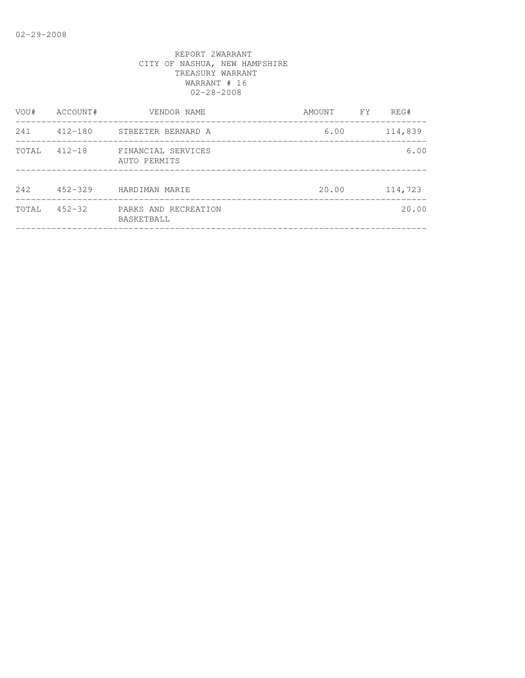| VOU#  | ACCOUNT#    | VENDOR NAME                        | AMOUNT | <b>FY</b> | REG#    |
|-------|-------------|------------------------------------|--------|-----------|---------|
| 241   | $412 - 180$ | STREETER BERNARD A                 | 6.00   |           | 114,839 |
| TOTAL | $412 - 18$  | FINANCIAL SERVICES<br>AUTO PERMITS |        |           | 6.00    |
| 242   | $452 - 329$ | HARDIMAN MARIE                     | 20.00  |           | 114,723 |
| TOTAL | $452 - 32$  | PARKS AND RECREATION<br>BASKETBALL |        |           | 20.00   |
|       |             |                                    |        |           |         |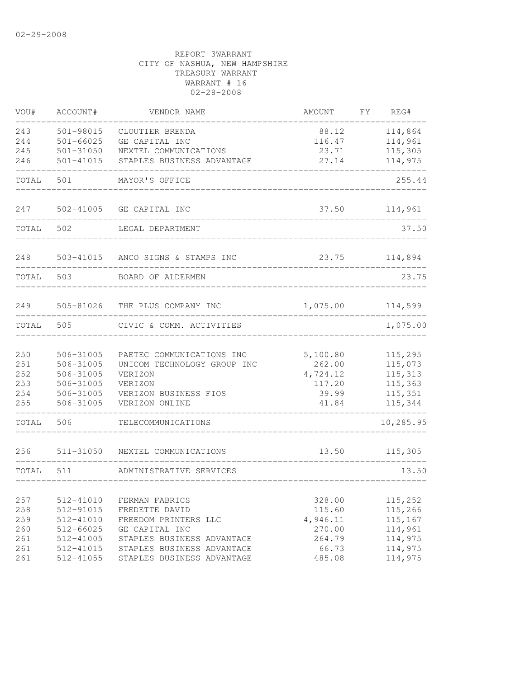| VOU#  | ACCOUNT#      | VENDOR NAME                    | AMOUNT   | FY | REG#      |
|-------|---------------|--------------------------------|----------|----|-----------|
| 243   | $501 - 98015$ | CLOUTIER BRENDA                | 88.12    |    | 114,864   |
| 244   | $501 - 66025$ | GE CAPITAL INC                 | 116.47   |    | 114,961   |
| 245   | $501 - 31050$ | NEXTEL COMMUNICATIONS          | 23.71    |    | 115,305   |
| 246   | $501 - 41015$ | STAPLES BUSINESS ADVANTAGE     | 27.14    |    | 114,975   |
| TOTAL | 501           | MAYOR'S OFFICE                 |          |    | 255.44    |
| 247   | 502-41005     | GE CAPITAL INC                 | 37.50    |    | 114,961   |
| TOTAL | 502           | LEGAL DEPARTMENT               |          |    | 37.50     |
| 248   | 503-41015     | ANCO SIGNS & STAMPS INC        | 23.75    |    | 114,894   |
| TOTAL | 503           | BOARD OF ALDERMEN              |          |    | 23.75     |
| 249   |               | 505-81026 THE PLUS COMPANY INC | 1,075.00 |    | 114,599   |
| TOTAL | 505           | CIVIC & COMM. ACTIVITIES       |          |    | 1,075.00  |
| 250   | 506-31005     | PAETEC COMMUNICATIONS INC      | 5,100.80 |    | 115,295   |
| 251   | 506-31005     | UNICOM TECHNOLOGY GROUP INC    | 262.00   |    | 115,073   |
| 252   | 506-31005     | VERIZON                        | 4,724.12 |    | 115,313   |
| 253   | 506-31005     | VERIZON                        | 117.20   |    | 115,363   |
| 254   | 506-31005     | VERIZON BUSINESS FIOS          | 39.99    |    | 115,351   |
| 255   | 506-31005     | VERIZON ONLINE                 | 41.84    |    | 115,344   |
| TOTAL | 506           | TELECOMMUNICATIONS             |          |    | 10,285.95 |
| 256   | 511-31050     | NEXTEL COMMUNICATIONS          | 13.50    |    | 115,305   |
| TOTAL | 511           | ADMINISTRATIVE SERVICES        |          |    | 13.50     |
|       |               |                                |          |    |           |
| 257   | 512-41010     | FERMAN FABRICS                 | 328.00   |    | 115,252   |
| 258   | 512-91015     | FREDETTE DAVID                 | 115.60   |    | 115,266   |
| 259   | 512-41010     | FREEDOM PRINTERS LLC           | 4,946.11 |    | 115,167   |
| 260   | 512-66025     | GE CAPITAL INC                 | 270.00   |    | 114,961   |
| 261   | 512-41005     | STAPLES BUSINESS ADVANTAGE     | 264.79   |    | 114,975   |
| 261   | 512-41015     | STAPLES BUSINESS ADVANTAGE     | 66.73    |    | 114,975   |
| 261   | 512-41055     | STAPLES BUSINESS ADVANTAGE     | 485.08   |    | 114,975   |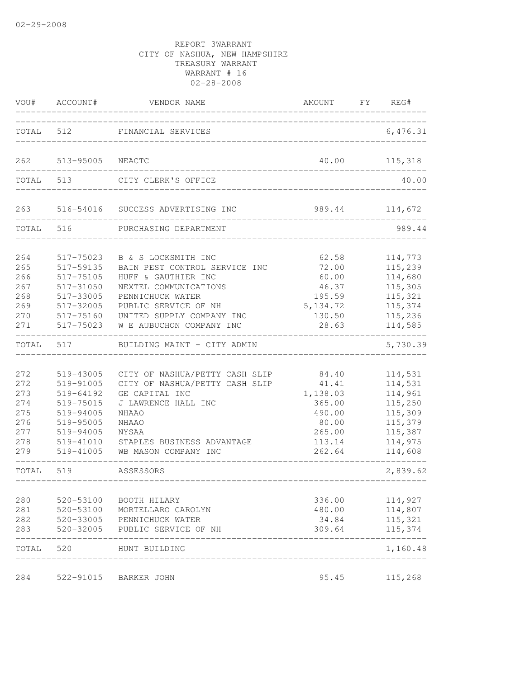|                                                             | VOU# ACCOUNT#                                                                                                     | VENDOR NAME                                                                                                                                                                                               | AMOUNT FY REG#                                                                        |                                                                                                 |
|-------------------------------------------------------------|-------------------------------------------------------------------------------------------------------------------|-----------------------------------------------------------------------------------------------------------------------------------------------------------------------------------------------------------|---------------------------------------------------------------------------------------|-------------------------------------------------------------------------------------------------|
|                                                             |                                                                                                                   | TOTAL 512 FINANCIAL SERVICES                                                                                                                                                                              | _________________________                                                             | 6,476.31                                                                                        |
| 262                                                         | 513-95005                                                                                                         | NEACTC                                                                                                                                                                                                    | 40.00                                                                                 | 115,318                                                                                         |
|                                                             | TOTAL 513                                                                                                         | CITY CLERK'S OFFICE                                                                                                                                                                                       |                                                                                       | 40.00                                                                                           |
|                                                             |                                                                                                                   | 263 516-54016 SUCCESS ADVERTISING INC                                                                                                                                                                     | 989.44 114,672                                                                        |                                                                                                 |
| TOTAL 516                                                   |                                                                                                                   | PURCHASING DEPARTMENT                                                                                                                                                                                     |                                                                                       | 989.44                                                                                          |
| 264<br>265<br>266<br>267<br>268<br>269<br>270<br>271        | 517-75023<br>517-59135<br>517-75105<br>517-31050<br>517-33005<br>517-32005<br>517-75160<br>517-75023              | B & S LOCKSMITH INC<br>BAIN PEST CONTROL SERVICE INC<br>HUFF & GAUTHIER INC<br>NEXTEL COMMUNICATIONS<br>PENNICHUCK WATER<br>PUBLIC SERVICE OF NH<br>UNITED SUPPLY COMPANY INC<br>W E AUBUCHON COMPANY INC | 62.58<br>72.00<br>60.00<br>46.37<br>195.59<br>5, 134.72<br>130.50<br>28.63            | 114,773<br>115,239<br>114,680<br>115,305<br>115,321<br>115,374<br>115,236<br>114,585            |
| TOTAL                                                       | 517                                                                                                               | BUILDING MAINT - CITY ADMIN                                                                                                                                                                               |                                                                                       | 5,730.39                                                                                        |
| 272<br>272<br>273<br>274<br>275<br>276<br>277<br>278<br>279 | 519-43005<br>519-91005<br>519-64192<br>519-75015<br>519-94005<br>519-95005<br>519-94005<br>519-41010<br>519-41005 | CITY OF NASHUA/PETTY CASH SLIP<br>CITY OF NASHUA/PETTY CASH SLIP<br>GE CAPITAL INC<br>J LAWRENCE HALL INC<br><b>NHAAO</b><br>NHAAO<br>NYSAA<br>STAPLES BUSINESS ADVANTAGE<br>WB MASON COMPANY INC         | 84.40<br>41.41<br>1,138.03<br>365.00<br>490.00<br>80.00<br>265.00<br>113.14<br>262.64 | 114,531<br>114,531<br>114,961<br>115,250<br>115,309<br>115,379<br>115,387<br>114,975<br>114,608 |
| TOTAL                                                       | 519                                                                                                               | ASSESSORS<br>-----------                                                                                                                                                                                  |                                                                                       | 2,839.62                                                                                        |
| 280<br>281<br>282<br>283                                    | 520-53100<br>520-53100<br>520-33005<br>520-32005                                                                  | BOOTH HILARY<br>MORTELLARO CAROLYN<br>PENNICHUCK WATER<br>PUBLIC SERVICE OF NH                                                                                                                            | 336.00<br>480.00<br>34.84<br>309.64                                                   | 114,927<br>114,807<br>115,321<br>115,374                                                        |
| TOTAL                                                       | 520                                                                                                               | HUNT BUILDING                                                                                                                                                                                             |                                                                                       | 1,160.48                                                                                        |
| 284                                                         | 522-91015                                                                                                         | <b>BARKER JOHN</b>                                                                                                                                                                                        | 95.45                                                                                 | 115,268                                                                                         |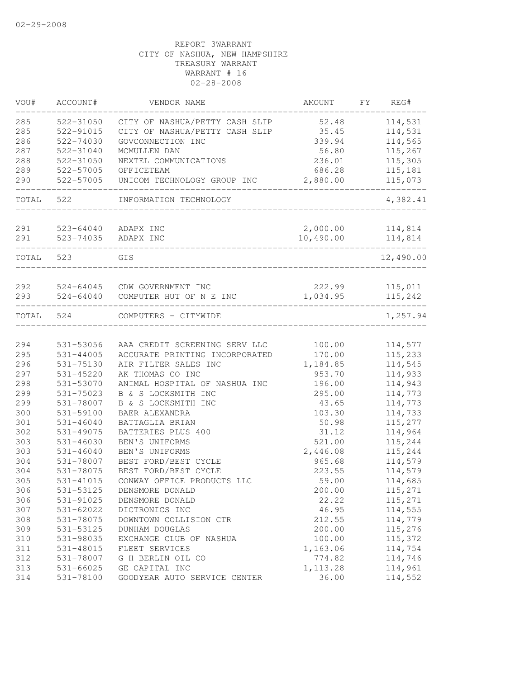| VOU#       | ACCOUNT#                   | VENDOR NAME                                                     | AMOUNT             | FΥ | REG#               |
|------------|----------------------------|-----------------------------------------------------------------|--------------------|----|--------------------|
| 285        | 522-31050                  | CITY OF NASHUA/PETTY CASH SLIP                                  | 52.48              |    | 114,531            |
| 285        | 522-91015                  | CITY OF NASHUA/PETTY CASH SLIP                                  | 35.45              |    | 114,531            |
| 286        | $522 - 74030$              | GOVCONNECTION INC                                               | 339.94             |    | 114,565            |
| 287        | 522-31040                  | MCMULLEN DAN                                                    | 56.80              |    | 115,267            |
| 288        | 522-31050                  | NEXTEL COMMUNICATIONS                                           | 236.01             |    | 115,305            |
| 289        | 522-57005                  | OFFICETEAM                                                      | 686.28             |    | 115,181            |
| 290        | 522-57005                  | UNICOM TECHNOLOGY GROUP INC                                     | 2,880.00           |    | 115,073            |
| TOTAL      | 522                        | INFORMATION TECHNOLOGY                                          |                    |    | 4,382.41           |
| 291        | 523-64040                  | ADAPX INC                                                       | 2,000.00           |    | 114,814            |
| 291        | 523-74035                  | ADAPX INC                                                       | 10,490.00          |    | 114,814            |
|            |                            |                                                                 |                    |    |                    |
| TOTAL      | 523                        | GIS                                                             |                    |    | 12,490.00          |
|            |                            |                                                                 |                    |    |                    |
| 292<br>293 | 524-64045<br>$524 - 64040$ | CDW GOVERNMENT INC<br>COMPUTER HUT OF N E INC                   | 222.99<br>1,034.95 |    | 115,011<br>115,242 |
|            |                            |                                                                 |                    |    |                    |
| TOTAL      | 524                        | COMPUTERS - CITYWIDE                                            |                    |    | 1,257.94           |
|            |                            |                                                                 |                    |    | 114,577            |
| 294<br>295 | 531-53056<br>531-44005     | AAA CREDIT SCREENING SERV LLC<br>ACCURATE PRINTING INCORPORATED | 100.00<br>170.00   |    | 115,233            |
| 296        | 531-75130                  | AIR FILTER SALES INC                                            | 1,184.85           |    | 114,545            |
| 297        | 531-45220                  | AK THOMAS CO INC                                                | 953.70             |    | 114,933            |
| 298        | 531-53070                  | ANIMAL HOSPITAL OF NASHUA INC                                   | 196.00             |    | 114,943            |
| 299        | 531-75023                  | B & S LOCKSMITH INC                                             | 295.00             |    | 114,773            |
| 299        | 531-78007                  | B & S LOCKSMITH INC                                             | 43.65              |    | 114,773            |
| 300        | 531-59100                  | BAER ALEXANDRA                                                  | 103.30             |    | 114,733            |
| 301        | $531 - 46040$              | BATTAGLIA BRIAN                                                 | 50.98              |    | 115,277            |
| 302        | 531-49075                  | BATTERIES PLUS 400                                              | 31.12              |    | 114,964            |
| 303        | 531-46030                  | BEN'S UNIFORMS                                                  | 521.00             |    | 115,244            |
| 303        | $531 - 46040$              | BEN'S UNIFORMS                                                  | 2,446.08           |    | 115,244            |
| 304        | 531-78007                  | BEST FORD/BEST CYCLE                                            | 965.68             |    | 114,579            |
| 304        | 531-78075                  | BEST FORD/BEST CYCLE                                            | 223.55             |    | 114,579            |
| 305        | 531-41015                  | CONWAY OFFICE PRODUCTS LLC                                      | 59.00              |    | 114,685            |
| 306        | 531-53125                  | DENSMORE DONALD                                                 | 200.00             |    | 115,271            |
| 306        | 531-91025                  | DENSMORE DONALD                                                 | 22.22              |    | 115,271            |
| 307        | 531-62022                  | DICTRONICS INC                                                  | 46.95              |    | 114,555            |
| 308        | 531-78075                  | DOWNTOWN COLLISION CTR                                          | 212.55             |    | 114,779            |
| 309        | 531-53125                  | DUNHAM DOUGLAS                                                  | 200.00             |    | 115,276            |
| 310        | 531-98035                  | EXCHANGE CLUB OF NASHUA                                         | 100.00             |    | 115,372            |
| 311        | 531-48015                  | FLEET SERVICES                                                  | 1,163.06           |    | 114,754            |
| 312        | 531-78007                  | G H BERLIN OIL CO                                               | 774.82             |    | 114,746            |
| 313        | 531-66025                  | GE CAPITAL INC                                                  | 1, 113.28          |    | 114,961            |
| 314        | 531-78100                  | GOODYEAR AUTO SERVICE CENTER                                    | 36.00              |    | 114,552            |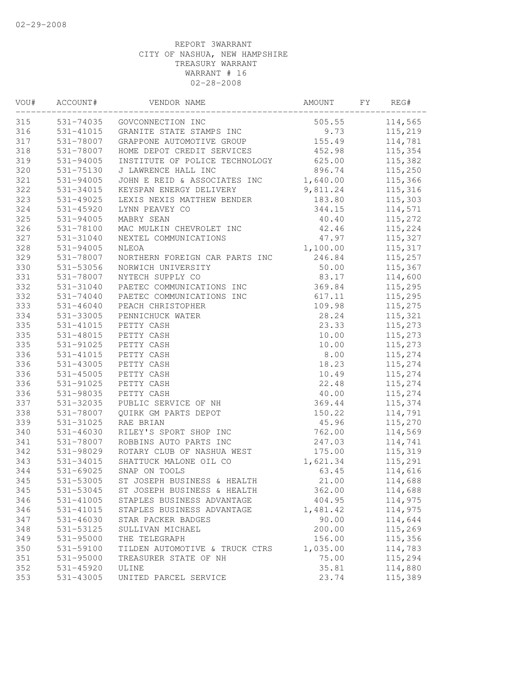| VOU#       | ACCOUNT#      | VENDOR NAME                    | AMOUNT   | FY | REG#    |
|------------|---------------|--------------------------------|----------|----|---------|
| 315        |               | 531-74035 GOVCONNECTION INC    | 505.55   |    | 114,565 |
| 316        | 531-41015     | GRANITE STATE STAMPS INC       | 9.73     |    | 115,219 |
| 317        | 531-78007     | GRAPPONE AUTOMOTIVE GROUP      | 155.49   |    | 114,781 |
| 318        | 531-78007     | HOME DEPOT CREDIT SERVICES     | 452.98   |    | 115,354 |
| 319        | 531-94005     | INSTITUTE OF POLICE TECHNOLOGY | 625.00   |    | 115,382 |
| 320        | 531-75130     | J LAWRENCE HALL INC            | 896.74   |    | 115,250 |
| 321        | 531-94005     | JOHN E REID & ASSOCIATES INC   | 1,640.00 |    | 115,366 |
| 322        | 531-34015     | KEYSPAN ENERGY DELIVERY        | 9,811.24 |    | 115,316 |
| 323        | 531-49025     | LEXIS NEXIS MATTHEW BENDER     | 183.80   |    | 115,303 |
| 324        | 531-45920     | LYNN PEAVEY CO                 | 344.15   |    | 114,571 |
| 325        | 531-94005     | MABRY SEAN                     | 40.40    |    | 115,272 |
| 326        | 531-78100     | MAC MULKIN CHEVROLET INC       | 42.46    |    | 115,224 |
| 327        | 531-31040     | NEXTEL COMMUNICATIONS          | 47.97    |    | 115,327 |
| 328        | 531-94005     | NLEOA                          | 1,100.00 |    | 115,317 |
| 329        | 531-78007     | NORTHERN FOREIGN CAR PARTS INC | 246.84   |    | 115,257 |
| 330        | 531-53056     | NORWICH UNIVERSITY             | 50.00    |    | 115,367 |
| 331        | 531-78007     | NYTECH SUPPLY CO               | 83.17    |    | 114,600 |
| 332        | 531-31040     | PAETEC COMMUNICATIONS INC      | 369.84   |    | 115,295 |
| 332        | $531 - 74040$ | PAETEC COMMUNICATIONS INC      | 617.11   |    | 115,295 |
| 333        | $531 - 46040$ | PEACH CHRISTOPHER              | 109.98   |    | 115,275 |
| 334        | 531-33005     | PENNICHUCK WATER               | 28.24    |    | 115,321 |
| 335        | 531-41015     | PETTY CASH                     | 23.33    |    | 115,273 |
| 335        | 531-48015     | PETTY CASH                     | 10.00    |    | 115,273 |
| 335        | 531-91025     | PETTY CASH                     | 10.00    |    | 115,273 |
| 336        | 531-41015     | PETTY CASH                     | 8.00     |    | 115,274 |
| 336        | 531-43005     | PETTY CASH                     | 18.23    |    | 115,274 |
| 336        | $531 - 45005$ | PETTY CASH                     | 10.49    |    | 115,274 |
| 336        | 531-91025     | PETTY CASH                     | 22.48    |    | 115,274 |
| 336        | 531-98035     | PETTY CASH                     | 40.00    |    | 115,274 |
| 337        | 531-32035     | PUBLIC SERVICE OF NH           | 369.44   |    | 115,374 |
| 338        | 531-78007     | QUIRK GM PARTS DEPOT           | 150.22   |    | 114,791 |
| 339        | 531-31025     | RAE BRIAN                      | 45.96    |    | 115,270 |
| 340        | $531 - 46030$ | RILEY'S SPORT SHOP INC         | 762.00   |    | 114,569 |
| 341        | 531-78007     | ROBBINS AUTO PARTS INC         | 247.03   |    | 114,741 |
| 342        | 531-98029     | ROTARY CLUB OF NASHUA WEST     | 175.00   |    | 115,319 |
| 343        | 531-34015     | SHATTUCK MALONE OIL CO         | 1,621.34 |    | 115,291 |
| 344        | 531-69025     | SNAP ON TOOLS                  | 63.45    |    | 114,616 |
| 345        | 531-53005     | ST JOSEPH BUSINESS & HEALTH    | 21.00    |    | 114,688 |
| 345        | 531-53045     | ST JOSEPH BUSINESS & HEALTH    | 362.00   |    | 114,688 |
| 346        | 531-41005     | STAPLES BUSINESS ADVANTAGE     | 404.95   |    | 114,975 |
| 346        | 531-41015     | STAPLES BUSINESS ADVANTAGE     | 1,481.42 |    | 114,975 |
| 347        | $531 - 46030$ | STAR PACKER BADGES             | 90.00    |    | 114,644 |
| 348        | 531-53125     | SULLIVAN MICHAEL               | 200.00   |    | 115,269 |
| 349        | 531-95000     | THE TELEGRAPH                  | 156.00   |    | 115,356 |
| 350        | 531-59100     | TILDEN AUTOMOTIVE & TRUCK CTRS | 1,035.00 |    | 114,783 |
| 351        | 531-95000     | TREASURER STATE OF NH          | 75.00    |    | 115,294 |
| 352<br>353 | 531-45920     | ULINE<br>UNITED PARCEL SERVICE | 35.81    |    | 114,880 |
|            | 531-43005     |                                | 23.74    |    | 115,389 |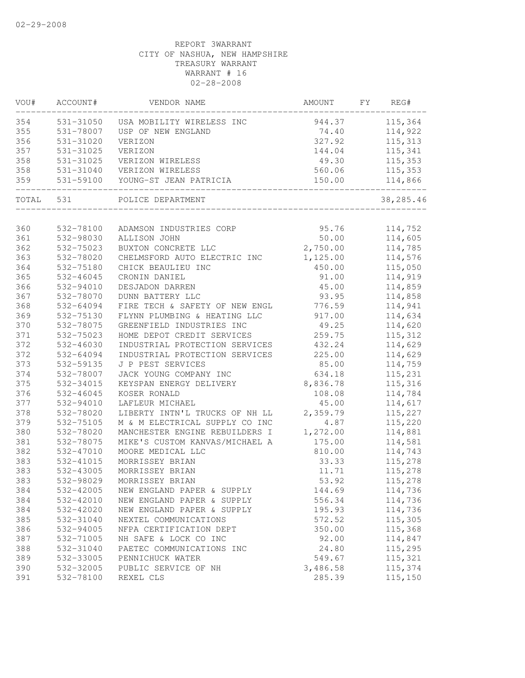| VOU#  | ACCOUNT#  | VENDOR NAME                    | AMOUNT                 | FY | REG#      |
|-------|-----------|--------------------------------|------------------------|----|-----------|
| 354   | 531-31050 | USA MOBILITY WIRELESS INC      | 944.37                 |    | 115,364   |
| 355   | 531-78007 | USP OF NEW ENGLAND             | 74.40                  |    | 114,922   |
| 356   | 531-31020 | VERIZON                        | 327.92                 |    | 115,313   |
| 357   | 531-31025 | VERIZON                        | 144.04                 |    | 115,341   |
| 358   | 531-31025 | VERIZON WIRELESS               | 49.30                  |    | 115,353   |
| 358   | 531-31040 | VERIZON WIRELESS               | 560.06                 |    | 115, 353  |
| 359   | 531-59100 | YOUNG-ST JEAN PATRICIA         | 150.00<br>____________ |    | 114,866   |
| TOTAL | 531       | POLICE DEPARTMENT              |                        |    | 38,285.46 |
|       |           |                                |                        |    |           |
| 360   | 532-78100 | ADAMSON INDUSTRIES CORP        | 95.76                  |    | 114,752   |
| 361   | 532-98030 | ALLISON JOHN                   | 50.00                  |    | 114,605   |
| 362   | 532-75023 | BUXTON CONCRETE LLC            | 2,750.00               |    | 114,785   |
| 363   | 532-78020 | CHELMSFORD AUTO ELECTRIC INC   | 1,125.00               |    | 114,576   |
| 364   | 532-75180 | CHICK BEAULIEU INC             | 450.00                 |    | 115,050   |
| 365   | 532-46045 | CRONIN DANIEL                  | 91.00                  |    | 114,919   |
| 366   | 532-94010 | DESJADON DARREN                | 45.00                  |    | 114,859   |
| 367   | 532-78070 | DUNN BATTERY LLC               | 93.95                  |    | 114,858   |
| 368   | 532-64094 | FIRE TECH & SAFETY OF NEW ENGL | 776.59                 |    | 114,941   |
| 369   | 532-75130 | FLYNN PLUMBING & HEATING LLC   | 917.00                 |    | 114,634   |
| 370   | 532-78075 | GREENFIELD INDUSTRIES INC      | 49.25                  |    | 114,620   |
| 371   | 532-75023 | HOME DEPOT CREDIT SERVICES     | 259.75                 |    | 115, 312  |
| 372   | 532-46030 | INDUSTRIAL PROTECTION SERVICES | 432.24                 |    | 114,629   |
| 372   | 532-64094 | INDUSTRIAL PROTECTION SERVICES | 225.00                 |    | 114,629   |
| 373   | 532-59135 | J P PEST SERVICES              | 85.00                  |    | 114,759   |
| 374   | 532-78007 | JACK YOUNG COMPANY INC         | 634.18                 |    | 115,231   |
| 375   | 532-34015 | KEYSPAN ENERGY DELIVERY        | 8,836.78               |    | 115,316   |
| 376   | 532-46045 | KOSER RONALD                   | 108.08                 |    | 114,784   |
| 377   | 532-94010 | LAFLEUR MICHAEL                | 45.00                  |    | 114,617   |
| 378   | 532-78020 | LIBERTY INTN'L TRUCKS OF NH LL | 2,359.79               |    | 115,227   |
| 379   | 532-75105 | M & M ELECTRICAL SUPPLY CO INC | 4.87                   |    | 115,220   |
| 380   | 532-78020 | MANCHESTER ENGINE REBUILDERS I | 1,272.00               |    | 114,881   |
| 381   | 532-78075 | MIKE'S CUSTOM KANVAS/MICHAEL A | 175.00                 |    | 114,581   |
| 382   | 532-47010 | MOORE MEDICAL LLC              | 810.00                 |    | 114,743   |
| 383   | 532-41015 | MORRISSEY BRIAN                | 33.33                  |    | 115,278   |
| 383   | 532-43005 | MORRISSEY BRIAN                | 11.71                  |    | 115,278   |
| 383   | 532-98029 | MORRISSEY BRIAN                | 53.92                  |    | 115,278   |
| 384   | 532-42005 | NEW ENGLAND PAPER & SUPPLY     | 144.69                 |    | 114,736   |
| 384   | 532-42010 | NEW ENGLAND PAPER & SUPPLY     | 556.34                 |    | 114,736   |
| 384   | 532-42020 | NEW ENGLAND PAPER & SUPPLY     | 195.93                 |    | 114,736   |
| 385   | 532-31040 | NEXTEL COMMUNICATIONS          | 572.52                 |    | 115,305   |
| 386   | 532-94005 | NFPA CERTIFICATION DEPT        | 350.00                 |    | 115,368   |
| 387   | 532-71005 | NH SAFE & LOCK CO INC          | 92.00                  |    | 114,847   |
| 388   | 532-31040 | PAETEC COMMUNICATIONS INC      | 24.80                  |    | 115,295   |
| 389   | 532-33005 | PENNICHUCK WATER               | 549.67                 |    | 115,321   |
| 390   | 532-32005 | PUBLIC SERVICE OF NH           | 3,486.58               |    | 115,374   |
| 391   | 532-78100 | REXEL CLS                      | 285.39                 |    | 115,150   |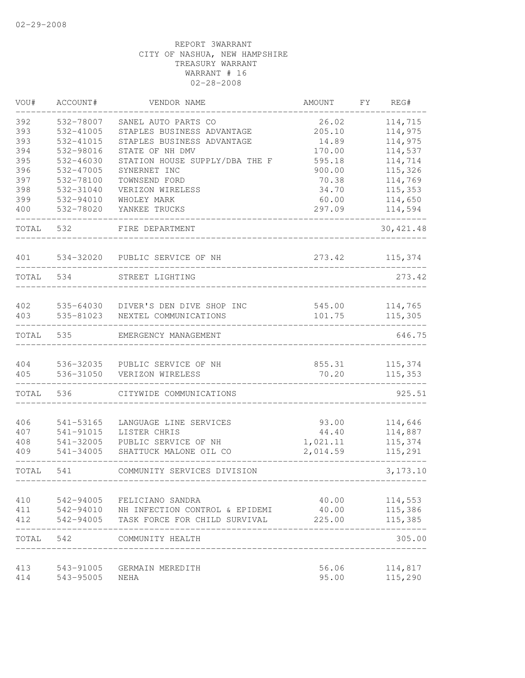| VOU#  | ACCOUNT#  | VENDOR NAME                              | AMOUNT   | FΥ | REG#       |
|-------|-----------|------------------------------------------|----------|----|------------|
| 392   | 532-78007 | SANEL AUTO PARTS CO                      | 26.02    |    | 114,715    |
| 393   | 532-41005 | STAPLES BUSINESS ADVANTAGE               | 205.10   |    | 114,975    |
| 393   | 532-41015 | STAPLES BUSINESS ADVANTAGE               | 14.89    |    | 114,975    |
| 394   | 532-98016 | STATE OF NH DMV                          | 170.00   |    | 114,537    |
| 395   | 532-46030 | STATION HOUSE SUPPLY/DBA THE F           | 595.18   |    | 114,714    |
| 396   | 532-47005 | SYNERNET INC                             | 900.00   |    | 115,326    |
| 397   | 532-78100 | TOWNSEND FORD                            | 70.38    |    | 114,769    |
| 398   | 532-31040 | VERIZON WIRELESS                         | 34.70    |    | 115,353    |
| 399   | 532-94010 | WHOLEY MARK                              | 60.00    |    | 114,650    |
| 400   | 532-78020 | YANKEE TRUCKS                            | 297.09   |    | 114,594    |
| TOTAL | 532       | FIRE DEPARTMENT                          |          |    | 30, 421.48 |
| 401   | 534-32020 | PUBLIC SERVICE OF NH                     | 273.42   |    | 115,374    |
| TOTAL | 534       | STREET LIGHTING                          |          |    | 273.42     |
| 402   | 535-64030 | DIVER'S DEN DIVE SHOP INC                | 545.00   |    | 114,765    |
| 403   | 535-81023 | NEXTEL COMMUNICATIONS                    | 101.75   |    | 115,305    |
| TOTAL | 535       | EMERGENCY MANAGEMENT                     |          |    | 646.75     |
| 404   | 536-32035 | PUBLIC SERVICE OF NH                     | 855.31   |    | 115,374    |
| 405   | 536-31050 | VERIZON WIRELESS                         | 70.20    |    | 115,353    |
| TOTAL | 536       | CITYWIDE COMMUNICATIONS                  |          |    | 925.51     |
| 406   | 541-53165 | LANGUAGE LINE SERVICES                   | 93.00    |    | 114,646    |
| 407   | 541-91015 | LISTER CHRIS                             | 44.40    |    | 114,887    |
| 408   | 541-32005 | PUBLIC SERVICE OF NH                     | 1,021.11 |    | 115,374    |
| 409   | 541-34005 | SHATTUCK MALONE OIL CO                   | 2,014.59 |    | 115,291    |
| TOTAL | 541       | COMMUNITY SERVICES DIVISION              |          |    | 3, 173. 10 |
| 410   | 542-94005 | FELICIANO SANDRA                         | 40.00    |    | 114,553    |
| 411   |           | 542-94010 NH INFECTION CONTROL & EPIDEMI | 40.00    |    | 115,386    |
| 412   | 542-94005 | TASK FORCE FOR CHILD SURVIVAL            | 225.00   |    | 115,385    |
| TOTAL | 542       | COMMUNITY HEALTH                         |          |    | 305.00     |
| 413   | 543-91005 | GERMAIN MEREDITH                         | 56.06    |    | 114,817    |
| 414   | 543-95005 | NEHA                                     | 95.00    |    | 115,290    |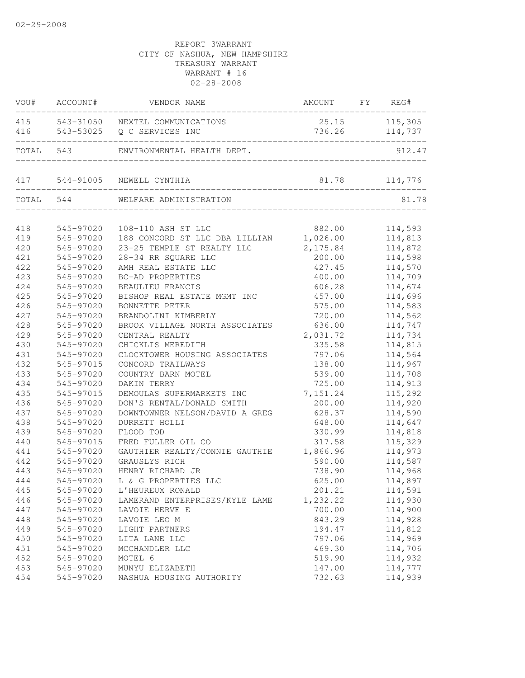| VOU#      | ACCOUNT#  | VENDOR NAME                             | AMOUNT FY REG#   |                |
|-----------|-----------|-----------------------------------------|------------------|----------------|
|           |           | 415 543-31050 NEXTEL COMMUNICATIONS     |                  | 25.15 115,305  |
| 416       |           | 543-53025 Q C SERVICES INC              |                  | 736.26 114,737 |
|           | TOTAL 543 | ENVIRONMENTAL HEALTH DEPT.              |                  | 912.47         |
|           |           | 417 544-91005 NEWELL CYNTHIA            | $81.78$ 114, 776 |                |
| TOTAL 544 |           | WELFARE ADMINISTRATION                  |                  | 81.78          |
|           |           |                                         |                  |                |
| 418       | 545-97020 | 108-110 ASH ST LLC                      | 882.00           | 114,593        |
| 419       | 545-97020 | 188 CONCORD ST LLC DBA LILLIAN 1,026.00 |                  | 114,813        |
| 420       | 545-97020 | 23-25 TEMPLE ST REALTY LLC              | 2, 175.84        | 114,872        |
| 421       | 545-97020 | 28-34 RR SQUARE LLC                     | 200.00           | 114,598        |
| 422       | 545-97020 | AMH REAL ESTATE LLC                     | 427.45           | 114,570        |
| 423       | 545-97020 | BC-AD PROPERTIES                        | 400.00           | 114,709        |
| 424       | 545-97020 | BEAULIEU FRANCIS                        | 606.28           | 114,674        |
| 425       | 545-97020 | BISHOP REAL ESTATE MGMT INC             | 457.00           | 114,696        |
| 426       | 545-97020 | BONNETTE PETER                          | 575.00           | 114,583        |
| 427       | 545-97020 | BRANDOLINI KIMBERLY                     | 720.00           | 114,562        |
| 428       | 545-97020 | BROOK VILLAGE NORTH ASSOCIATES          | 636.00           | 114,747        |
| 429       | 545-97020 | CENTRAL REALTY                          | 2,031.72         | 114,734        |
| 430       | 545-97020 | CHICKLIS MEREDITH                       | 335.58           | 114,815        |
| 431       | 545-97020 | CLOCKTOWER HOUSING ASSOCIATES           | 797.06           | 114,564        |
| 432       | 545-97015 | CONCORD TRAILWAYS                       | 138.00           | 114,967        |
| 433       | 545-97020 | COUNTRY BARN MOTEL                      | 539.00           | 114,708        |
| 434       | 545-97020 | DAKIN TERRY                             | 725.00           | 114,913        |
| 435       | 545-97015 | DEMOULAS SUPERMARKETS INC               | 7,151.24         | 115,292        |
| 436       | 545-97020 | DON'S RENTAL/DONALD SMITH               | 200.00           | 114,920        |
| 437       | 545-97020 | DOWNTOWNER NELSON/DAVID A GREG          | 628.37           | 114,590        |
| 438       | 545-97020 | DURRETT HOLLI                           | 648.00           | 114,647        |
| 439       | 545-97020 | FLOOD TOD                               | 330.99           | 114,818        |
| 440       | 545-97015 | FRED FULLER OIL CO                      | 317.58           | 115,329        |
| 441       | 545-97020 | GAUTHIER REALTY/CONNIE GAUTHIE          | 1,866.96         | 114,973        |
| 442       | 545-97020 | GRAUSLYS RICH                           | 590.00           | 114,587        |
| 443       | 545-97020 | HENRY RICHARD JR                        | 738.90           | 114,968        |
| 444       |           | 545-97020 L & G PROPERTIES LLC          | 625.00           | 114,897        |
| 445       | 545-97020 | L'HEUREUX RONALD                        | 201.21           | 114,591        |
| 446       | 545-97020 | LAMERAND ENTERPRISES/KYLE LAME          | 1,232.22         | 114,930        |
| 447       | 545-97020 | LAVOIE HERVE E                          | 700.00           | 114,900        |
| 448       | 545-97020 | LAVOIE LEO M                            | 843.29           | 114,928        |
| 449       | 545-97020 | LIGHT PARTNERS                          | 194.47           | 114,812        |
| 450       | 545-97020 | LITA LANE LLC                           | 797.06           | 114,969        |
| 451       | 545-97020 | MCCHANDLER LLC                          | 469.30           | 114,706        |
| 452       | 545-97020 | MOTEL 6                                 | 519.90           | 114,932        |
| 453       | 545-97020 | MUNYU ELIZABETH                         | 147.00           | 114,777        |
| 454       | 545-97020 | NASHUA HOUSING AUTHORITY                | 732.63           | 114,939        |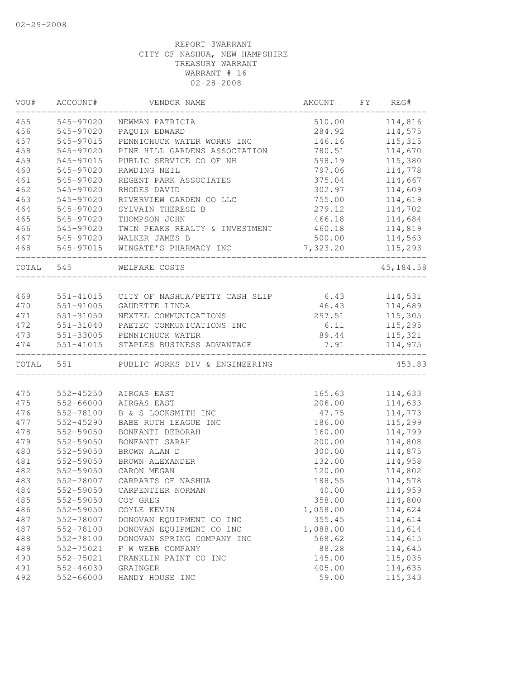| VOU# | ACCOUNT#  | VENDOR NAME                                                                    | AMOUNT                        | FX | REG#      |
|------|-----------|--------------------------------------------------------------------------------|-------------------------------|----|-----------|
| 455  | 545-97020 | NEWMAN PATRICIA                                                                | 510.00                        |    | 114,816   |
| 456  | 545-97020 | PAQUIN EDWARD                                                                  | 284.92                        |    | 114,575   |
| 457  | 545-97015 | PENNICHUCK WATER WORKS INC                                                     | 146.16                        |    | 115, 315  |
| 458  | 545-97020 | PINE HILL GARDENS ASSOCIATION                                                  | 780.51                        |    | 114,670   |
| 459  | 545-97015 | PUBLIC SERVICE CO OF NH                                                        | 598.19                        |    | 115,380   |
| 460  | 545-97020 | RAWDING NEIL                                                                   | 797.06                        |    | 114,778   |
| 461  | 545-97020 | REGENT PARK ASSOCIATES                                                         | 375.04                        |    | 114,667   |
| 462  | 545-97020 | RHODES DAVID                                                                   | 302.97                        |    | 114,609   |
| 463  | 545-97020 | RIVERVIEW GARDEN CO LLC                                                        | 755.00                        |    | 114,619   |
| 464  | 545-97020 | SYLVAIN THERESE B                                                              | 279.12                        |    | 114,702   |
| 465  | 545-97020 | THOMPSON JOHN                                                                  | 466.18                        |    | 114,684   |
| 466  | 545-97020 | TWIN PEAKS REALTY & INVESTMENT                                                 | 460.18                        |    | 114,819   |
| 467  | 545-97020 | WALKER JAMES B                                                                 | 500.00                        |    | 114,563   |
| 468  |           | 545-97015 WINGATE'S PHARMACY INC                                               | 7,323.20                      |    | 115,293   |
|      | TOTAL 545 | . _ _ _ _ _ _ _ _ _ _ _ _ _ _ _ _ _<br>WELFARE COSTS<br>______________________ |                               |    | 45,184.58 |
|      |           |                                                                                |                               |    |           |
| 469  |           | 551-41015 CITY OF NASHUA/PETTY CASH SLIP 6.43 114,531                          |                               |    |           |
| 470  | 551-91005 | GAUDETTE LINDA                                                                 | 46.43                         |    | 114,689   |
| 471  | 551-31050 | NEXTEL COMMUNICATIONS                                                          | 297.51                        |    | 115,305   |
| 472  | 551-31040 | PAETEC COMMUNICATIONS INC                                                      | 6.11                          |    | 115,295   |
| 473  |           | 551-33005 PENNICHUCK WATER                                                     | 89.44                         |    | 115,321   |
| 474  |           |                                                                                | 7.91<br>_____________________ |    | 114,975   |
|      |           | TOTAL 551 PUBLIC WORKS DIV & ENGINEERING                                       |                               |    | 453.83    |
|      |           |                                                                                |                               |    |           |
| 475  | 552-45250 | AIRGAS EAST                                                                    | 165.63                        |    | 114,633   |
| 475  | 552-66000 | AIRGAS EAST                                                                    | 206.00                        |    | 114,633   |
| 476  | 552-78100 | B & S LOCKSMITH INC                                                            | 47.75                         |    | 114,773   |
| 477  | 552-45290 | BABE RUTH LEAGUE INC                                                           | 186.00                        |    | 115,299   |
| 478  | 552-59050 | BONFANTI DEBORAH                                                               | 160.00                        |    | 114,799   |
| 479  | 552-59050 | BONFANTI SARAH                                                                 | 200.00                        |    | 114,808   |
| 480  | 552-59050 | BROWN ALAN D                                                                   | 300.00                        |    | 114,875   |
| 481  | 552-59050 | BROWN ALEXANDER                                                                | 132.00                        |    | 114,958   |
| 482  | 552-59050 | CARON MEGAN                                                                    | 120.00                        |    | 114,802   |
| 483  | 552-78007 | CARPARTS OF NASHUA                                                             | 188.55                        |    | 114,578   |
| 484  | 552-59050 | CARPENTIER NORMAN                                                              | 40.00                         |    | 114,959   |
| 485  | 552-59050 | COY GREG                                                                       | 358.00                        |    | 114,800   |
| 486  | 552-59050 | COYLE KEVIN                                                                    | 1,058.00                      |    | 114,624   |
| 487  | 552-78007 | DONOVAN EQUIPMENT CO INC                                                       | 355.45                        |    | 114,614   |
| 487  | 552-78100 | DONOVAN EQUIPMENT CO INC                                                       | 1,088.00                      |    | 114,614   |
| 488  | 552-78100 | DONOVAN SPRING COMPANY INC                                                     | 568.62                        |    | 114,615   |
| 489  | 552-75021 | F W WEBB COMPANY                                                               | 88.28                         |    | 114,645   |
| 490  | 552-75021 | FRANKLIN PAINT CO INC                                                          | 145.00                        |    | 115,035   |
| 491  | 552-46030 | GRAINGER                                                                       | 405.00                        |    | 114,635   |
| 492  | 552-66000 | HANDY HOUSE INC                                                                | 59.00                         |    | 115,343   |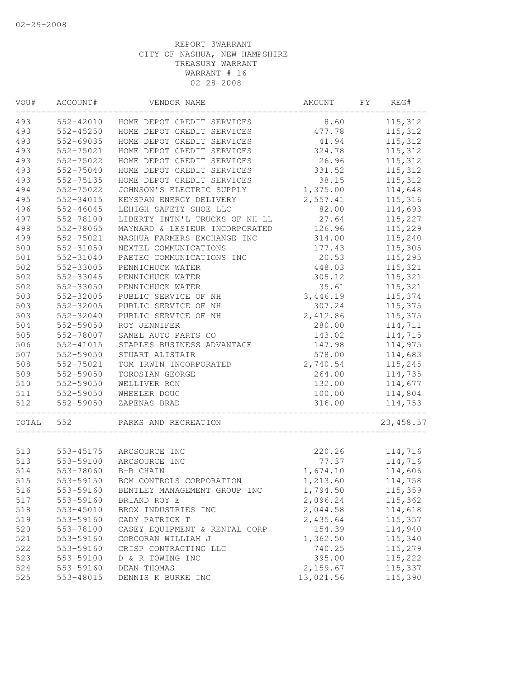| VOU#       | ACCOUNT#      | VENDOR NAME                    | AMOUNT               | FΥ<br>REG# |
|------------|---------------|--------------------------------|----------------------|------------|
| 493        | 552-42010     | HOME DEPOT CREDIT SERVICES     | 8.60                 | 115,312    |
| 493        | $552 - 45250$ | HOME DEPOT CREDIT SERVICES     | 477.78               | 115,312    |
| 493        | 552-69035     | HOME DEPOT CREDIT SERVICES     | 41.94                | 115,312    |
| 493        | 552-75021     | HOME DEPOT CREDIT SERVICES     | 324.78               | 115,312    |
| 493        | 552-75022     | HOME DEPOT CREDIT SERVICES     | 26.96                | 115,312    |
| 493        | 552-75040     | HOME DEPOT CREDIT SERVICES     | 331.52               | 115,312    |
| 493        | 552-75135     | HOME DEPOT CREDIT SERVICES     | 38.15                | 115,312    |
| 494        | 552-75022     | JOHNSON'S ELECTRIC SUPPLY      | 1,375.00             | 114,648    |
| 495        | 552-34015     | KEYSPAN ENERGY DELIVERY        | 2,557.41             | 115,316    |
| 496        | 552-46045     | LEHIGH SAFETY SHOE LLC         | 82.00                | 114,693    |
| 497        | 552-78100     | LIBERTY INTN'L TRUCKS OF NH LL | 27.64                | 115,227    |
| 498        | 552-78065     | MAYNARD & LESIEUR INCORPORATED | 126.96               | 115,229    |
| 499        | 552-75021     | NASHUA FARMERS EXCHANGE INC    | 314.00               | 115,240    |
| 500        | 552-31050     | NEXTEL COMMUNICATIONS          | 177.43               | 115,305    |
| $501$      | 552-31040     | PAETEC COMMUNICATIONS INC      | 20.53                | 115,295    |
| 502        | 552-33005     | PENNICHUCK WATER               | 448.03               | 115,321    |
| 502        | 552-33045     | PENNICHUCK WATER               | 305.12               | 115,321    |
| 502        | 552-33050     | PENNICHUCK WATER               | 35.61                | 115,321    |
| 503        | 552-32005     | PUBLIC SERVICE OF NH           | 3,446.19             | 115,374    |
| 503        | 552-32005     | PUBLIC SERVICE OF NH           | 307.24               | 115,375    |
| 503        | 552-32040     | PUBLIC SERVICE OF NH           | 2,412.86             | 115,375    |
| 504        | 552-59050     | ROY JENNIFER                   | 280.00               | 114,711    |
| 505        | 552-78007     | SANEL AUTO PARTS CO            | 143.02               | 114,715    |
| 506        | 552-41015     | STAPLES BUSINESS ADVANTAGE     | 147.98               | 114,975    |
| 507        | 552-59050     | STUART ALISTAIR                | 578.00               | 114,683    |
| 508        | 552-75021     | TOM IRWIN INCORPORATED         | 2,740.54             | 115,245    |
| 509        | 552-59050     | TOROSIAN GEORGE                | 264.00               | 114,735    |
| 510        | 552-59050     | WELLIVER RON                   | 132.00               | 114,677    |
| 511        | 552-59050     | WHEELER DOUG                   | 100.00               | 114,804    |
| 512        | 552-59050     | ZAPENAS BRAD                   | 316.00               | 114,753    |
| TOTAL      | 552           | PARKS AND RECREATION           |                      | 23, 458.57 |
| 513        | 553-45175     | ARCSOURCE INC                  | 220.26               | 114,716    |
| 513        | 553-59100     | ARCSOURCE INC                  | 77.37                | 114,716    |
| 514        | 553-78060     | B-B CHAIN                      | 1,674.10             | 114,606    |
| 515        | 553-59150     | BCM CONTROLS CORPORATION       | 1,213.60             | 114,758    |
|            | 553-59160     | BENTLEY MANAGEMENT GROUP INC   |                      | 115,359    |
| 516<br>517 | 553-59160     | BRIAND ROY E                   | 1,794.50<br>2,096.24 | 115,362    |
| 518        |               |                                | 2,044.58             | 114,618    |
|            | 553-45010     | BROX INDUSTRIES INC            | 2,435.64             | 115,357    |
| 519        | 553-59160     | CADY PATRICK T                 |                      |            |
| 520        | 553-78100     | CASEY EQUIPMENT & RENTAL CORP  | 154.39               | 114,940    |
| 521        | 553-59160     | CORCORAN WILLIAM J             | 1,362.50             | 115,340    |
| 522        | 553-59160     | CRISP CONTRACTING LLC          | 740.25               | 115,279    |
| 523        | 553-59100     | D & R TOWING INC               | 395.00               | 115,222    |
| 524        | 553-59160     | DEAN THOMAS                    | 2,159.67             | 115,337    |
| 525        | 553-48015     | DENNIS K BURKE INC             | 13,021.56            | 115,390    |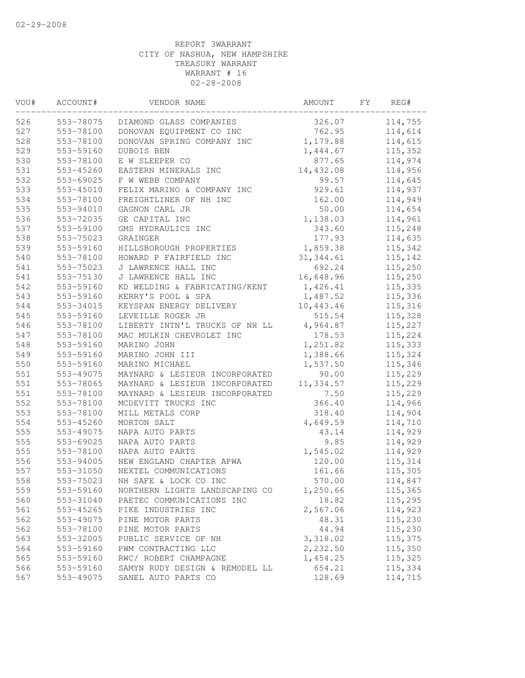| VOU# | ACCOUNT#  | VENDOR NAME                    | AMOUNT     | FY | REG#    |
|------|-----------|--------------------------------|------------|----|---------|
| 526  | 553-78075 | DIAMOND GLASS COMPANIES        | 326.07     |    | 114,755 |
| 527  | 553-78100 | DONOVAN EQUIPMENT CO INC       | 762.95     |    | 114,614 |
| 528  | 553-78100 | DONOVAN SPRING COMPANY INC     | 1,179.88   |    | 114,615 |
| 529  | 553-59160 | DUBOIS BEN                     | 1,444.67   |    | 115,352 |
| 530  | 553-78100 | E W SLEEPER CO                 | 877.65     |    | 114,974 |
| 531  | 553-45260 | EASTERN MINERALS INC           | 14,432.08  |    | 114,956 |
| 532  | 553-69025 | F W WEBB COMPANY               | 99.57      |    | 114,645 |
| 533  | 553-45010 | FELIX MARINO & COMPANY INC     | 929.61     |    | 114,937 |
| 534  | 553-78100 | FREIGHTLINER OF NH INC         | 162.00     |    | 114,949 |
| 535  | 553-94010 | GAGNON CARL JR                 | 50.00      |    | 114,654 |
| 536  | 553-72035 | GE CAPITAL INC                 | 1,138.03   |    | 114,961 |
| 537  | 553-59100 | GMS HYDRAULICS INC             | 343.60     |    | 115,248 |
| 538  | 553-75023 | GRAINGER                       | 177.93     |    | 114,635 |
| 539  | 553-59160 | HILLSBOROUGH PROPERTIES        | 1,859.38   |    | 115,342 |
| 540  | 553-78100 | HOWARD P FAIRFIELD INC         | 31, 344.61 |    | 115,142 |
| 541  | 553-75023 | J LAWRENCE HALL INC            | 692.24     |    | 115,250 |
| 541  | 553-75130 | J LAWRENCE HALL INC            | 16,648.96  |    | 115,250 |
| 542  | 553-59160 | KD WELDING & FABRICATING/KENT  | 1,426.41   |    | 115,335 |
| 543  | 553-59160 | KERRY'S POOL & SPA             | 1,487.52   |    | 115,336 |
| 544  | 553-34015 | KEYSPAN ENERGY DELIVERY        | 10,443.46  |    | 115,316 |
| 545  | 553-59160 | LEVEILLE ROGER JR              | 515.54     |    | 115,328 |
| 546  | 553-78100 | LIBERTY INTN'L TRUCKS OF NH LL | 4,964.87   |    | 115,227 |
| 547  | 553-78100 | MAC MULKIN CHEVROLET INC       | 178.53     |    | 115,224 |
| 548  | 553-59160 | MARINO JOHN                    | 1,251.82   |    | 115,333 |
| 549  | 553-59160 | MARINO JOHN III                | 1,388.66   |    | 115,324 |
| 550  | 553-59160 | MARINO MICHAEL                 | 1,537.50   |    | 115,346 |
| 551  | 553-49075 | MAYNARD & LESIEUR INCORPORATED | 90.00      |    | 115,229 |
| 551  | 553-78065 | MAYNARD & LESIEUR INCORPORATED | 11,334.57  |    | 115,229 |
| 551  | 553-78100 | MAYNARD & LESIEUR INCORPORATED | 7.50       |    | 115,229 |
| 552  | 553-78100 | MCDEVITT TRUCKS INC            | 366.40     |    | 114,966 |
| 553  | 553-78100 | MILL METALS CORP               | 318.40     |    | 114,904 |
| 554  | 553-45260 | MORTON SALT                    | 4,649.59   |    | 114,710 |
| 555  | 553-49075 | NAPA AUTO PARTS                | 43.14      |    | 114,929 |
| 555  | 553-69025 | NAPA AUTO PARTS                | 9.85       |    | 114,929 |
| 555  | 553-78100 | NAPA AUTO PARTS                | 1,545.02   |    | 114,929 |
| 556  | 553-94005 | NEW ENGLAND CHAPTER APWA       | 120.00     |    | 115,314 |
| 557  | 553-31050 | NEXTEL COMMUNICATIONS          | 161.66     |    | 115,305 |
| 558  | 553-75023 | NH SAFE & LOCK CO INC          | 570.00     |    | 114,847 |
| 559  | 553-59160 | NORTHERN LIGHTS LANDSCAPING CO | 1,250.66   |    | 115,365 |
| 560  | 553-31040 | PAETEC COMMUNICATIONS INC      | 18.82      |    | 115,295 |
| 561  | 553-45265 | PIKE INDUSTRIES INC            | 2,567.06   |    | 114,923 |
| 562  | 553-49075 | PINE MOTOR PARTS               | 48.31      |    | 115,230 |
| 562  | 553-78100 | PINE MOTOR PARTS               | 44.94      |    | 115,230 |
| 563  | 553-32005 | PUBLIC SERVICE OF NH           | 3,318.02   |    | 115,375 |
| 564  | 553-59160 | PWM CONTRACTING LLC            | 2,232.50   |    | 115,350 |
| 565  | 553-59160 | RWC/ ROBERT CHAMPAGNE          | 1,454.25   |    | 115,325 |
| 566  | 553-59160 | SAMYN RUDY DESIGN & REMODEL LL | 654.21     |    | 115,334 |
| 567  | 553-49075 | SANEL AUTO PARTS CO            | 128.69     |    | 114,715 |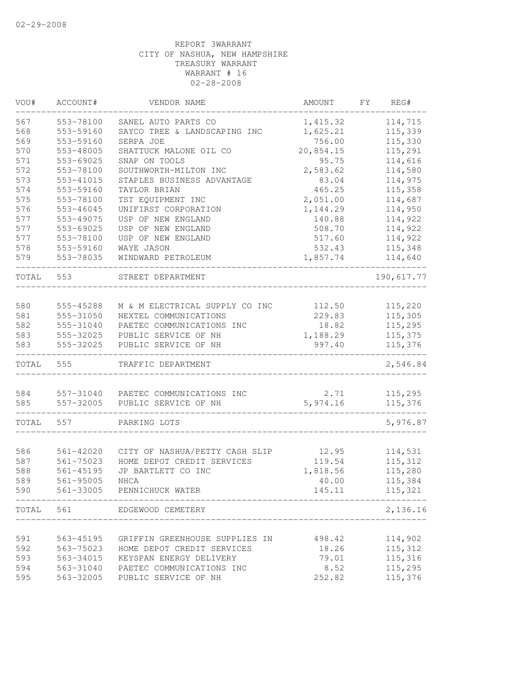| VOU#  | ACCOUNT#  | VENDOR NAME                         | AMOUNT    | FΥ | REG#       |
|-------|-----------|-------------------------------------|-----------|----|------------|
| 567   | 553-78100 | SANEL AUTO PARTS CO                 | 1,415.32  |    | 114,715    |
| 568   | 553-59160 | SAYCO TREE & LANDSCAPING INC        | 1,625.21  |    | 115,339    |
| 569   | 553-59160 | SERPA JOE                           | 756.00    |    | 115,330    |
| 570   | 553-48005 | SHATTUCK MALONE OIL CO              | 20,854.15 |    | 115,291    |
| 571   | 553-69025 | SNAP ON TOOLS                       | 95.75     |    | 114,616    |
| 572   | 553-78100 | SOUTHWORTH-MILTON INC               | 2,583.62  |    | 114,580    |
| 573   | 553-41015 | STAPLES BUSINESS ADVANTAGE          | 83.04     |    | 114,975    |
| 574   | 553-59160 | TAYLOR BRIAN                        | 465.25    |    | 115,358    |
| 575   | 553-78100 | TST EQUIPMENT INC                   | 2,051.00  |    | 114,687    |
| 576   | 553-46045 | UNIFIRST CORPORATION                | 1,144.29  |    | 114,950    |
| 577   | 553-49075 | USP OF NEW ENGLAND                  | 140.88    |    | 114,922    |
| 577   | 553-69025 | USP OF NEW ENGLAND                  | 508.70    |    | 114,922    |
| 577   | 553-78100 | USP OF NEW ENGLAND                  | 517.60    |    | 114,922    |
| 578   | 553-59160 | WAYE JASON                          | 532.43    |    | 115,348    |
| 579   | 553-78035 | WINDWARD PETROLEUM                  | 1,857.74  |    | 114,640    |
| TOTAL | 553       | STREET DEPARTMENT                   |           |    | 190,617.77 |
|       |           |                                     |           |    |            |
| 580   | 555-45288 | M & M ELECTRICAL SUPPLY CO INC      | 112.50    |    | 115,220    |
| 581   | 555-31050 | NEXTEL COMMUNICATIONS               | 229.83    |    | 115,305    |
| 582   | 555-31040 | PAETEC COMMUNICATIONS INC           | 18.82     |    | 115,295    |
| 583   | 555-32025 | PUBLIC SERVICE OF NH                | 1,188.29  |    | 115,375    |
| 583   | 555-32025 | PUBLIC SERVICE OF NH                | 997.40    |    | 115,376    |
| TOTAL | 555       | TRAFFIC DEPARTMENT                  |           |    | 2,546.84   |
| 584   |           | 557-31040 PAETEC COMMUNICATIONS INC | 2.71      |    | 115,295    |
| 585   | 557-32005 | PUBLIC SERVICE OF NH                | 5,974.16  |    | 115,376    |
| TOTAL | 557       | PARKING LOTS                        |           |    | 5,976.87   |
|       |           |                                     |           |    |            |
| 586   | 561-42020 | CITY OF NASHUA/PETTY CASH SLIP      | 12.95     |    | 114,531    |
| 587   | 561-75023 | HOME DEPOT CREDIT SERVICES          | 119.54    |    | 115,312    |
| 588   | 561-45195 | JP BARTLETT CO INC                  | 1,818.56  |    | 115,280    |
| 589   | 561-95005 | NHCA                                | 40.00     |    | 115,384    |
| 590   |           | 561-33005 PENNICHUCK WATER          | 145.11    |    | 115,321    |
| TOTAL | 561       | EDGEWOOD CEMETERY                   |           |    | 2,136.16   |
|       |           |                                     |           |    |            |
| 591   | 563-45195 | GRIFFIN GREENHOUSE SUPPLIES IN      | 498.42    |    | 114,902    |
| 592   | 563-75023 | HOME DEPOT CREDIT SERVICES          | 18.26     |    | 115, 312   |
| 593   | 563-34015 | KEYSPAN ENERGY DELIVERY             | 79.01     |    | 115,316    |
| 594   | 563-31040 | PAETEC COMMUNICATIONS INC           | 8.52      |    | 115,295    |
| 595   | 563-32005 | PUBLIC SERVICE OF NH                | 252.82    |    | 115,376    |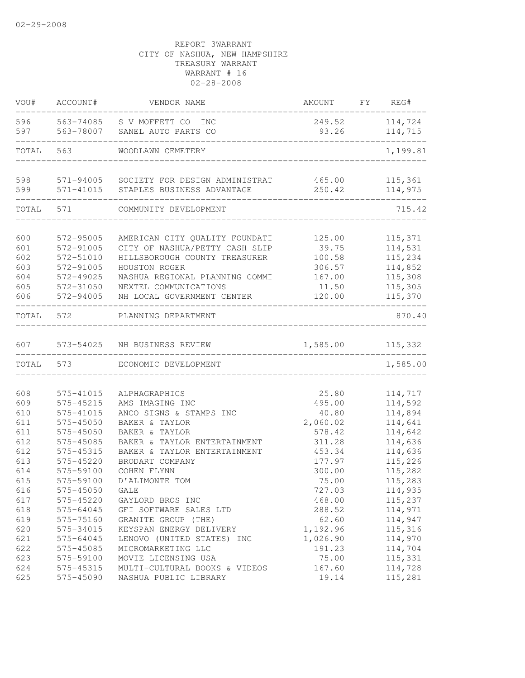| VOU#       | ACCOUNT#               | VENDOR NAME                                         | AMOUNT          | FY. | REG#               |
|------------|------------------------|-----------------------------------------------------|-----------------|-----|--------------------|
| 596<br>597 | 563-74085<br>563-78007 | S V MOFFETT CO<br><b>INC</b><br>SANEL AUTO PARTS CO | 249.52<br>93.26 |     | 114,724<br>114,715 |
| TOTAL      | 563                    | WOODLAWN CEMETERY                                   |                 |     | 1,199.81           |
| 598        | 571-94005              | SOCIETY FOR DESIGN ADMINISTRAT                      | 465.00          |     | 115, 361           |
| 599        | 571-41015              | STAPLES BUSINESS ADVANTAGE                          | 250.42          |     | 114,975            |
| TOTAL      | 571                    | COMMUNITY DEVELOPMENT                               |                 |     | 715.42             |
| 600        | 572-95005              | AMERICAN CITY QUALITY FOUNDATI                      | 125.00          |     | 115,371            |
| 601        | 572-91005              | CITY OF NASHUA/PETTY CASH SLIP                      | 39.75           |     | 114,531            |
| 602        | 572-51010              | HILLSBOROUGH COUNTY TREASURER                       | 100.58          |     | 115,234            |
| 603        | 572-91005              | HOUSTON ROGER                                       | 306.57          |     | 114,852            |
| 604        | 572-49025              | NASHUA REGIONAL PLANNING COMMI                      | 167.00          |     | 115,308            |
| 605        | 572-31050              | NEXTEL COMMUNICATIONS                               | 11.50           |     | 115,305            |
| 606        | 572-94005              | NH LOCAL GOVERNMENT CENTER                          | 120.00          |     | 115,370            |
| TOTAL      | 572                    | PLANNING DEPARTMENT                                 |                 |     | 870.40             |
| 607        |                        | 573-54025 NH BUSINESS REVIEW                        | 1,585.00        |     | 115,332            |
| TOTAL      | 573                    | ECONOMIC DEVELOPMENT                                |                 |     | 1,585.00           |
|            |                        |                                                     |                 |     |                    |
| 608        | 575-41015              | ALPHAGRAPHICS                                       | 25.80           |     | 114,717            |
| 609        | 575-45215              | AMS IMAGING INC                                     | 495.00          |     | 114,592            |
| 610        | 575-41015              | ANCO SIGNS & STAMPS INC                             | 40.80           |     | 114,894            |
| 611        | 575-45050              | BAKER & TAYLOR                                      | 2,060.02        |     | 114,641            |
| 611        | 575-45050              | BAKER & TAYLOR                                      | 578.42          |     | 114,642            |
| 612        | 575-45085              | BAKER & TAYLOR ENTERTAINMENT                        | 311.28          |     | 114,636            |
| 612        | 575-45315              | BAKER & TAYLOR ENTERTAINMENT                        | 453.34          |     | 114,636            |
| 613        | 575-45220              | BRODART COMPANY                                     | 177.97          |     | 115,226            |
| 614        | 575-59100              | COHEN FLYNN                                         | 300.00          |     | 115,282            |
| 615        | 575-59100              | D'ALIMONTE TOM                                      | 75.00           |     | 115,283            |
| 616        | 575-45050              | GALE                                                | 727.03          |     | 114,935            |
| 617        | 575-45220              | GAYLORD BROS INC                                    | 468.00          |     | 115,237            |
| 618        | 575-64045              | GFI SOFTWARE SALES LTD                              | 288.52          |     | 114,971            |
| 619        | 575-75160              | GRANITE GROUP (THE)                                 | 62.60           |     | 114,947            |
| 620        | 575-34015              | KEYSPAN ENERGY DELIVERY                             | 1,192.96        |     | 115,316            |
| 621        | 575-64045              | LENOVO (UNITED STATES) INC                          | 1,026.90        |     | 114,970            |
| 622        | 575-45085              | MICROMARKETING LLC                                  | 191.23          |     | 114,704            |
| 623        | 575-59100              | MOVIE LICENSING USA                                 | 75.00           |     | 115,331            |
| 624        | 575-45315              | MULTI-CULTURAL BOOKS & VIDEOS                       | 167.60          |     | 114,728            |
| 625        | 575-45090              | NASHUA PUBLIC LIBRARY                               | 19.14           |     | 115,281            |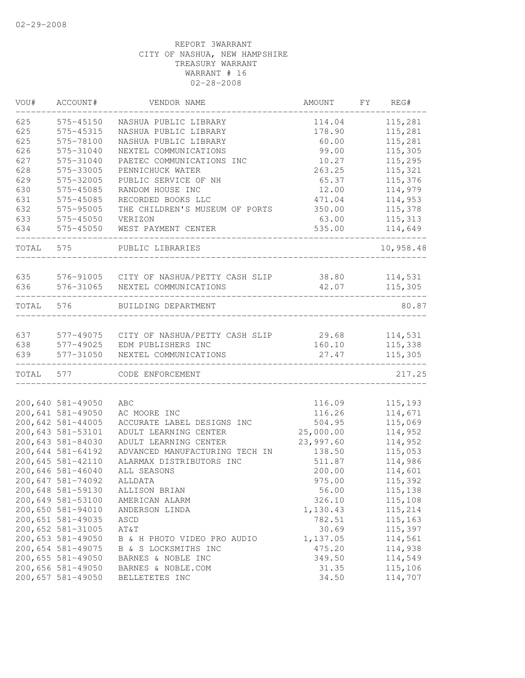| VOU#  | ACCOUNT#                                       | VENDOR NAME                                    | AMOUNT                       | FΥ | REG#               |
|-------|------------------------------------------------|------------------------------------------------|------------------------------|----|--------------------|
| 625   | 575-45150                                      | NASHUA PUBLIC LIBRARY                          | 114.04                       |    | 115,281            |
| 625   | 575-45315                                      | NASHUA PUBLIC LIBRARY                          | 178.90                       |    | 115,281            |
| 625   | 575-78100                                      | NASHUA PUBLIC LIBRARY                          | 60.00                        |    | 115,281            |
| 626   | 575-31040                                      | NEXTEL COMMUNICATIONS                          | 99.00                        |    | 115,305            |
| 627   | 575-31040                                      | PAETEC COMMUNICATIONS INC                      | 10.27                        |    | 115,295            |
| 628   | 575-33005                                      | PENNICHUCK WATER                               | 263.25                       |    | 115,321            |
| 629   | 575-32005                                      | PUBLIC SERVICE OF NH                           | 65.37                        |    | 115,376            |
| 630   | 575-45085                                      | RANDOM HOUSE INC                               | 12.00                        |    | 114,979            |
| 631   | 575-45085                                      | RECORDED BOOKS LLC                             | 471.04                       |    | 114,953            |
| 632   | 575-95005                                      | THE CHILDREN'S MUSEUM OF PORTS                 | 350.00                       |    | 115,378            |
| 633   | 575-45050                                      | VERIZON                                        | 63.00                        |    | 115,313            |
| 634   | 575-45050                                      | WEST PAYMENT CENTER                            | 535.00                       |    | 114,649            |
| TOTAL | 575                                            | PUBLIC LIBRARIES                               |                              |    | 10,958.48          |
| 635   |                                                | 576-91005 CITY OF NASHUA/PETTY CASH SLIP 38.80 |                              |    | 114,531            |
| 636   | 576-31065                                      | NEXTEL COMMUNICATIONS                          | 42.07                        |    | 115,305            |
| TOTAL | 576                                            | BUILDING DEPARTMENT                            |                              |    | 80.87              |
|       |                                                |                                                |                              |    |                    |
| 637   |                                                | 577-49075 CITY OF NASHUA/PETTY CASH SLIP       | 29.68                        |    | 114,531            |
| 638   | 577-49025                                      | EDM PUBLISHERS INC                             | 160.10                       |    | 115,338            |
| 639   | 577-31050<br>. _ _ _ _ _ _ _ _ _ _ _ _ _ _ _ _ | NEXTEL COMMUNICATIONS                          | 27.47<br>___________________ |    | 115,305            |
| TOTAL | 577                                            | CODE ENFORCEMENT                               |                              |    | 217.25             |
|       |                                                |                                                |                              |    |                    |
|       | 200,640 581-49050<br>200,641 581-49050         | ABC                                            | 116.09<br>116.26             |    | 115,193<br>114,671 |
|       | 200,642 581-44005                              | AC MOORE INC<br>ACCURATE LABEL DESIGNS INC     | 504.95                       |    | 115,069            |
|       | 200,643 581-53101                              | ADULT LEARNING CENTER                          | 25,000.00                    |    | 114,952            |
|       | 200,643 581-84030                              | ADULT LEARNING CENTER                          | 23,997.60                    |    | 114,952            |
|       | 200,644 581-64192                              | ADVANCED MANUFACTURING TECH IN                 | 138.50                       |    | 115,053            |
|       | 200,645 581-42110                              | ALARMAX DISTRIBUTORS INC                       | 511.87                       |    | 114,986            |
|       | 200,646 581-46040                              | ALL SEASONS                                    | 200.00                       |    | 114,601            |
|       |                                                |                                                |                              |    |                    |
|       | 200,647 581-74092                              | ALLDATA                                        | 975.00                       |    | 115,392            |
|       | 200,648 581-59130<br>200,649 581-53100         | ALLISON BRIAN                                  | 56.00                        |    | 115,138            |
|       | 200,650 581-94010                              | AMERICAN ALARM                                 | 326.10                       |    | 115,108            |
|       |                                                | ANDERSON LINDA                                 | 1,130.43                     |    | 115,214            |
|       | 200,651 581-49035                              | ASCD                                           | 782.51                       |    | 115,163<br>115,397 |
|       | 200,652 581-31005<br>200,653 581-49050         | AT&T                                           | 30.69                        |    |                    |
|       |                                                | B & H PHOTO VIDEO PRO AUDIO                    | 1,137.05                     |    | 114,561            |
|       | 200,654 581-49075<br>200,655 581-49050         | B & S LOCKSMITHS INC                           | 475.20                       |    | 114,938            |
|       | 200,656 581-49050                              | BARNES & NOBLE INC                             | 349.50<br>31.35              |    | 114,549            |
|       | 200,657 581-49050                              | BARNES & NOBLE.COM<br>BELLETETES INC           | 34.50                        |    | 115,106<br>114,707 |
|       |                                                |                                                |                              |    |                    |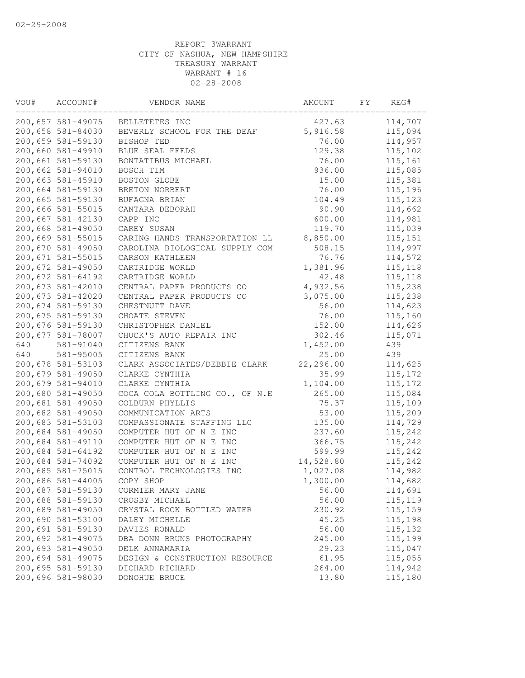| VOU# | ACCOUNT#          | VENDOR NAME                    | AMOUNT    | FY | REG#     |
|------|-------------------|--------------------------------|-----------|----|----------|
|      | 200,657 581-49075 | BELLETETES INC                 | 427.63    |    | 114,707  |
|      | 200,658 581-84030 | BEVERLY SCHOOL FOR THE DEAF    | 5,916.58  |    | 115,094  |
|      | 200,659 581-59130 | BISHOP TED                     | 76.00     |    | 114,957  |
|      | 200,660 581-49910 | BLUE SEAL FEEDS                | 129.38    |    | 115,102  |
|      | 200,661 581-59130 | BONTATIBUS MICHAEL             | 76.00     |    | 115,161  |
|      | 200,662 581-94010 | BOSCH TIM                      | 936.00    |    | 115,085  |
|      | 200,663 581-45910 | BOSTON GLOBE                   | 15.00     |    | 115,381  |
|      | 200,664 581-59130 | BRETON NORBERT                 | 76.00     |    | 115,196  |
|      | 200,665 581-59130 | BUFAGNA BRIAN                  | 104.49    |    | 115,123  |
|      | 200,666 581-55015 | CANTARA DEBORAH                | 90.90     |    | 114,662  |
|      | 200,667 581-42130 | CAPP INC                       | 600.00    |    | 114,981  |
|      | 200,668 581-49050 | CAREY SUSAN                    | 119.70    |    | 115,039  |
|      | 200,669 581-55015 | CARING HANDS TRANSPORTATION LL | 8,850.00  |    | 115, 151 |
|      | 200,670 581-49050 | CAROLINA BIOLOGICAL SUPPLY COM | 508.15    |    | 114,997  |
|      | 200,671 581-55015 | CARSON KATHLEEN                | 76.76     |    | 114,572  |
|      | 200,672 581-49050 | CARTRIDGE WORLD                | 1,381.96  |    | 115,118  |
|      | 200,672 581-64192 | CARTRIDGE WORLD                | 42.48     |    | 115,118  |
|      | 200,673 581-42010 | CENTRAL PAPER PRODUCTS CO      | 4,932.56  |    | 115,238  |
|      | 200,673 581-42020 | CENTRAL PAPER PRODUCTS CO      | 3,075.00  |    | 115,238  |
|      | 200,674 581-59130 | CHESTNUTT DAVE                 | 56.00     |    | 114,623  |
|      | 200,675 581-59130 | CHOATE STEVEN                  | 76.00     |    | 115,160  |
|      | 200,676 581-59130 | CHRISTOPHER DANIEL             | 152.00    |    | 114,626  |
|      | 200,677 581-78007 | CHUCK'S AUTO REPAIR INC        | 302.46    |    | 115,071  |
| 640  | 581-91040         | CITIZENS BANK                  | 1,452.00  |    | 439      |
| 640  | 581-95005         | CITIZENS BANK                  | 25.00     |    | 439      |
|      | 200,678 581-53103 | CLARK ASSOCIATES/DEBBIE CLARK  | 22,296.00 |    | 114,625  |
|      | 200,679 581-49050 | CLARKE CYNTHIA                 | 35.99     |    | 115, 172 |
|      | 200,679 581-94010 | CLARKE CYNTHIA                 | 1,104.00  |    | 115, 172 |
|      | 200,680 581-49050 | COCA COLA BOTTLING CO., OF N.E | 265.00    |    | 115,084  |
|      | 200,681 581-49050 | COLBURN PHYLLIS                | 75.37     |    | 115,109  |
|      | 200,682 581-49050 | COMMUNICATION ARTS             | 53.00     |    | 115,209  |
|      | 200,683 581-53103 | COMPASSIONATE STAFFING LLC     | 135.00    |    | 114,729  |
|      | 200,684 581-49050 | COMPUTER HUT OF N E<br>INC     | 237.60    |    | 115,242  |
|      | 200,684 581-49110 | COMPUTER HUT OF N E INC        | 366.75    |    | 115,242  |
|      | 200,684 581-64192 | COMPUTER HUT OF N E INC        | 599.99    |    | 115,242  |
|      | 200,684 581-74092 | COMPUTER HUT OF N E INC        | 14,528.80 |    | 115,242  |
|      | 200,685 581-75015 | CONTROL TECHNOLOGIES INC       | 1,027.08  |    | 114,982  |
|      | 200,686 581-44005 | COPY SHOP                      | 1,300.00  |    | 114,682  |
|      | 200,687 581-59130 | CORMIER MARY JANE              | 56.00     |    | 114,691  |
|      | 200,688 581-59130 | CROSBY MICHAEL                 | 56.00     |    | 115, 119 |
|      | 200,689 581-49050 | CRYSTAL ROCK BOTTLED WATER     | 230.92    |    | 115,159  |
|      | 200,690 581-53100 | DALEY MICHELLE                 | 45.25     |    | 115,198  |
|      | 200,691 581-59130 | DAVIES RONALD                  | 56.00     |    | 115,132  |
|      | 200,692 581-49075 | DBA DONN BRUNS PHOTOGRAPHY     | 245.00    |    | 115,199  |
|      | 200,693 581-49050 | DELK ANNAMARIA                 | 29.23     |    | 115,047  |
|      | 200,694 581-49075 | DESIGN & CONSTRUCTION RESOURCE | 61.95     |    | 115,055  |
|      | 200,695 581-59130 | DICHARD RICHARD                | 264.00    |    | 114,942  |
|      | 200,696 581-98030 | DONOHUE BRUCE                  | 13.80     |    | 115,180  |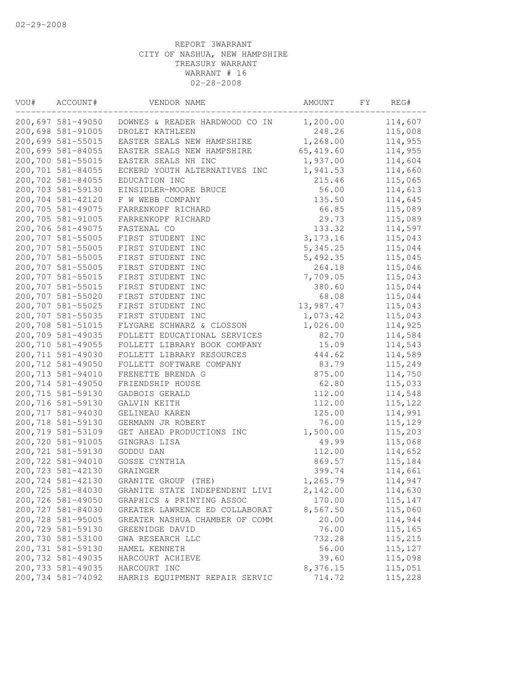| VOU# | ACCOUNT#          | VENDOR NAME                    | AMOUNT     | FY. | REG#     |
|------|-------------------|--------------------------------|------------|-----|----------|
|      | 200,697 581-49050 | DOWNES & READER HARDWOOD CO IN | 1,200.00   |     | 114,607  |
|      | 200,698 581-91005 | DROLET KATHLEEN                | 248.26     |     | 115,008  |
|      | 200,699 581-55015 | EASTER SEALS NEW HAMPSHIRE     | 1,268.00   |     | 114,955  |
|      | 200,699 581-84055 | EASTER SEALS NEW HAMPSHIRE     | 65, 419.60 |     | 114,955  |
|      | 200,700 581-55015 | EASTER SEALS NH INC            | 1,937.00   |     | 114,604  |
|      | 200,701 581-84055 | ECKERD YOUTH ALTERNATIVES INC  | 1,941.53   |     | 114,660  |
|      | 200,702 581-84055 | EDUCATION INC                  | 215.46     |     | 115,065  |
|      | 200,703 581-59130 | EINSIDLER-MOORE BRUCE          | 56.00      |     | 114,613  |
|      | 200,704 581-42120 | F W WEBB COMPANY               | 135.50     |     | 114,645  |
|      | 200,705 581-49075 | FARRENKOPF RICHARD             | 66.85      |     | 115,089  |
|      | 200,705 581-91005 | FARRENKOPF RICHARD             | 29.73      |     | 115,089  |
|      | 200,706 581-49075 | FASTENAL CO                    | 133.32     |     | 114,597  |
|      | 200,707 581-55005 | FIRST STUDENT INC              | 3, 173. 16 |     | 115,043  |
|      | 200,707 581-55005 | FIRST STUDENT INC              | 5, 345.25  |     | 115,044  |
|      | 200,707 581-55005 | FIRST STUDENT INC              | 5,492.35   |     | 115,045  |
|      | 200,707 581-55005 | FIRST STUDENT INC              | 264.18     |     | 115,046  |
|      | 200,707 581-55015 | FIRST STUDENT INC              | 7,709.05   |     | 115,043  |
|      | 200,707 581-55015 | FIRST STUDENT INC              | 380.60     |     | 115,044  |
|      | 200,707 581-55020 | FIRST STUDENT INC              | 68.08      |     | 115,044  |
|      | 200,707 581-55025 | FIRST STUDENT INC              | 13,987.47  |     | 115,043  |
|      | 200,707 581-55035 | FIRST STUDENT INC              | 1,073.42   |     | 115,043  |
|      | 200,708 581-51015 | FLYGARE SCHWARZ & CLOSSON      | 1,026.00   |     | 114,925  |
|      | 200,709 581-49035 | FOLLETT EDUCATIONAL SERVICES   | 82.70      |     | 114,584  |
|      | 200,710 581-49055 | FOLLETT LIBRARY BOOK COMPANY   | 15.09      |     | 114,543  |
|      | 200,711 581-49030 | FOLLETT LIBRARY RESOURCES      | 444.62     |     | 114,589  |
|      | 200,712 581-49050 | FOLLETT SOFTWARE COMPANY       | 83.79      |     | 115,249  |
|      | 200,713 581-94010 | FRENETTE BRENDA G              | 875.00     |     | 114,750  |
|      | 200,714 581-49050 | FRIENDSHIP HOUSE               | 62.80      |     | 115,033  |
|      | 200,715 581-59130 | GADBOIS GERALD                 | 112.00     |     | 114,548  |
|      | 200,716 581-59130 | GALVIN KEITH                   | 112.00     |     | 115, 122 |
|      | 200,717 581-94030 | GELINEAU KAREN                 | 125.00     |     | 114,991  |
|      | 200,718 581-59130 | GERMANN JR ROBERT              | 76.00      |     | 115,129  |
|      | 200,719 581-53109 | GET AHEAD PRODUCTIONS INC      | 1,500.00   |     | 115,203  |
|      | 200,720 581-91005 | GINGRAS LISA                   | 49.99      |     | 115,068  |
|      | 200,721 581-59130 | GODDU DAN                      | 112.00     |     | 114,652  |
|      | 200,722 581-94010 | GOSSE CYNTHIA                  | 869.57     |     | 115,184  |
|      | 200,723 581-42130 | GRAINGER                       | 399.74     |     | 114,661  |
|      | 200,724 581-42130 | GRANITE GROUP (THE)            | 1,265.79   |     | 114,947  |
|      | 200,725 581-84030 | GRANITE STATE INDEPENDENT LIVI | 2,142.00   |     | 114,630  |
|      | 200,726 581-49050 | GRAPHICS & PRINTING ASSOC      | 170.00     |     | 115,147  |
|      | 200,727 581-84030 | GREATER LAWRENCE ED COLLABORAT | 8,567.50   |     | 115,060  |
|      | 200,728 581-95005 | GREATER NASHUA CHAMBER OF COMM | 20.00      |     | 114,944  |
|      | 200,729 581-59130 | GREENIDGE DAVID                | 76.00      |     | 115,165  |
|      | 200,730 581-53100 | GWA RESEARCH LLC               | 732.28     |     | 115,215  |
|      | 200,731 581-59130 | HAMEL KENNETH                  | 56.00      |     | 115,127  |
|      | 200,732 581-49035 | HARCOURT ACHIEVE               | 39.60      |     | 115,098  |
|      | 200,733 581-49035 | HARCOURT INC                   | 8,376.15   |     | 115,051  |
|      | 200,734 581-74092 | HARRIS EQUIPMENT REPAIR SERVIC | 714.72     |     | 115,228  |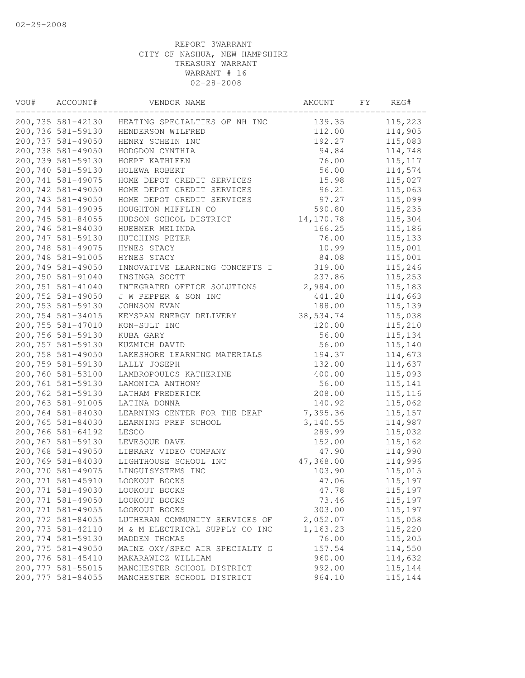| VOU# | ACCOUNT#          | VENDOR NAME                    | AMOUNT     | FΥ | REG#     |
|------|-------------------|--------------------------------|------------|----|----------|
|      | 200,735 581-42130 | HEATING SPECIALTIES OF NH INC  | 139.35     |    | 115,223  |
|      | 200,736 581-59130 | HENDERSON WILFRED              | 112.00     |    | 114,905  |
|      | 200,737 581-49050 | HENRY SCHEIN INC               | 192.27     |    | 115,083  |
|      | 200,738 581-49050 | HODGDON CYNTHIA                | 94.84      |    | 114,748  |
|      | 200,739 581-59130 | HOEPF KATHLEEN                 | 76.00      |    | 115, 117 |
|      | 200,740 581-59130 | HOLEWA ROBERT                  | 56.00      |    | 114,574  |
|      | 200,741 581-49075 | HOME DEPOT CREDIT SERVICES     | 15.98      |    | 115,027  |
|      | 200,742 581-49050 | HOME DEPOT CREDIT SERVICES     | 96.21      |    | 115,063  |
|      | 200,743 581-49050 | HOME DEPOT CREDIT SERVICES     | 97.27      |    | 115,099  |
|      | 200,744 581-49095 | HOUGHTON MIFFLIN CO            | 590.80     |    | 115,235  |
|      | 200,745 581-84055 | HUDSON SCHOOL DISTRICT         | 14, 170.78 |    | 115,304  |
|      | 200,746 581-84030 | HUEBNER MELINDA                | 166.25     |    | 115,186  |
|      | 200,747 581-59130 | HUTCHINS PETER                 | 76.00      |    | 115, 133 |
|      | 200,748 581-49075 | HYNES STACY                    | 10.99      |    | 115,001  |
|      | 200,748 581-91005 | HYNES STACY                    | 84.08      |    | 115,001  |
|      | 200,749 581-49050 | INNOVATIVE LEARNING CONCEPTS I | 319.00     |    | 115,246  |
|      | 200,750 581-91040 | INSINGA SCOTT                  | 237.86     |    | 115,253  |
|      | 200,751 581-41040 | INTEGRATED OFFICE SOLUTIONS    | 2,984.00   |    | 115,183  |
|      | 200,752 581-49050 | J W PEPPER & SON INC           | 441.20     |    | 114,663  |
|      | 200,753 581-59130 | JOHNSON EVAN                   | 188.00     |    | 115,139  |
|      | 200,754 581-34015 | KEYSPAN ENERGY DELIVERY        | 38,534.74  |    | 115,038  |
|      | 200,755 581-47010 | KON-SULT INC                   | 120.00     |    | 115,210  |
|      | 200,756 581-59130 | KUBA GARY                      | 56.00      |    | 115,134  |
|      | 200,757 581-59130 | KUZMICH DAVID                  | 56.00      |    | 115,140  |
|      | 200,758 581-49050 | LAKESHORE LEARNING MATERIALS   | 194.37     |    | 114,673  |
|      | 200,759 581-59130 | LALLY JOSEPH                   | 132.00     |    | 114,637  |
|      | 200,760 581-53100 | LAMBROPOULOS KATHERINE         | 400.00     |    | 115,093  |
|      | 200,761 581-59130 | LAMONICA ANTHONY               | 56.00      |    | 115,141  |
|      | 200,762 581-59130 | LATHAM FREDERICK               | 208.00     |    | 115, 116 |
|      | 200,763 581-91005 | LATINA DONNA                   | 140.92     |    | 115,062  |
|      | 200,764 581-84030 | LEARNING CENTER FOR THE DEAF   | 7,395.36   |    | 115, 157 |
|      | 200,765 581-84030 | LEARNING PREP SCHOOL           | 3,140.55   |    | 114,987  |
|      | 200,766 581-64192 | LESCO                          | 289.99     |    | 115,032  |
|      | 200,767 581-59130 | LEVESQUE DAVE                  | 152.00     |    | 115,162  |
|      | 200,768 581-49050 | LIBRARY VIDEO COMPANY          | 47.90      |    | 114,990  |
|      | 200,769 581-84030 | LIGHTHOUSE SCHOOL INC          | 47,368.00  |    | 114,996  |
|      | 200,770 581-49075 | LINGUISYSTEMS INC              | 103.90     |    | 115,015  |
|      | 200,771 581-45910 | LOOKOUT BOOKS                  | 47.06      |    | 115,197  |
|      | 200,771 581-49030 | LOOKOUT BOOKS                  | 47.78      |    | 115,197  |
|      | 200,771 581-49050 | LOOKOUT BOOKS                  | 73.46      |    | 115,197  |
|      | 200,771 581-49055 | LOOKOUT BOOKS                  | 303.00     |    | 115,197  |
|      | 200,772 581-84055 | LUTHERAN COMMUNITY SERVICES OF | 2,052.07   |    | 115,058  |
|      | 200,773 581-42110 | M & M ELECTRICAL SUPPLY CO INC | 1,163.23   |    | 115,220  |
|      | 200,774 581-59130 | MADDEN THOMAS                  | 76.00      |    | 115,205  |
|      | 200,775 581-49050 | MAINE OXY/SPEC AIR SPECIALTY G | 157.54     |    | 114,550  |
|      | 200,776 581-45410 | MAKARAWICZ WILLIAM             | 960.00     |    | 114,632  |
|      | 200,777 581-55015 | MANCHESTER SCHOOL DISTRICT     | 992.00     |    | 115,144  |
|      | 200,777 581-84055 | MANCHESTER SCHOOL DISTRICT     | 964.10     |    | 115,144  |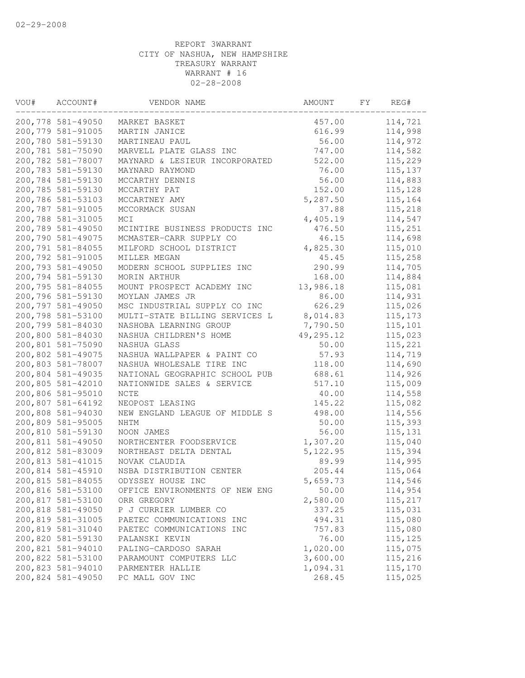| VOU# | ACCOUNT#                               | VENDOR NAME                                 | AMOUNT               | FY | REG#               |
|------|----------------------------------------|---------------------------------------------|----------------------|----|--------------------|
|      | 200,778 581-49050                      | MARKET BASKET                               | 457.00               |    | 114,721            |
|      | 200,779 581-91005                      | MARTIN JANICE                               | 616.99               |    | 114,998            |
|      | 200,780 581-59130                      | MARTINEAU PAUL                              | 56.00                |    | 114,972            |
|      | 200,781 581-75090                      | MARVELL PLATE GLASS INC                     | 747.00               |    | 114,582            |
|      | 200,782 581-78007                      | MAYNARD & LESIEUR INCORPORATED              | 522.00               |    | 115,229            |
|      | 200,783 581-59130                      | MAYNARD RAYMOND                             | 76.00                |    | 115, 137           |
|      | 200,784 581-59130                      | MCCARTHY DENNIS                             | 56.00                |    | 114,883            |
|      | 200,785 581-59130                      | MCCARTHY PAT                                | 152.00               |    | 115,128            |
|      | 200,786 581-53103                      | MCCARTNEY AMY                               | 5,287.50             |    | 115,164            |
|      | 200,787 581-91005                      | MCCORMACK SUSAN                             | 37.88                |    | 115,218            |
|      | 200,788 581-31005                      | MCI                                         | 4,405.19             |    | 114,547            |
|      | 200,789 581-49050                      | MCINTIRE BUSINESS PRODUCTS INC              | 476.50               |    | 115,251            |
|      | 200,790 581-49075                      | MCMASTER-CARR SUPPLY CO                     | 46.15                |    | 114,698            |
|      | 200,791 581-84055                      | MILFORD SCHOOL DISTRICT                     | 4,825.30             |    | 115,010            |
|      | 200,792 581-91005                      | MILLER MEGAN                                | 45.45                |    | 115,258            |
|      | 200,793 581-49050                      | MODERN SCHOOL SUPPLIES INC                  | 290.99               |    | 114,705            |
|      | 200,794 581-59130                      | MORIN ARTHUR                                | 168.00               |    | 114,884            |
|      | 200,795 581-84055                      | MOUNT PROSPECT ACADEMY INC                  | 13,986.18            |    | 115,081            |
|      | 200,796 581-59130                      | MOYLAN JAMES JR                             | 86.00                |    | 114,931            |
|      | 200,797 581-49050                      | MSC INDUSTRIAL SUPPLY CO INC                | 626.29               |    | 115,026            |
|      | 200,798 581-53100                      | MULTI-STATE BILLING SERVICES L              | 8,014.83             |    | 115, 173           |
|      | 200,799 581-84030                      | NASHOBA LEARNING GROUP                      | 7,790.50             |    | 115,101            |
|      | 200,800 581-84030                      | NASHUA CHILDREN'S HOME                      | 49,295.12            |    | 115,023            |
|      | 200,801 581-75090                      | NASHUA GLASS                                | 50.00                |    | 115,221            |
|      | 200,802 581-49075                      | NASHUA WALLPAPER & PAINT CO                 | 57.93                |    | 114,719            |
|      | 200,803 581-78007                      | NASHUA WHOLESALE TIRE INC                   | 118.00               |    | 114,690            |
|      | 200,804 581-49035                      | NATIONAL GEOGRAPHIC SCHOOL PUB              | 688.61               |    | 114,926            |
|      | 200,805 581-42010                      | NATIONWIDE SALES & SERVICE                  | 517.10               |    | 115,009            |
|      | 200,806 581-95010                      | <b>NCTE</b>                                 | 40.00                |    | 114,558            |
|      | 200,807 581-64192                      | NEOPOST LEASING                             | 145.22               |    | 115,082            |
|      | 200,808 581-94030                      | NEW ENGLAND LEAGUE OF MIDDLE S              | 498.00               |    | 114,556            |
|      | 200,809 581-95005                      | <b>NHTM</b>                                 | 50.00                |    | 115,393            |
|      | 200,810 581-59130                      | NOON JAMES                                  | 56.00                |    | 115, 131           |
|      | 200,811 581-49050                      | NORTHCENTER FOODSERVICE                     | 1,307.20             |    | 115,040            |
|      | 200,812 581-83009                      | NORTHEAST DELTA DENTAL                      | 5, 122.95            |    | 115,394            |
|      | 200,813 581-41015                      | NOVAK CLAUDIA                               | 89.99                |    | 114,995            |
|      | 200,814 581-45910                      | NSBA DISTRIBUTION CENTER                    | 205.44               |    | 115,064            |
|      | 200,815 581-84055                      | ODYSSEY HOUSE INC                           | 5,659.73             |    | 114,546            |
|      | 200,816 581-53100                      | OFFICE ENVIRONMENTS OF NEW ENG              | 50.00                |    | 114,954            |
|      | 200,817 581-53100<br>200,818 581-49050 | ORR GREGORY                                 | 2,580.00             |    | 115,217            |
|      | 200,819 581-31005                      | P J CURRIER LUMBER CO                       | 337.25               |    | 115,031            |
|      |                                        | PAETEC COMMUNICATIONS INC                   | 494.31               |    | 115,080            |
|      | 200,819 581-31040                      | PAETEC COMMUNICATIONS INC<br>PALANSKI KEVIN | 757.83<br>76.00      |    | 115,080            |
|      | 200,820 581-59130<br>200,821 581-94010 |                                             |                      |    | 115,125            |
|      | 200,822 581-53100                      | PALING-CARDOSO SARAH                        | 1,020.00             |    | 115,075<br>115,216 |
|      | 200,823 581-94010                      | PARAMOUNT COMPUTERS LLC<br>PARMENTER HALLIE | 3,600.00<br>1,094.31 |    | 115,170            |
|      | 200,824 581-49050                      |                                             | 268.45               |    |                    |
|      |                                        | PC MALL GOV INC                             |                      |    | 115,025            |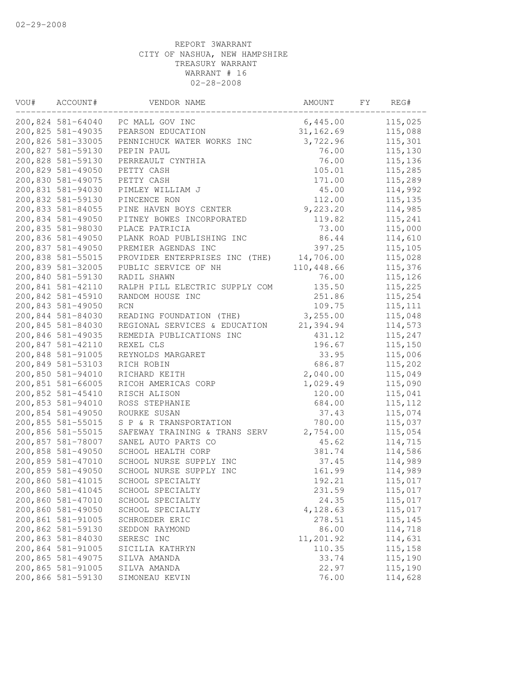| VOU# | ACCOUNT#          | VENDOR NAME                    | AMOUNT     | FΥ | REG#     |
|------|-------------------|--------------------------------|------------|----|----------|
|      | 200,824 581-64040 | PC MALL GOV INC                | 6,445.00   |    | 115,025  |
|      | 200,825 581-49035 | PEARSON EDUCATION              | 31, 162.69 |    | 115,088  |
|      | 200,826 581-33005 | PENNICHUCK WATER WORKS INC     | 3,722.96   |    | 115,301  |
|      | 200,827 581-59130 | PEPIN PAUL                     | 76.00      |    | 115,130  |
|      | 200,828 581-59130 | PERREAULT CYNTHIA              | 76.00      |    | 115,136  |
|      | 200,829 581-49050 | PETTY CASH                     | 105.01     |    | 115,285  |
|      | 200,830 581-49075 | PETTY CASH                     | 171.00     |    | 115,289  |
|      | 200,831 581-94030 | PIMLEY WILLIAM J               | 45.00      |    | 114,992  |
|      | 200,832 581-59130 | PINCENCE RON                   | 112.00     |    | 115, 135 |
|      | 200,833 581-84055 | PINE HAVEN BOYS CENTER         | 9,223.20   |    | 114,985  |
|      | 200,834 581-49050 | PITNEY BOWES INCORPORATED      | 119.82     |    | 115,241  |
|      | 200,835 581-98030 | PLACE PATRICIA                 | 73.00      |    | 115,000  |
|      | 200,836 581-49050 | PLANK ROAD PUBLISHING INC      | 86.44      |    | 114,610  |
|      | 200,837 581-49050 | PREMIER AGENDAS INC            | 397.25     |    | 115,105  |
|      | 200,838 581-55015 | PROVIDER ENTERPRISES INC (THE) | 14,706.00  |    | 115,028  |
|      | 200,839 581-32005 | PUBLIC SERVICE OF NH           | 110,448.66 |    | 115,376  |
|      | 200,840 581-59130 | RADIL SHAWN                    | 76.00      |    | 115,126  |
|      | 200,841 581-42110 | RALPH PILL ELECTRIC SUPPLY COM | 135.50     |    | 115,225  |
|      | 200,842 581-45910 | RANDOM HOUSE INC               | 251.86     |    | 115,254  |
|      | 200,843 581-49050 | <b>RCN</b>                     | 109.75     |    | 115, 111 |
|      | 200,844 581-84030 | READING FOUNDATION (THE)       | 3, 255.00  |    | 115,048  |
|      | 200,845 581-84030 | REGIONAL SERVICES & EDUCATION  | 21,394.94  |    | 114,573  |
|      | 200,846 581-49035 | REMEDIA PUBLICATIONS INC       | 431.12     |    | 115,247  |
|      | 200,847 581-42110 | REXEL CLS                      | 196.67     |    | 115,150  |
|      | 200,848 581-91005 | REYNOLDS MARGARET              | 33.95      |    | 115,006  |
|      | 200,849 581-53103 | RICH ROBIN                     | 686.87     |    | 115,202  |
|      | 200,850 581-94010 | RICHARD KEITH                  | 2,040.00   |    | 115,049  |
|      | 200,851 581-66005 | RICOH AMERICAS CORP            | 1,029.49   |    | 115,090  |
|      | 200,852 581-45410 | RISCH ALISON                   | 120.00     |    | 115,041  |
|      | 200,853 581-94010 | ROSS STEPHANIE                 | 684.00     |    | 115, 112 |
|      | 200,854 581-49050 | ROURKE SUSAN                   | 37.43      |    | 115,074  |
|      | 200,855 581-55015 | S P & R TRANSPORTATION         | 780.00     |    | 115,037  |
|      | 200,856 581-55015 | SAFEWAY TRAINING & TRANS SERV  | 2,754.00   |    | 115,054  |
|      | 200,857 581-78007 | SANEL AUTO PARTS CO            | 45.62      |    | 114,715  |
|      | 200,858 581-49050 | SCHOOL HEALTH CORP             | 381.74     |    | 114,586  |
|      | 200,859 581-47010 | SCHOOL NURSE SUPPLY INC        | 37.45      |    | 114,989  |
|      | 200,859 581-49050 | SCHOOL NURSE SUPPLY INC        | 161.99     |    | 114,989  |
|      | 200,860 581-41015 | SCHOOL SPECIALTY               | 192.21     |    | 115,017  |
|      | 200,860 581-41045 | SCHOOL SPECIALTY               | 231.59     |    | 115,017  |
|      | 200,860 581-47010 | SCHOOL SPECIALTY               | 24.35      |    | 115,017  |
|      | 200,860 581-49050 | SCHOOL SPECIALTY               | 4,128.63   |    | 115,017  |
|      | 200,861 581-91005 | SCHROEDER ERIC                 | 278.51     |    | 115,145  |
|      | 200,862 581-59130 | SEDDON RAYMOND                 | 86.00      |    | 114,718  |
|      | 200,863 581-84030 | SERESC INC                     | 11,201.92  |    | 114,631  |
|      | 200,864 581-91005 | SICILIA KATHRYN                | 110.35     |    | 115,158  |
|      | 200,865 581-49075 | SILVA AMANDA                   | 33.74      |    | 115,190  |
|      | 200,865 581-91005 | SILVA AMANDA                   | 22.97      |    | 115,190  |
|      | 200,866 581-59130 | SIMONEAU KEVIN                 | 76.00      |    | 114,628  |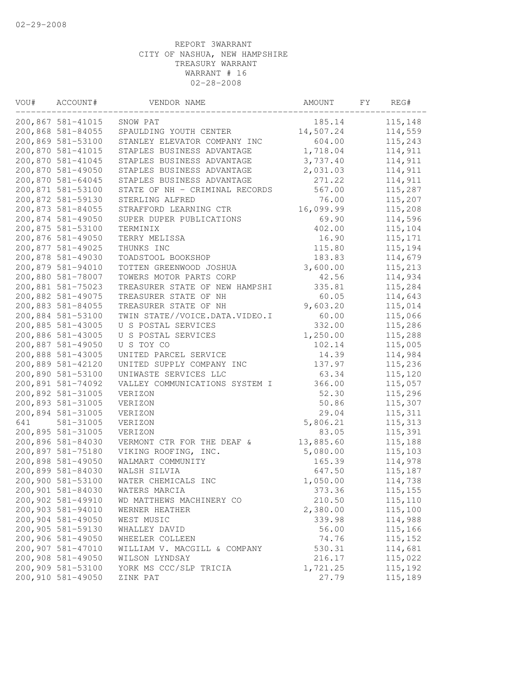| VOU# | ACCOUNT#          | VENDOR NAME                    | AMOUNT    | FΥ | REG#     |  |
|------|-------------------|--------------------------------|-----------|----|----------|--|
|      | 200,867 581-41015 | SNOW PAT                       | 185.14    |    | 115,148  |  |
|      | 200,868 581-84055 | SPAULDING YOUTH CENTER         | 14,507.24 |    | 114,559  |  |
|      | 200,869 581-53100 | STANLEY ELEVATOR COMPANY INC   | 604.00    |    | 115,243  |  |
|      | 200,870 581-41015 | STAPLES BUSINESS ADVANTAGE     | 1,718.04  |    | 114,911  |  |
|      | 200,870 581-41045 | STAPLES BUSINESS ADVANTAGE     | 3,737.40  |    | 114,911  |  |
|      | 200,870 581-49050 | STAPLES BUSINESS ADVANTAGE     | 2,031.03  |    | 114,911  |  |
|      | 200,870 581-64045 | STAPLES BUSINESS ADVANTAGE     | 271.22    |    | 114,911  |  |
|      | 200,871 581-53100 | STATE OF NH - CRIMINAL RECORDS | 567.00    |    | 115,287  |  |
|      | 200,872 581-59130 | STERLING ALFRED                | 76.00     |    | 115,207  |  |
|      | 200,873 581-84055 | STRAFFORD LEARNING CTR         | 16,099.99 |    | 115,208  |  |
|      | 200,874 581-49050 | SUPER DUPER PUBLICATIONS       | 69.90     |    | 114,596  |  |
|      | 200,875 581-53100 | TERMINIX                       | 402.00    |    | 115,104  |  |
|      | 200,876 581-49050 | TERRY MELISSA                  | 16.90     |    | 115,171  |  |
|      | 200,877 581-49025 | THUNKS INC                     | 115.80    |    | 115,194  |  |
|      | 200,878 581-49030 | TOADSTOOL BOOKSHOP             | 183.83    |    | 114,679  |  |
|      | 200,879 581-94010 | TOTTEN GREENWOOD JOSHUA        | 3,600.00  |    | 115,213  |  |
|      | 200,880 581-78007 | TOWERS MOTOR PARTS CORP        | 42.56     |    | 114,934  |  |
|      | 200,881 581-75023 | TREASURER STATE OF NEW HAMPSHI | 335.81    |    | 115,284  |  |
|      | 200,882 581-49075 | TREASURER STATE OF NH          | 60.05     |    | 114,643  |  |
|      | 200,883 581-84055 | TREASURER STATE OF NH          | 9,603.20  |    | 115,014  |  |
|      | 200,884 581-53100 | TWIN STATE//VOICE.DATA.VIDEO.I | 60.00     |    | 115,066  |  |
|      | 200,885 581-43005 | U S POSTAL SERVICES            | 332.00    |    | 115,286  |  |
|      | 200,886 581-43005 | U S POSTAL SERVICES            | 1,250.00  |    | 115,288  |  |
|      | 200,887 581-49050 | U S TOY CO                     | 102.14    |    | 115,005  |  |
|      | 200,888 581-43005 | UNITED PARCEL SERVICE          | 14.39     |    | 114,984  |  |
|      | 200,889 581-42120 | UNITED SUPPLY COMPANY INC      | 137.97    |    | 115,236  |  |
|      | 200,890 581-53100 | UNIWASTE SERVICES LLC          | 63.34     |    | 115,120  |  |
|      | 200,891 581-74092 | VALLEY COMMUNICATIONS SYSTEM I | 366.00    |    | 115,057  |  |
|      | 200,892 581-31005 | VERIZON                        | 52.30     |    | 115,296  |  |
|      | 200,893 581-31005 | VERIZON                        | 50.86     |    | 115,307  |  |
|      | 200,894 581-31005 | VERIZON                        | 29.04     |    | 115, 311 |  |
| 641  | 581-31005         | VERIZON                        | 5,806.21  |    | 115, 313 |  |
|      | 200,895 581-31005 | VERIZON                        | 83.05     |    | 115,391  |  |
|      | 200,896 581-84030 | VERMONT CTR FOR THE DEAF &     | 13,885.60 |    | 115,188  |  |
|      | 200,897 581-75180 | VIKING ROOFING, INC.           | 5,080.00  |    | 115,103  |  |
|      | 200,898 581-49050 | WALMART COMMUNITY              | 165.39    |    | 114,978  |  |
|      | 200,899 581-84030 | WALSH SILVIA                   | 647.50    |    | 115,187  |  |
|      | 200,900 581-53100 | WATER CHEMICALS INC            | 1,050.00  |    | 114,738  |  |
|      | 200,901 581-84030 | WATERS MARCIA                  | 373.36    |    | 115, 155 |  |
|      | 200,902 581-49910 | WD MATTHEWS MACHINERY CO       | 210.50    |    | 115,110  |  |
|      | 200,903 581-94010 | WERNER HEATHER                 | 2,380.00  |    | 115,100  |  |
|      | 200,904 581-49050 | WEST MUSIC                     | 339.98    |    | 114,988  |  |
|      | 200,905 581-59130 | WHALLEY DAVID                  | 56.00     |    | 115,166  |  |
|      | 200,906 581-49050 | WHEELER COLLEEN                | 74.76     |    | 115, 152 |  |
|      | 200,907 581-47010 | WILLIAM V. MACGILL & COMPANY   | 530.31    |    | 114,681  |  |
|      | 200,908 581-49050 | WILSON LYNDSAY                 | 216.17    |    | 115,022  |  |
|      | 200,909 581-53100 | YORK MS CCC/SLP TRICIA         | 1,721.25  |    | 115,192  |  |
|      | 200,910 581-49050 | ZINK PAT                       | 27.79     |    | 115,189  |  |
|      |                   |                                |           |    |          |  |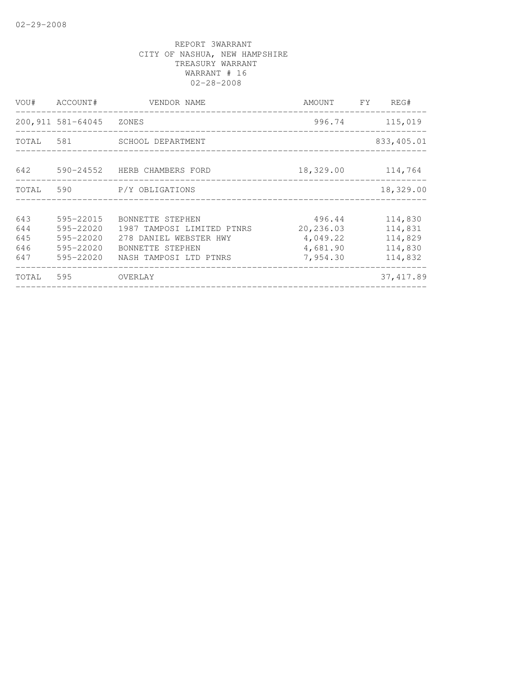|                   | VOU# ACCOUNT#                       | VENDOR NAME                                                          | AMOUNT FY                        | REG#                          |
|-------------------|-------------------------------------|----------------------------------------------------------------------|----------------------------------|-------------------------------|
|                   | 200,911 581-64045 ZONES             |                                                                      | 996.74                           | 115,019                       |
|                   |                                     | TOTAL 581 SCHOOL DEPARTMENT                                          |                                  | 833,405.01                    |
| 642               |                                     | 590-24552 HERB CHAMBERS FORD                                         | 18,329.00 114,764                |                               |
|                   |                                     | TOTAL 590 P/Y OBLIGATIONS                                            |                                  | 18,329.00                     |
| 643<br>644        | 595-22015<br>595-22020              | BONNETTE STEPHEN<br>1987 TAMPOSI LIMITED PTNRS                       | 496.44<br>20,236.03              | 114,830<br>114,831            |
| 645<br>646<br>647 | 595-22020<br>595-22020<br>595-22020 | 278 DANIEL WEBSTER HWY<br>BONNETTE STEPHEN<br>NASH TAMPOSI LTD PTNRS | 4,049.22<br>4,681.90<br>7,954.30 | 114,829<br>114,830<br>114,832 |
| TOTAL             | 595                                 | OVERLAY                                                              |                                  | 37, 417.89                    |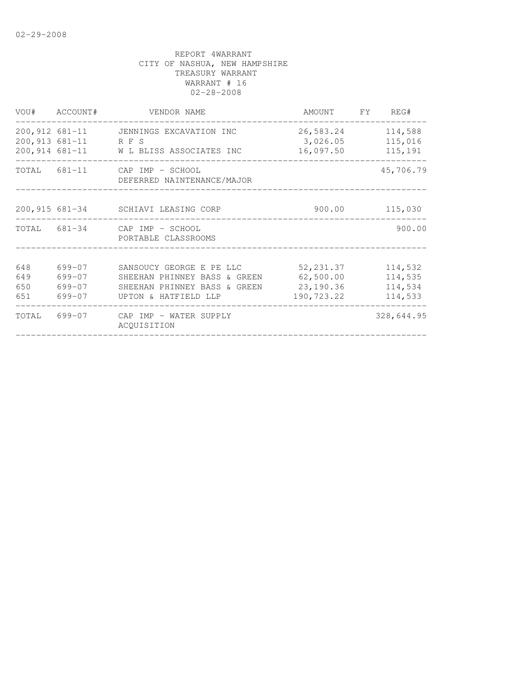|                          | VOU# ACCOUNT#                        | VENDOR NAME                                                                                                                | AMOUNT FY REG#                        |                                          |
|--------------------------|--------------------------------------|----------------------------------------------------------------------------------------------------------------------------|---------------------------------------|------------------------------------------|
|                          | 200,913 681-11 RFS                   | 200,912 681-11 JENNINGS EXCAVATION INC<br>200,914 681-11 W L BLISS ASSOCIATES INC                                          | 26,583.24<br>3,026.05<br>16,097.50    | 114,588<br>115,016<br>115,191            |
|                          |                                      | TOTAL 681-11 CAP IMP - SCHOOL<br>DEFERRED NAINTENANCE/MAJOR                                                                | --------------------------------      | 45,706.79                                |
|                          |                                      | 200,915 681-34 SCHIAVI LEASING CORP                                                                                        | 900.00                                | 115,030                                  |
|                          |                                      | TOTAL 681-34 CAP IMP - SCHOOL<br>PORTABLE CLASSROOMS                                                                       |                                       | 900.00                                   |
| 648<br>649<br>650<br>651 | 699-07<br>699-07<br>699-07<br>699-07 | SANSOUCY GEORGE E PE LLC<br>SHEEHAN PHINNEY BASS & GREEN<br>SHEEHAN PHINNEY BASS & GREEN 23,190.36<br>UPTON & HATFIELD LLP | 52, 231.37<br>62,500.00<br>190,723.22 | 114,532<br>114,535<br>114,534<br>114,533 |
|                          |                                      | TOTAL 699-07 CAP IMP - WATER SUPPLY<br>ACQUISITION                                                                         |                                       | 328,644.95                               |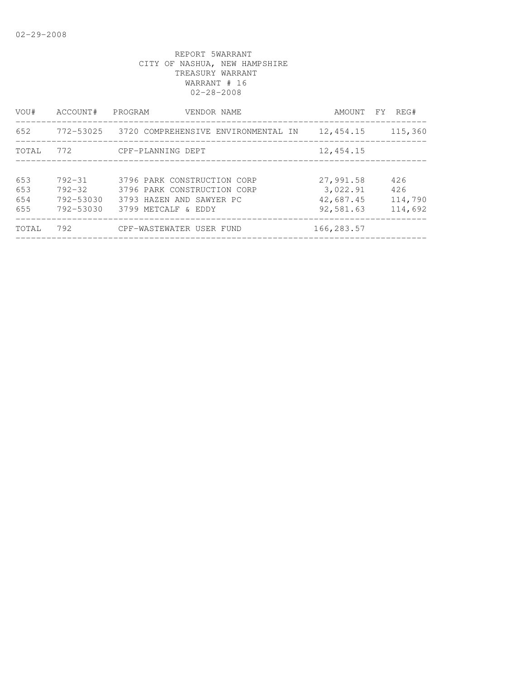| VOU#                     | ACCOUNT#                                           | PROGRAM<br>VENDOR NAME                                                                                        | AMOUNT FY                                       | REG#                             |
|--------------------------|----------------------------------------------------|---------------------------------------------------------------------------------------------------------------|-------------------------------------------------|----------------------------------|
| 652                      |                                                    | 772-53025 3720 COMPREHENSIVE ENVIRONMENTAL IN                                                                 | 12,454.15                                       | 115,360                          |
| TOTAL                    | 772                                                | CPF-PLANNING DEPT                                                                                             | 12,454.15                                       |                                  |
| 653<br>653<br>654<br>655 | $792 - 31$<br>$792 - 32$<br>792-53030<br>792-53030 | 3796 PARK CONSTRUCTION CORP<br>3796 PARK CONSTRUCTION CORP<br>3793 HAZEN AND SAWYER PC<br>3799 METCALF & EDDY | 27,991.58<br>3,022.91<br>42,687.45<br>92,581.63 | 426<br>426<br>114,790<br>114,692 |
| TOTAL                    | 792                                                | CPF-WASTEWATER USER FUND                                                                                      | 166,283.57                                      |                                  |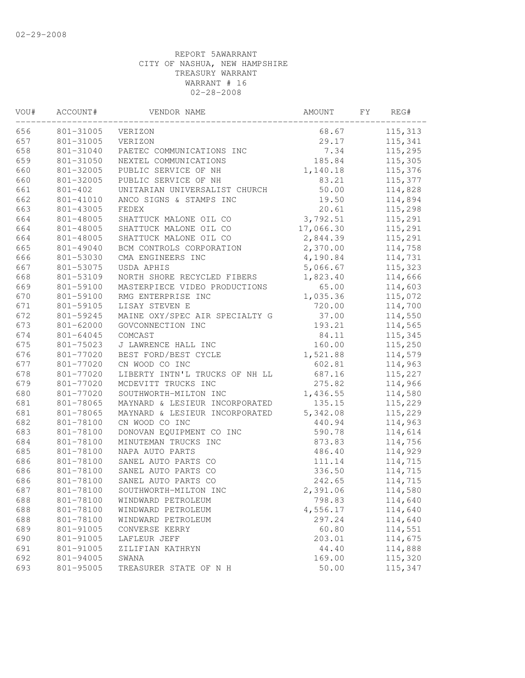| VOU# | ACCOUNT#      | VENDOR NAME                    | AMOUNT    | FY | REG#    |
|------|---------------|--------------------------------|-----------|----|---------|
| 656  | 801-31005     | VERIZON                        | 68.67     |    | 115,313 |
| 657  | 801-31005     | VERIZON                        | 29.17     |    | 115,341 |
| 658  | 801-31040     | PAETEC COMMUNICATIONS INC      | 7.34      |    | 115,295 |
| 659  | 801-31050     | NEXTEL COMMUNICATIONS          | 185.84    |    | 115,305 |
| 660  | 801-32005     | PUBLIC SERVICE OF NH           | 1,140.18  |    | 115,376 |
| 660  | 801-32005     | PUBLIC SERVICE OF NH           | 83.21     |    | 115,377 |
| 661  | $801 - 402$   | UNITARIAN UNIVERSALIST CHURCH  | 50.00     |    | 114,828 |
| 662  | 801-41010     | ANCO SIGNS & STAMPS INC        | 19.50     |    | 114,894 |
| 663  | 801-43005     | <b>FEDEX</b>                   | 20.61     |    | 115,298 |
| 664  | 801-48005     | SHATTUCK MALONE OIL CO         | 3,792.51  |    | 115,291 |
| 664  | 801-48005     | SHATTUCK MALONE OIL CO         | 17,066.30 |    | 115,291 |
| 664  | 801-48005     | SHATTUCK MALONE OIL CO         | 2,844.39  |    | 115,291 |
| 665  | 801-49040     | BCM CONTROLS CORPORATION       | 2,370.00  |    | 114,758 |
| 666  | 801-53030     | CMA ENGINEERS INC              | 4,190.84  |    | 114,731 |
| 667  | 801-53075     | USDA APHIS                     | 5,066.67  |    | 115,323 |
| 668  | 801-53109     | NORTH SHORE RECYCLED FIBERS    | 1,823.40  |    | 114,666 |
| 669  | 801-59100     | MASTERPIECE VIDEO PRODUCTIONS  | 65.00     |    | 114,603 |
| 670  | 801-59100     | RMG ENTERPRISE INC             | 1,035.36  |    | 115,072 |
| 671  | 801-59105     | LISAY STEVEN E                 | 720.00    |    | 114,700 |
| 672  | 801-59245     | MAINE OXY/SPEC AIR SPECIALTY G | 37.00     |    | 114,550 |
| 673  | $801 - 62000$ | GOVCONNECTION INC              | 193.21    |    | 114,565 |
| 674  | 801-64045     | COMCAST                        | 84.11     |    | 115,345 |
| 675  | 801-75023     | J LAWRENCE HALL INC            | 160.00    |    | 115,250 |
| 676  | 801-77020     | BEST FORD/BEST CYCLE           | 1,521.88  |    | 114,579 |
| 677  | 801-77020     | CN WOOD CO INC                 | 602.81    |    | 114,963 |
| 678  | 801-77020     | LIBERTY INTN'L TRUCKS OF NH LL | 687.16    |    | 115,227 |
| 679  | 801-77020     | MCDEVITT TRUCKS INC            | 275.82    |    | 114,966 |
| 680  | 801-77020     | SOUTHWORTH-MILTON INC          | 1,436.55  |    | 114,580 |
| 681  | 801-78065     | MAYNARD & LESIEUR INCORPORATED | 135.15    |    | 115,229 |
| 681  | 801-78065     | MAYNARD & LESIEUR INCORPORATED | 5,342.08  |    | 115,229 |
| 682  | 801-78100     | CN WOOD CO INC                 | 440.94    |    | 114,963 |
| 683  | 801-78100     | DONOVAN EQUIPMENT CO INC       | 590.78    |    | 114,614 |
| 684  | 801-78100     | MINUTEMAN TRUCKS INC           | 873.83    |    | 114,756 |
| 685  | 801-78100     | NAPA AUTO PARTS                | 486.40    |    | 114,929 |
| 686  | 801-78100     | SANEL AUTO PARTS CO            | 111.14    |    | 114,715 |
| 686  | 801-78100     | SANEL AUTO PARTS CO            | 336.50    |    | 114,715 |
| 686  | 801-78100     | SANEL AUTO PARTS CO            | 242.65    |    | 114,715 |
| 687  | 801-78100     | SOUTHWORTH-MILTON INC          | 2,391.06  |    | 114,580 |
| 688  | 801-78100     | WINDWARD PETROLEUM             | 798.83    |    | 114,640 |
| 688  | 801-78100     | WINDWARD PETROLEUM             | 4,556.17  |    | 114,640 |
| 688  | 801-78100     | WINDWARD PETROLEUM             | 297.24    |    | 114,640 |
| 689  | 801-91005     | CONVERSE KERRY                 | 60.80     |    | 114,551 |
| 690  | 801-91005     | LAFLEUR JEFF                   | 203.01    |    | 114,675 |
| 691  | 801-91005     | ZILIFIAN KATHRYN               | 44.40     |    | 114,888 |
| 692  | 801-94005     | SWANA                          | 169.00    |    | 115,320 |
| 693  | 801-95005     | TREASURER STATE OF N H         | 50.00     |    | 115,347 |
|      |               |                                |           |    |         |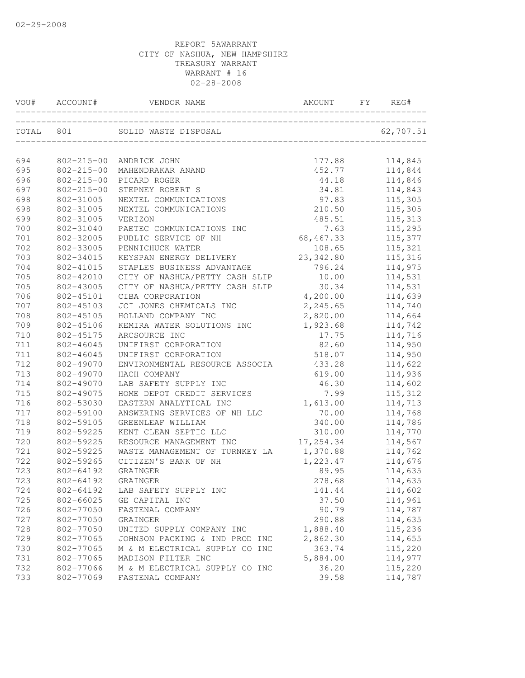| 694<br>177.88<br>114,845<br>802-215-00<br>ANDRICK JOHN<br>695<br>$802 - 215 - 00$<br>452.77<br>114,844<br>MAHENDRAKAR ANAND<br>696<br>$802 - 215 - 00$<br>114,846<br>PICARD ROGER<br>44.18<br>697<br>$802 - 215 - 00$<br>114,843<br>STEPNEY ROBERT S<br>34.81<br>698<br>97.83<br>115,305<br>802-31005<br>NEXTEL COMMUNICATIONS<br>115,305<br>698<br>802-31005<br>210.50<br>NEXTEL COMMUNICATIONS<br>115,313<br>699<br>802-31005<br>VERIZON<br>485.51<br>700<br>802-31040<br>7.63<br>115,295<br>PAETEC COMMUNICATIONS INC<br>701<br>802-32005<br>68,467.33<br>115,377<br>PUBLIC SERVICE OF NH<br>702<br>802-33005<br>PENNICHUCK WATER<br>108.65<br>115,321<br>703<br>802-34015<br>KEYSPAN ENERGY DELIVERY<br>23, 342.80<br>115,316<br>704<br>802-41015<br>STAPLES BUSINESS ADVANTAGE<br>796.24<br>114,975<br>705<br>802-42010<br>10.00<br>114,531<br>CITY OF NASHUA/PETTY CASH SLIP<br>705<br>802-43005<br>30.34<br>114,531<br>CITY OF NASHUA/PETTY CASH SLIP<br>4,200.00<br>114,639<br>706<br>802-45101<br>CIBA CORPORATION<br>2,245.65<br>114,740<br>707<br>802-45103<br>JCI JONES CHEMICALS INC<br>2,820.00<br>114,664<br>708<br>802-45105<br>HOLLAND COMPANY INC<br>709<br>802-45106<br>KEMIRA WATER SOLUTIONS INC<br>1,923.68<br>114,742<br>710<br>802-45175<br>ARCSOURCE INC<br>17.75<br>114,716<br>82.60<br>711<br>802-46045<br>UNIFIRST CORPORATION<br>114,950<br>711<br>802-46045<br>518.07<br>114,950<br>UNIFIRST CORPORATION<br>712<br>114,622<br>802-49070<br>ENVIRONMENTAL RESOURCE ASSOCIA<br>433.28<br>713<br>619.00<br>114,936<br>802-49070<br>HACH COMPANY<br>714<br>802-49070<br>46.30<br>114,602<br>LAB SAFETY SUPPLY INC<br>115,312<br>715<br>802-49075<br>HOME DEPOT CREDIT SERVICES<br>7.99<br>716<br>802-53030<br>1,613.00<br>114,713<br>EASTERN ANALYTICAL INC<br>717<br>802-59100<br>ANSWERING SERVICES OF NH LLC<br>70.00<br>114,768<br>718<br>802-59105<br>340.00<br>GREENLEAF WILLIAM<br>114,786<br>719<br>802-59225<br>310.00<br>KENT CLEAN SEPTIC LLC<br>114,770<br>720<br>802-59225<br>RESOURCE MANAGEMENT INC<br>17,254.34<br>114,567<br>721<br>802-59225<br>1,370.88<br>WASTE MANAGEMENT OF TURNKEY LA<br>114,762<br>722<br>802-59265<br>CITIZEN'S BANK OF NH<br>1,223.47<br>114,676<br>723<br>802-64192<br>89.95<br>GRAINGER<br>114,635<br>723<br>278.68<br>802-64192<br>114,635<br>GRAINGER<br>114,602<br>724<br>802-64192<br>LAB SAFETY SUPPLY INC<br>141.44<br>725<br>802-66025<br>37.50<br>114,961<br>GE CAPITAL INC<br>726<br>90.79<br>802-77050<br>FASTENAL COMPANY<br>114,787<br>727<br>290.88<br>114,635<br>802-77050<br>GRAINGER<br>728<br>1,888.40<br>802-77050<br>UNITED SUPPLY COMPANY INC<br>115,236<br>729<br>802-77065<br>JOHNSON PACKING & IND PROD INC<br>2,862.30<br>114,655<br>363.74<br>730<br>802-77065<br>M & M ELECTRICAL SUPPLY CO INC<br>115,220<br>731<br>802-77065<br>MADISON FILTER INC<br>5,884.00<br>114,977<br>115,220<br>732<br>802-77066<br>M & M ELECTRICAL SUPPLY CO INC<br>36.20<br>802-77069<br>114,787<br>733<br>FASTENAL COMPANY<br>39.58 | VOU# ACCOUNT# |  | REG# |  |
|-------------------------------------------------------------------------------------------------------------------------------------------------------------------------------------------------------------------------------------------------------------------------------------------------------------------------------------------------------------------------------------------------------------------------------------------------------------------------------------------------------------------------------------------------------------------------------------------------------------------------------------------------------------------------------------------------------------------------------------------------------------------------------------------------------------------------------------------------------------------------------------------------------------------------------------------------------------------------------------------------------------------------------------------------------------------------------------------------------------------------------------------------------------------------------------------------------------------------------------------------------------------------------------------------------------------------------------------------------------------------------------------------------------------------------------------------------------------------------------------------------------------------------------------------------------------------------------------------------------------------------------------------------------------------------------------------------------------------------------------------------------------------------------------------------------------------------------------------------------------------------------------------------------------------------------------------------------------------------------------------------------------------------------------------------------------------------------------------------------------------------------------------------------------------------------------------------------------------------------------------------------------------------------------------------------------------------------------------------------------------------------------------------------------------------------------------------------------------------------------------------------------------------------------------------------------------------------------------------------------------------------------------------------------------------------------------------------------------------------------------------------------------------------------------------------------------------------------------------------------------------------------------------------------------------------------------------------------------------------------------------------------|---------------|--|------|--|
|                                                                                                                                                                                                                                                                                                                                                                                                                                                                                                                                                                                                                                                                                                                                                                                                                                                                                                                                                                                                                                                                                                                                                                                                                                                                                                                                                                                                                                                                                                                                                                                                                                                                                                                                                                                                                                                                                                                                                                                                                                                                                                                                                                                                                                                                                                                                                                                                                                                                                                                                                                                                                                                                                                                                                                                                                                                                                                                                                                                                                   |               |  |      |  |
|                                                                                                                                                                                                                                                                                                                                                                                                                                                                                                                                                                                                                                                                                                                                                                                                                                                                                                                                                                                                                                                                                                                                                                                                                                                                                                                                                                                                                                                                                                                                                                                                                                                                                                                                                                                                                                                                                                                                                                                                                                                                                                                                                                                                                                                                                                                                                                                                                                                                                                                                                                                                                                                                                                                                                                                                                                                                                                                                                                                                                   |               |  |      |  |
|                                                                                                                                                                                                                                                                                                                                                                                                                                                                                                                                                                                                                                                                                                                                                                                                                                                                                                                                                                                                                                                                                                                                                                                                                                                                                                                                                                                                                                                                                                                                                                                                                                                                                                                                                                                                                                                                                                                                                                                                                                                                                                                                                                                                                                                                                                                                                                                                                                                                                                                                                                                                                                                                                                                                                                                                                                                                                                                                                                                                                   |               |  |      |  |
|                                                                                                                                                                                                                                                                                                                                                                                                                                                                                                                                                                                                                                                                                                                                                                                                                                                                                                                                                                                                                                                                                                                                                                                                                                                                                                                                                                                                                                                                                                                                                                                                                                                                                                                                                                                                                                                                                                                                                                                                                                                                                                                                                                                                                                                                                                                                                                                                                                                                                                                                                                                                                                                                                                                                                                                                                                                                                                                                                                                                                   |               |  |      |  |
|                                                                                                                                                                                                                                                                                                                                                                                                                                                                                                                                                                                                                                                                                                                                                                                                                                                                                                                                                                                                                                                                                                                                                                                                                                                                                                                                                                                                                                                                                                                                                                                                                                                                                                                                                                                                                                                                                                                                                                                                                                                                                                                                                                                                                                                                                                                                                                                                                                                                                                                                                                                                                                                                                                                                                                                                                                                                                                                                                                                                                   |               |  |      |  |
|                                                                                                                                                                                                                                                                                                                                                                                                                                                                                                                                                                                                                                                                                                                                                                                                                                                                                                                                                                                                                                                                                                                                                                                                                                                                                                                                                                                                                                                                                                                                                                                                                                                                                                                                                                                                                                                                                                                                                                                                                                                                                                                                                                                                                                                                                                                                                                                                                                                                                                                                                                                                                                                                                                                                                                                                                                                                                                                                                                                                                   |               |  |      |  |
|                                                                                                                                                                                                                                                                                                                                                                                                                                                                                                                                                                                                                                                                                                                                                                                                                                                                                                                                                                                                                                                                                                                                                                                                                                                                                                                                                                                                                                                                                                                                                                                                                                                                                                                                                                                                                                                                                                                                                                                                                                                                                                                                                                                                                                                                                                                                                                                                                                                                                                                                                                                                                                                                                                                                                                                                                                                                                                                                                                                                                   |               |  |      |  |
|                                                                                                                                                                                                                                                                                                                                                                                                                                                                                                                                                                                                                                                                                                                                                                                                                                                                                                                                                                                                                                                                                                                                                                                                                                                                                                                                                                                                                                                                                                                                                                                                                                                                                                                                                                                                                                                                                                                                                                                                                                                                                                                                                                                                                                                                                                                                                                                                                                                                                                                                                                                                                                                                                                                                                                                                                                                                                                                                                                                                                   |               |  |      |  |
|                                                                                                                                                                                                                                                                                                                                                                                                                                                                                                                                                                                                                                                                                                                                                                                                                                                                                                                                                                                                                                                                                                                                                                                                                                                                                                                                                                                                                                                                                                                                                                                                                                                                                                                                                                                                                                                                                                                                                                                                                                                                                                                                                                                                                                                                                                                                                                                                                                                                                                                                                                                                                                                                                                                                                                                                                                                                                                                                                                                                                   |               |  |      |  |
|                                                                                                                                                                                                                                                                                                                                                                                                                                                                                                                                                                                                                                                                                                                                                                                                                                                                                                                                                                                                                                                                                                                                                                                                                                                                                                                                                                                                                                                                                                                                                                                                                                                                                                                                                                                                                                                                                                                                                                                                                                                                                                                                                                                                                                                                                                                                                                                                                                                                                                                                                                                                                                                                                                                                                                                                                                                                                                                                                                                                                   |               |  |      |  |
|                                                                                                                                                                                                                                                                                                                                                                                                                                                                                                                                                                                                                                                                                                                                                                                                                                                                                                                                                                                                                                                                                                                                                                                                                                                                                                                                                                                                                                                                                                                                                                                                                                                                                                                                                                                                                                                                                                                                                                                                                                                                                                                                                                                                                                                                                                                                                                                                                                                                                                                                                                                                                                                                                                                                                                                                                                                                                                                                                                                                                   |               |  |      |  |
|                                                                                                                                                                                                                                                                                                                                                                                                                                                                                                                                                                                                                                                                                                                                                                                                                                                                                                                                                                                                                                                                                                                                                                                                                                                                                                                                                                                                                                                                                                                                                                                                                                                                                                                                                                                                                                                                                                                                                                                                                                                                                                                                                                                                                                                                                                                                                                                                                                                                                                                                                                                                                                                                                                                                                                                                                                                                                                                                                                                                                   |               |  |      |  |
|                                                                                                                                                                                                                                                                                                                                                                                                                                                                                                                                                                                                                                                                                                                                                                                                                                                                                                                                                                                                                                                                                                                                                                                                                                                                                                                                                                                                                                                                                                                                                                                                                                                                                                                                                                                                                                                                                                                                                                                                                                                                                                                                                                                                                                                                                                                                                                                                                                                                                                                                                                                                                                                                                                                                                                                                                                                                                                                                                                                                                   |               |  |      |  |
|                                                                                                                                                                                                                                                                                                                                                                                                                                                                                                                                                                                                                                                                                                                                                                                                                                                                                                                                                                                                                                                                                                                                                                                                                                                                                                                                                                                                                                                                                                                                                                                                                                                                                                                                                                                                                                                                                                                                                                                                                                                                                                                                                                                                                                                                                                                                                                                                                                                                                                                                                                                                                                                                                                                                                                                                                                                                                                                                                                                                                   |               |  |      |  |
|                                                                                                                                                                                                                                                                                                                                                                                                                                                                                                                                                                                                                                                                                                                                                                                                                                                                                                                                                                                                                                                                                                                                                                                                                                                                                                                                                                                                                                                                                                                                                                                                                                                                                                                                                                                                                                                                                                                                                                                                                                                                                                                                                                                                                                                                                                                                                                                                                                                                                                                                                                                                                                                                                                                                                                                                                                                                                                                                                                                                                   |               |  |      |  |
|                                                                                                                                                                                                                                                                                                                                                                                                                                                                                                                                                                                                                                                                                                                                                                                                                                                                                                                                                                                                                                                                                                                                                                                                                                                                                                                                                                                                                                                                                                                                                                                                                                                                                                                                                                                                                                                                                                                                                                                                                                                                                                                                                                                                                                                                                                                                                                                                                                                                                                                                                                                                                                                                                                                                                                                                                                                                                                                                                                                                                   |               |  |      |  |
|                                                                                                                                                                                                                                                                                                                                                                                                                                                                                                                                                                                                                                                                                                                                                                                                                                                                                                                                                                                                                                                                                                                                                                                                                                                                                                                                                                                                                                                                                                                                                                                                                                                                                                                                                                                                                                                                                                                                                                                                                                                                                                                                                                                                                                                                                                                                                                                                                                                                                                                                                                                                                                                                                                                                                                                                                                                                                                                                                                                                                   |               |  |      |  |
|                                                                                                                                                                                                                                                                                                                                                                                                                                                                                                                                                                                                                                                                                                                                                                                                                                                                                                                                                                                                                                                                                                                                                                                                                                                                                                                                                                                                                                                                                                                                                                                                                                                                                                                                                                                                                                                                                                                                                                                                                                                                                                                                                                                                                                                                                                                                                                                                                                                                                                                                                                                                                                                                                                                                                                                                                                                                                                                                                                                                                   |               |  |      |  |
|                                                                                                                                                                                                                                                                                                                                                                                                                                                                                                                                                                                                                                                                                                                                                                                                                                                                                                                                                                                                                                                                                                                                                                                                                                                                                                                                                                                                                                                                                                                                                                                                                                                                                                                                                                                                                                                                                                                                                                                                                                                                                                                                                                                                                                                                                                                                                                                                                                                                                                                                                                                                                                                                                                                                                                                                                                                                                                                                                                                                                   |               |  |      |  |
|                                                                                                                                                                                                                                                                                                                                                                                                                                                                                                                                                                                                                                                                                                                                                                                                                                                                                                                                                                                                                                                                                                                                                                                                                                                                                                                                                                                                                                                                                                                                                                                                                                                                                                                                                                                                                                                                                                                                                                                                                                                                                                                                                                                                                                                                                                                                                                                                                                                                                                                                                                                                                                                                                                                                                                                                                                                                                                                                                                                                                   |               |  |      |  |
|                                                                                                                                                                                                                                                                                                                                                                                                                                                                                                                                                                                                                                                                                                                                                                                                                                                                                                                                                                                                                                                                                                                                                                                                                                                                                                                                                                                                                                                                                                                                                                                                                                                                                                                                                                                                                                                                                                                                                                                                                                                                                                                                                                                                                                                                                                                                                                                                                                                                                                                                                                                                                                                                                                                                                                                                                                                                                                                                                                                                                   |               |  |      |  |
|                                                                                                                                                                                                                                                                                                                                                                                                                                                                                                                                                                                                                                                                                                                                                                                                                                                                                                                                                                                                                                                                                                                                                                                                                                                                                                                                                                                                                                                                                                                                                                                                                                                                                                                                                                                                                                                                                                                                                                                                                                                                                                                                                                                                                                                                                                                                                                                                                                                                                                                                                                                                                                                                                                                                                                                                                                                                                                                                                                                                                   |               |  |      |  |
|                                                                                                                                                                                                                                                                                                                                                                                                                                                                                                                                                                                                                                                                                                                                                                                                                                                                                                                                                                                                                                                                                                                                                                                                                                                                                                                                                                                                                                                                                                                                                                                                                                                                                                                                                                                                                                                                                                                                                                                                                                                                                                                                                                                                                                                                                                                                                                                                                                                                                                                                                                                                                                                                                                                                                                                                                                                                                                                                                                                                                   |               |  |      |  |
|                                                                                                                                                                                                                                                                                                                                                                                                                                                                                                                                                                                                                                                                                                                                                                                                                                                                                                                                                                                                                                                                                                                                                                                                                                                                                                                                                                                                                                                                                                                                                                                                                                                                                                                                                                                                                                                                                                                                                                                                                                                                                                                                                                                                                                                                                                                                                                                                                                                                                                                                                                                                                                                                                                                                                                                                                                                                                                                                                                                                                   |               |  |      |  |
|                                                                                                                                                                                                                                                                                                                                                                                                                                                                                                                                                                                                                                                                                                                                                                                                                                                                                                                                                                                                                                                                                                                                                                                                                                                                                                                                                                                                                                                                                                                                                                                                                                                                                                                                                                                                                                                                                                                                                                                                                                                                                                                                                                                                                                                                                                                                                                                                                                                                                                                                                                                                                                                                                                                                                                                                                                                                                                                                                                                                                   |               |  |      |  |
|                                                                                                                                                                                                                                                                                                                                                                                                                                                                                                                                                                                                                                                                                                                                                                                                                                                                                                                                                                                                                                                                                                                                                                                                                                                                                                                                                                                                                                                                                                                                                                                                                                                                                                                                                                                                                                                                                                                                                                                                                                                                                                                                                                                                                                                                                                                                                                                                                                                                                                                                                                                                                                                                                                                                                                                                                                                                                                                                                                                                                   |               |  |      |  |
|                                                                                                                                                                                                                                                                                                                                                                                                                                                                                                                                                                                                                                                                                                                                                                                                                                                                                                                                                                                                                                                                                                                                                                                                                                                                                                                                                                                                                                                                                                                                                                                                                                                                                                                                                                                                                                                                                                                                                                                                                                                                                                                                                                                                                                                                                                                                                                                                                                                                                                                                                                                                                                                                                                                                                                                                                                                                                                                                                                                                                   |               |  |      |  |
|                                                                                                                                                                                                                                                                                                                                                                                                                                                                                                                                                                                                                                                                                                                                                                                                                                                                                                                                                                                                                                                                                                                                                                                                                                                                                                                                                                                                                                                                                                                                                                                                                                                                                                                                                                                                                                                                                                                                                                                                                                                                                                                                                                                                                                                                                                                                                                                                                                                                                                                                                                                                                                                                                                                                                                                                                                                                                                                                                                                                                   |               |  |      |  |
|                                                                                                                                                                                                                                                                                                                                                                                                                                                                                                                                                                                                                                                                                                                                                                                                                                                                                                                                                                                                                                                                                                                                                                                                                                                                                                                                                                                                                                                                                                                                                                                                                                                                                                                                                                                                                                                                                                                                                                                                                                                                                                                                                                                                                                                                                                                                                                                                                                                                                                                                                                                                                                                                                                                                                                                                                                                                                                                                                                                                                   |               |  |      |  |
|                                                                                                                                                                                                                                                                                                                                                                                                                                                                                                                                                                                                                                                                                                                                                                                                                                                                                                                                                                                                                                                                                                                                                                                                                                                                                                                                                                                                                                                                                                                                                                                                                                                                                                                                                                                                                                                                                                                                                                                                                                                                                                                                                                                                                                                                                                                                                                                                                                                                                                                                                                                                                                                                                                                                                                                                                                                                                                                                                                                                                   |               |  |      |  |
|                                                                                                                                                                                                                                                                                                                                                                                                                                                                                                                                                                                                                                                                                                                                                                                                                                                                                                                                                                                                                                                                                                                                                                                                                                                                                                                                                                                                                                                                                                                                                                                                                                                                                                                                                                                                                                                                                                                                                                                                                                                                                                                                                                                                                                                                                                                                                                                                                                                                                                                                                                                                                                                                                                                                                                                                                                                                                                                                                                                                                   |               |  |      |  |
|                                                                                                                                                                                                                                                                                                                                                                                                                                                                                                                                                                                                                                                                                                                                                                                                                                                                                                                                                                                                                                                                                                                                                                                                                                                                                                                                                                                                                                                                                                                                                                                                                                                                                                                                                                                                                                                                                                                                                                                                                                                                                                                                                                                                                                                                                                                                                                                                                                                                                                                                                                                                                                                                                                                                                                                                                                                                                                                                                                                                                   |               |  |      |  |
|                                                                                                                                                                                                                                                                                                                                                                                                                                                                                                                                                                                                                                                                                                                                                                                                                                                                                                                                                                                                                                                                                                                                                                                                                                                                                                                                                                                                                                                                                                                                                                                                                                                                                                                                                                                                                                                                                                                                                                                                                                                                                                                                                                                                                                                                                                                                                                                                                                                                                                                                                                                                                                                                                                                                                                                                                                                                                                                                                                                                                   |               |  |      |  |
|                                                                                                                                                                                                                                                                                                                                                                                                                                                                                                                                                                                                                                                                                                                                                                                                                                                                                                                                                                                                                                                                                                                                                                                                                                                                                                                                                                                                                                                                                                                                                                                                                                                                                                                                                                                                                                                                                                                                                                                                                                                                                                                                                                                                                                                                                                                                                                                                                                                                                                                                                                                                                                                                                                                                                                                                                                                                                                                                                                                                                   |               |  |      |  |
|                                                                                                                                                                                                                                                                                                                                                                                                                                                                                                                                                                                                                                                                                                                                                                                                                                                                                                                                                                                                                                                                                                                                                                                                                                                                                                                                                                                                                                                                                                                                                                                                                                                                                                                                                                                                                                                                                                                                                                                                                                                                                                                                                                                                                                                                                                                                                                                                                                                                                                                                                                                                                                                                                                                                                                                                                                                                                                                                                                                                                   |               |  |      |  |
|                                                                                                                                                                                                                                                                                                                                                                                                                                                                                                                                                                                                                                                                                                                                                                                                                                                                                                                                                                                                                                                                                                                                                                                                                                                                                                                                                                                                                                                                                                                                                                                                                                                                                                                                                                                                                                                                                                                                                                                                                                                                                                                                                                                                                                                                                                                                                                                                                                                                                                                                                                                                                                                                                                                                                                                                                                                                                                                                                                                                                   |               |  |      |  |
|                                                                                                                                                                                                                                                                                                                                                                                                                                                                                                                                                                                                                                                                                                                                                                                                                                                                                                                                                                                                                                                                                                                                                                                                                                                                                                                                                                                                                                                                                                                                                                                                                                                                                                                                                                                                                                                                                                                                                                                                                                                                                                                                                                                                                                                                                                                                                                                                                                                                                                                                                                                                                                                                                                                                                                                                                                                                                                                                                                                                                   |               |  |      |  |
|                                                                                                                                                                                                                                                                                                                                                                                                                                                                                                                                                                                                                                                                                                                                                                                                                                                                                                                                                                                                                                                                                                                                                                                                                                                                                                                                                                                                                                                                                                                                                                                                                                                                                                                                                                                                                                                                                                                                                                                                                                                                                                                                                                                                                                                                                                                                                                                                                                                                                                                                                                                                                                                                                                                                                                                                                                                                                                                                                                                                                   |               |  |      |  |
|                                                                                                                                                                                                                                                                                                                                                                                                                                                                                                                                                                                                                                                                                                                                                                                                                                                                                                                                                                                                                                                                                                                                                                                                                                                                                                                                                                                                                                                                                                                                                                                                                                                                                                                                                                                                                                                                                                                                                                                                                                                                                                                                                                                                                                                                                                                                                                                                                                                                                                                                                                                                                                                                                                                                                                                                                                                                                                                                                                                                                   |               |  |      |  |
|                                                                                                                                                                                                                                                                                                                                                                                                                                                                                                                                                                                                                                                                                                                                                                                                                                                                                                                                                                                                                                                                                                                                                                                                                                                                                                                                                                                                                                                                                                                                                                                                                                                                                                                                                                                                                                                                                                                                                                                                                                                                                                                                                                                                                                                                                                                                                                                                                                                                                                                                                                                                                                                                                                                                                                                                                                                                                                                                                                                                                   |               |  |      |  |
|                                                                                                                                                                                                                                                                                                                                                                                                                                                                                                                                                                                                                                                                                                                                                                                                                                                                                                                                                                                                                                                                                                                                                                                                                                                                                                                                                                                                                                                                                                                                                                                                                                                                                                                                                                                                                                                                                                                                                                                                                                                                                                                                                                                                                                                                                                                                                                                                                                                                                                                                                                                                                                                                                                                                                                                                                                                                                                                                                                                                                   |               |  |      |  |
|                                                                                                                                                                                                                                                                                                                                                                                                                                                                                                                                                                                                                                                                                                                                                                                                                                                                                                                                                                                                                                                                                                                                                                                                                                                                                                                                                                                                                                                                                                                                                                                                                                                                                                                                                                                                                                                                                                                                                                                                                                                                                                                                                                                                                                                                                                                                                                                                                                                                                                                                                                                                                                                                                                                                                                                                                                                                                                                                                                                                                   |               |  |      |  |
|                                                                                                                                                                                                                                                                                                                                                                                                                                                                                                                                                                                                                                                                                                                                                                                                                                                                                                                                                                                                                                                                                                                                                                                                                                                                                                                                                                                                                                                                                                                                                                                                                                                                                                                                                                                                                                                                                                                                                                                                                                                                                                                                                                                                                                                                                                                                                                                                                                                                                                                                                                                                                                                                                                                                                                                                                                                                                                                                                                                                                   |               |  |      |  |
|                                                                                                                                                                                                                                                                                                                                                                                                                                                                                                                                                                                                                                                                                                                                                                                                                                                                                                                                                                                                                                                                                                                                                                                                                                                                                                                                                                                                                                                                                                                                                                                                                                                                                                                                                                                                                                                                                                                                                                                                                                                                                                                                                                                                                                                                                                                                                                                                                                                                                                                                                                                                                                                                                                                                                                                                                                                                                                                                                                                                                   |               |  |      |  |
|                                                                                                                                                                                                                                                                                                                                                                                                                                                                                                                                                                                                                                                                                                                                                                                                                                                                                                                                                                                                                                                                                                                                                                                                                                                                                                                                                                                                                                                                                                                                                                                                                                                                                                                                                                                                                                                                                                                                                                                                                                                                                                                                                                                                                                                                                                                                                                                                                                                                                                                                                                                                                                                                                                                                                                                                                                                                                                                                                                                                                   |               |  |      |  |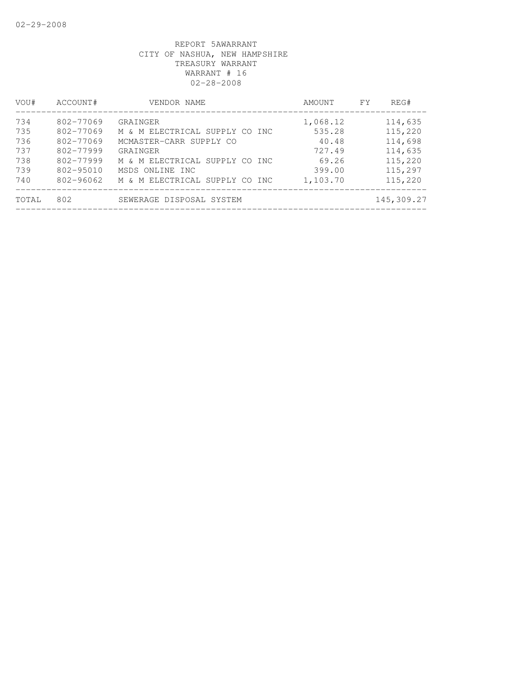| VOU#  | ACCOUNT#      | VENDOR NAME                    | AMOUNT   | FY. | REG#       |
|-------|---------------|--------------------------------|----------|-----|------------|
| 734   | 802-77069     | GRAINGER                       | 1,068.12 |     | 114,635    |
| 735   | 802-77069     | M & M ELECTRICAL SUPPLY CO INC | 535.28   |     | 115,220    |
| 736   | 802-77069     | MCMASTER-CARR SUPPLY CO        | 40.48    |     | 114,698    |
| 737   | 802-77999     | GRAINGER                       | 727.49   |     | 114,635    |
| 738   | 802-77999     | M & M ELECTRICAL SUPPLY CO INC | 69.26    |     | 115,220    |
| 739   | $802 - 95010$ | MSDS ONLINE INC                | 399.00   |     | 115,297    |
| 740   | 802-96062     | M & M ELECTRICAL SUPPLY CO INC | 1,103.70 |     | 115,220    |
| TOTAL | 802           | SEWERAGE DISPOSAL SYSTEM       |          |     | 145,309.27 |
|       |               |                                |          |     |            |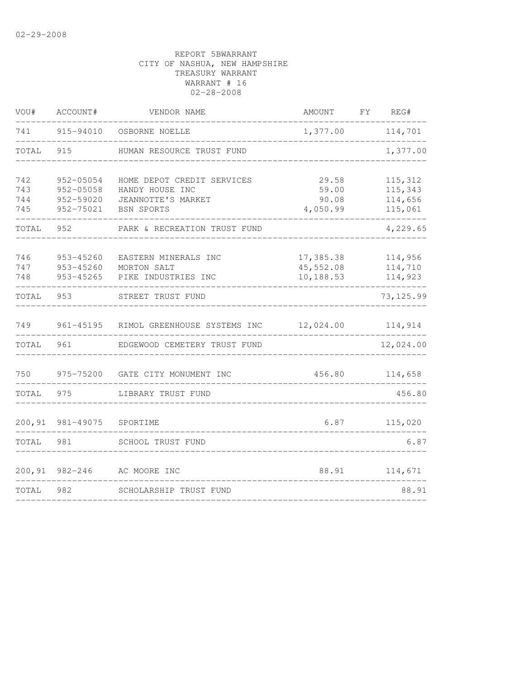| VOU#                     | ACCOUNT#                                         | VENDOR NAME                                                                                                                     |          | FY | REG#                                     |
|--------------------------|--------------------------------------------------|---------------------------------------------------------------------------------------------------------------------------------|----------|----|------------------------------------------|
| 741                      | 915-94010                                        | OSBORNE NOELLE                                                                                                                  | 1,377.00 |    | 114,701                                  |
| TOTAL                    | 915                                              | HUMAN RESOURCE TRUST FUND                                                                                                       |          |    | 1,377.00                                 |
| 742<br>743<br>744<br>745 | 952-05054<br>952-05058<br>952-59020<br>952-75021 | HOME DEPOT CREDIT SERVICES<br>29.58<br>HANDY HOUSE INC<br>59.00<br>JEANNOTTE'S MARKET<br>90.08<br><b>BSN SPORTS</b><br>4,050.99 |          |    | 115,312<br>115,343<br>114,656<br>115,061 |
| TOTAL                    | 952                                              | PARK & RECREATION TRUST FUND                                                                                                    |          |    | 4,229.65                                 |
| 746<br>747<br>748        | 953-45260<br>953-45260<br>953-45265              | EASTERN MINERALS INC<br>17,385.38<br>45,552.08<br>MORTON SALT<br>10,188.53<br>PIKE INDUSTRIES INC                               |          |    | 114,956<br>114,710<br>114,923            |
| TOTAL                    | 953                                              | STREET TRUST FUND                                                                                                               |          |    | 73, 125.99                               |
| 749                      | 961-45195                                        | RIMOL GREENHOUSE SYSTEMS INC<br>12,024.00                                                                                       |          |    | 114,914                                  |
| TOTAL                    | 961                                              | EDGEWOOD CEMETERY TRUST FUND                                                                                                    |          |    | 12,024.00                                |
| 750                      |                                                  | 975-75200 GATE CITY MONUMENT INC<br>456.80                                                                                      |          |    | 114,658                                  |
| TOTAL                    | 975                                              | LIBRARY TRUST FUND                                                                                                              |          |    | 456.80                                   |
| 200,91                   | 981-49075                                        | 6.87<br>SPORTIME                                                                                                                |          |    | 115,020                                  |
| TOTAL                    | 981                                              | SCHOOL TRUST FUND                                                                                                               |          |    | 6.87                                     |
| 200,91                   | $982 - 246$                                      | AC MOORE INC                                                                                                                    | 88.91    |    | 114,671                                  |
| TOTAL                    | 982                                              | SCHOLARSHIP TRUST FUND                                                                                                          |          |    | 88.91                                    |
|                          |                                                  |                                                                                                                                 |          |    |                                          |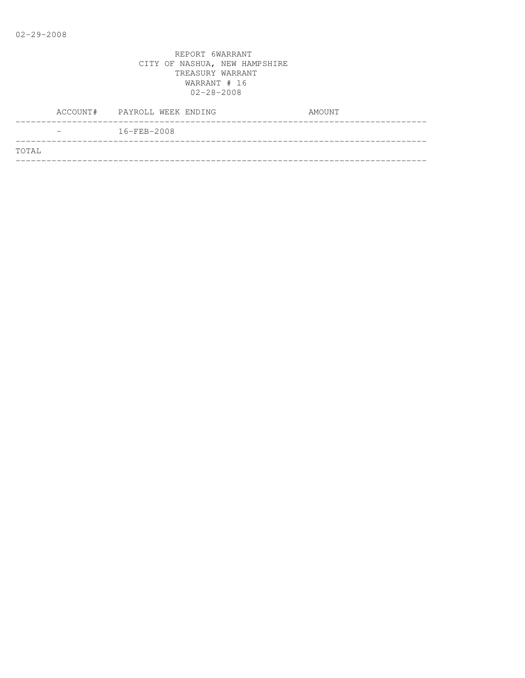|       | $16 - FEB - 2008$ |  |
|-------|-------------------|--|
| TOTAL |                   |  |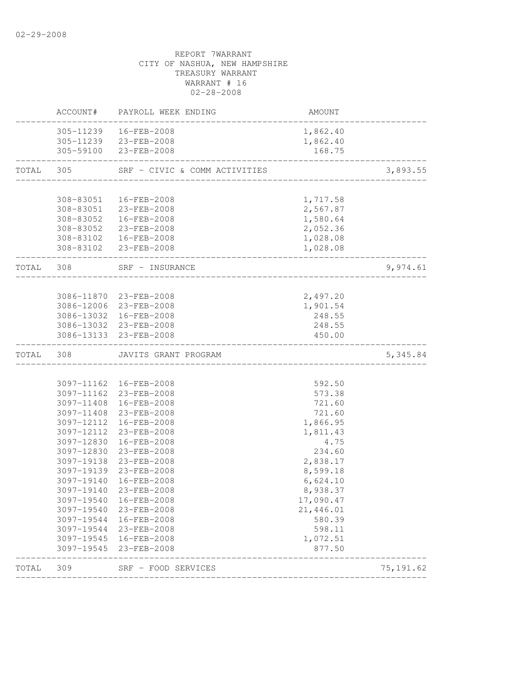|           |                          | ACCOUNT# PAYROLL WEEK ENDING                       | AMOUNT               |            |
|-----------|--------------------------|----------------------------------------------------|----------------------|------------|
|           |                          | 305-11239  16-FEB-2008                             | 1,862.40             |            |
|           |                          | 305-11239 23-FEB-2008                              | 1,862.40             |            |
|           |                          | 305-59100 23-FEB-2008                              | 168.75               |            |
| TOTAL 305 |                          | SRF - CIVIC & COMM ACTIVITIES                      |                      | 3,893.55   |
|           |                          |                                                    |                      |            |
|           | 308-83051                | 16-FEB-2008                                        | 1,717.58             |            |
|           | 308-83052                | 308-83051 23-FEB-2008<br>16-FEB-2008               | 2,567.87             |            |
|           |                          |                                                    | 1,580.64             |            |
|           |                          | 308-83052 23-FEB-2008                              | 2,052.36             |            |
|           |                          | 308-83102  16-FEB-2008<br>308-83102 23-FEB-2008    | 1,028.08<br>1,028.08 |            |
| TOTAL 308 |                          | SRF - INSURANCE                                    |                      | 9,974.61   |
|           |                          |                                                    |                      |            |
|           |                          | 3086-11870 23-FEB-2008                             | 2,497.20             |            |
|           |                          | 3086-12006 23-FEB-2008                             | 1,901.54             |            |
|           |                          | 3086-13032 16-FEB-2008                             | 248.55               |            |
|           |                          | 3086-13032 23-FEB-2008                             | 248.55               |            |
|           |                          | 3086-13133 23-FEB-2008                             | 450.00               |            |
| TOTAL 308 |                          | JAVITS GRANT PROGRAM<br>__________________________ |                      | 5, 345.84  |
|           |                          |                                                    |                      |            |
|           |                          | 3097-11162 16-FEB-2008                             | 592.50               |            |
|           |                          | 3097-11162 23-FEB-2008                             | 573.38               |            |
|           | 3097-11408               | 16-FEB-2008                                        | 721.60               |            |
|           |                          | 3097-11408 23-FEB-2008                             | 721.60               |            |
|           |                          | 3097-12112 16-FEB-2008                             | 1,866.95             |            |
|           | 3097-12112               | 23-FEB-2008                                        | 1,811.43             |            |
|           | 3097-12830               | 16-FEB-2008                                        | 4.75                 |            |
|           |                          | 3097-12830 23-FEB-2008                             | 234.60               |            |
|           | 3097-19138               | 23-FEB-2008                                        | 2,838.17             |            |
|           | 3097-19139               | 23-FEB-2008                                        | 8,599.18             |            |
|           | 3097-19140               | 16-FEB-2008                                        | 6,624.10             |            |
|           |                          | 3097-19140 23-FEB-2008                             | 8,938.37             |            |
|           | 3097-19540               | 16-FEB-2008                                        | 17,090.47            |            |
|           | 3097-19540               | 23-FEB-2008                                        | 21,446.01            |            |
|           | 3097-19544               | 16-FEB-2008                                        | 580.39               |            |
|           | 3097-19544               | 23-FEB-2008                                        | 598.11               |            |
|           | 3097-19545<br>3097-19545 | 16-FEB-2008<br>23-FEB-2008                         | 1,072.51<br>877.50   |            |
| TOTAL     | 309                      | SRF - FOOD SERVICES                                |                      | 75, 191.62 |
|           |                          |                                                    |                      |            |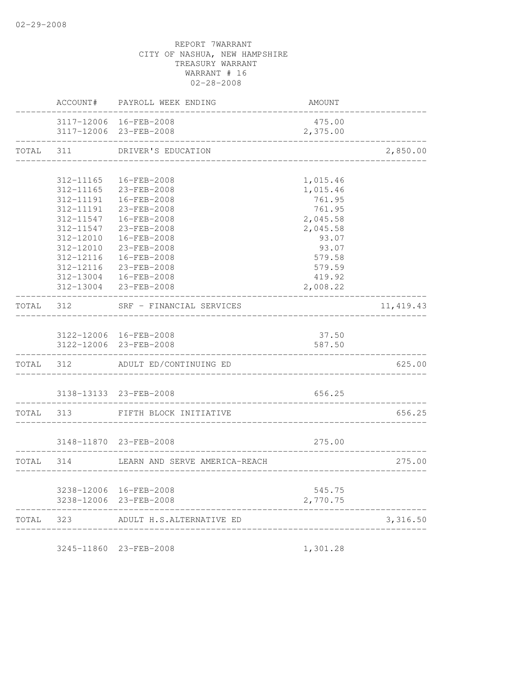|           | ACCOUNT#  | PAYROLL WEEK ENDING                              | AMOUNT             |            |
|-----------|-----------|--------------------------------------------------|--------------------|------------|
|           |           | 3117-12006 16-FEB-2008<br>3117-12006 23-FEB-2008 | 475.00<br>2,375.00 |            |
|           |           | TOTAL 311 DRIVER'S EDUCATION                     |                    | 2,850.00   |
|           |           |                                                  |                    |            |
|           | 312-11165 | 16-FEB-2008                                      | 1,015.46           |            |
|           | 312-11165 | 23-FEB-2008                                      | 1,015.46           |            |
|           | 312-11191 | 312-11191  16-FEB-2008<br>23-FEB-2008            | 761.95<br>761.95   |            |
|           | 312-11547 | 16-FEB-2008                                      | 2,045.58           |            |
|           |           | 312-11547 23-FEB-2008                            | 2,045.58           |            |
|           | 312-12010 | 16-FEB-2008                                      | 93.07              |            |
|           | 312-12010 | 23-FEB-2008                                      | 93.07              |            |
|           |           | 312-12116  16-FEB-2008                           | 579.58             |            |
|           | 312-12116 | $23 - FEB - 2008$                                | 579.59             |            |
|           |           | 312-13004  16-FEB-2008                           | 419.92             |            |
|           |           | 312-13004 23-FEB-2008                            | 2,008.22           |            |
|           | TOTAL 312 | SRF - FINANCIAL SERVICES                         |                    | 11, 419.43 |
|           |           |                                                  |                    |            |
|           |           | 3122-12006 16-FEB-2008                           | 37.50              |            |
|           |           | 3122-12006 23-FEB-2008                           | 587.50             |            |
|           | TOTAL 312 | ADULT ED/CONTINUING ED                           |                    | 625.00     |
|           |           |                                                  |                    |            |
|           |           | 3138-13133 23-FEB-2008                           | 656.25             |            |
| TOTAL 313 |           | FIFTH BLOCK INITIATIVE                           |                    | 656.25     |
|           |           |                                                  |                    |            |
|           |           | 3148-11870 23-FEB-2008                           | 275.00             |            |
| TOTAL 314 |           | LEARN AND SERVE AMERICA-REACH                    |                    | 275.00     |
|           |           |                                                  |                    |            |
|           |           | 3238-12006 16-FEB-2008                           | 545.75             |            |
|           |           | 3238-12006 23-FEB-2008                           | 2,770.75           |            |
| TOTAL 323 |           | ADULT H.S.ALTERNATIVE ED                         |                    | 3,316.50   |
|           |           | __________________                               |                    |            |

3245-11860 23-FEB-2008 1,301.28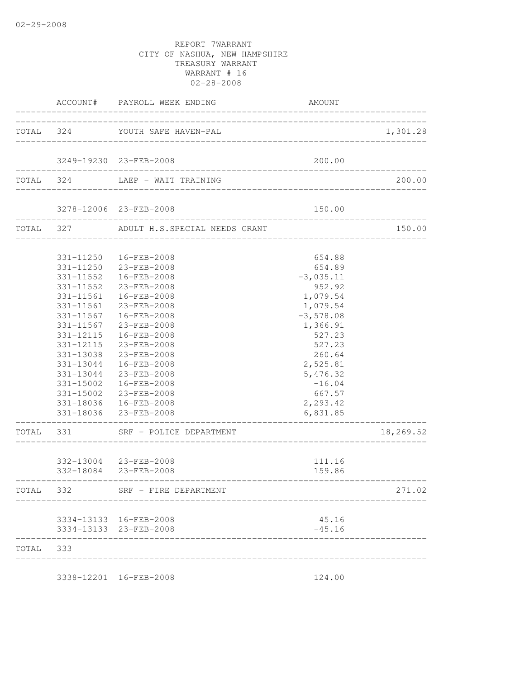|           |                                                                            | ACCOUNT# PAYROLL WEEK ENDING                                                                                                                                                                                                                                                                                                                                                   | AMOUNT                                                                                                                                                                                           |           |
|-----------|----------------------------------------------------------------------------|--------------------------------------------------------------------------------------------------------------------------------------------------------------------------------------------------------------------------------------------------------------------------------------------------------------------------------------------------------------------------------|--------------------------------------------------------------------------------------------------------------------------------------------------------------------------------------------------|-----------|
|           |                                                                            | TOTAL 324 YOUTH SAFE HAVEN-PAL                                                                                                                                                                                                                                                                                                                                                 | _______________________                                                                                                                                                                          | 1,301.28  |
|           |                                                                            | 3249-19230 23-FEB-2008                                                                                                                                                                                                                                                                                                                                                         | 200.00                                                                                                                                                                                           |           |
| TOTAL 324 |                                                                            | LAEP - WAIT TRAINING                                                                                                                                                                                                                                                                                                                                                           |                                                                                                                                                                                                  | 200.00    |
|           |                                                                            | 3278-12006 23-FEB-2008                                                                                                                                                                                                                                                                                                                                                         | 150.00                                                                                                                                                                                           |           |
|           | TOTAL 327                                                                  | ADULT H.S.SPECIAL NEEDS GRANT                                                                                                                                                                                                                                                                                                                                                  |                                                                                                                                                                                                  | 150.00    |
|           | 331-11552<br>331-11561<br>331-11561<br>331-11567<br>331-11567<br>331-12115 | 331-11250  16-FEB-2008<br>331-11250 23-FEB-2008<br>331-11552  16-FEB-2008<br>23-FEB-2008<br>16-FEB-2008<br>23-FEB-2008<br>16-FEB-2008<br>23-FEB-2008<br>16-FEB-2008<br>331-12115 23-FEB-2008<br>331-13038 23-FEB-2008<br>331-13044  16-FEB-2008<br>331-13044 23-FEB-2008<br>331-15002  16-FEB-2008<br>331-15002 23-FEB-2008<br>331-18036  16-FEB-2008<br>331-18036 23-FEB-2008 | 654.88<br>654.89<br>$-3,035.11$<br>952.92<br>1,079.54<br>1,079.54<br>$-3,578.08$<br>1,366.91<br>527.23<br>527.23<br>260.64<br>2,525.81<br>5,476.32<br>$-16.04$<br>667.57<br>2,293.42<br>6,831.85 |           |
|           | ----------------                                                           | TOTAL 331 SRF - POLICE DEPARTMENT                                                                                                                                                                                                                                                                                                                                              |                                                                                                                                                                                                  | 18,269.52 |
|           |                                                                            | 332-13004 23-FEB-2008<br>332-18084 23-FEB-2008                                                                                                                                                                                                                                                                                                                                 | 111.16<br>159.86                                                                                                                                                                                 |           |
| TOTAL     | 332                                                                        | SRF - FIRE DEPARTMENT                                                                                                                                                                                                                                                                                                                                                          |                                                                                                                                                                                                  | 271.02    |
|           |                                                                            | 3334-13133 16-FEB-2008<br>3334-13133 23-FEB-2008                                                                                                                                                                                                                                                                                                                               | 45.16<br>$-45.16$                                                                                                                                                                                |           |
| TOTAL 333 |                                                                            |                                                                                                                                                                                                                                                                                                                                                                                |                                                                                                                                                                                                  |           |
|           |                                                                            | 3338-12201 16-FEB-2008                                                                                                                                                                                                                                                                                                                                                         | 124.00                                                                                                                                                                                           |           |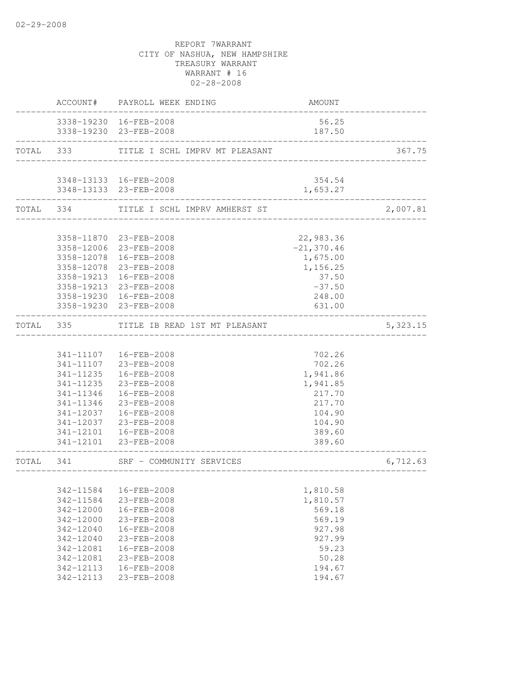|           |           | ACCOUNT# PAYROLL WEEK ENDING                         | AMOUNT             |           |
|-----------|-----------|------------------------------------------------------|--------------------|-----------|
|           |           | 3338-19230 16-FEB-2008<br>3338-19230 23-FEB-2008     | 56.25<br>187.50    |           |
|           |           | TOTAL 333 TITLE I SCHL IMPRV MT PLEASANT             |                    | 367.75    |
|           |           |                                                      |                    |           |
|           |           | 3348-13133 16-FEB-2008<br>3348-13133 23-FEB-2008     | 354.54<br>1,653.27 |           |
|           |           | TOTAL 334 TITLE I SCHL IMPRV AMHERST ST              |                    | 2,007.81  |
|           |           |                                                      |                    |           |
|           |           | 3358-11870 23-FEB-2008                               | 22,983.36          |           |
|           |           | 3358-12006 23-FEB-2008                               | $-21, 370.46$      |           |
|           |           | 3358-12078  16-FEB-2008                              | 1,675.00           |           |
|           |           | 3358-12078 23-FEB-2008                               | 1,156.25           |           |
|           |           | 3358-19213 16-FEB-2008                               | 37.50              |           |
|           |           | 3358-19213 23-FEB-2008                               | $-37.50$           |           |
|           |           | 3358-19230 16-FEB-2008                               | 248.00             |           |
|           |           | 3358-19230 23-FEB-2008                               | 631.00             |           |
| TOTAL     | 335       | TITLE IB READ 1ST MT PLEASANT<br>___________________ |                    | 5, 323.15 |
|           |           |                                                      |                    |           |
|           |           | 341-11107  16-FEB-2008                               | 702.26             |           |
|           |           | 341-11107 23-FEB-2008                                | 702.26             |           |
|           | 341-11235 | 16-FEB-2008                                          | 1,941.86           |           |
|           | 341-11235 | 23-FEB-2008                                          | 1,941.85           |           |
|           | 341-11346 | 16-FEB-2008                                          | 217.70             |           |
|           | 341-11346 | 23-FEB-2008                                          | 217.70             |           |
|           | 341-12037 | 16-FEB-2008                                          | 104.90             |           |
|           | 341-12037 | 23-FEB-2008                                          | 104.90             |           |
|           |           | 341-12101  16-FEB-2008                               | 389.60             |           |
|           |           | 341-12101 23-FEB-2008                                | 389.60             |           |
| TOTAL 341 |           | SRF - COMMUNITY SERVICES                             |                    | 6,712.63  |
|           |           |                                                      |                    |           |
|           | 342-11584 | 16-FEB-2008                                          | 1,810.58           |           |
|           | 342-11584 | 23-FEB-2008                                          | 1,810.57           |           |
|           | 342-12000 | 16-FEB-2008                                          | 569.18             |           |
|           | 342-12000 | 23-FEB-2008                                          | 569.19             |           |
|           | 342-12040 | 16-FEB-2008                                          | 927.98             |           |
|           | 342-12040 | 23-FEB-2008                                          | 927.99             |           |
|           | 342-12081 | 16-FEB-2008                                          | 59.23              |           |
|           | 342-12081 | 23-FEB-2008                                          | 50.28              |           |
|           | 342-12113 | 16-FEB-2008                                          | 194.67             |           |
|           | 342-12113 | 23-FEB-2008                                          | 194.67             |           |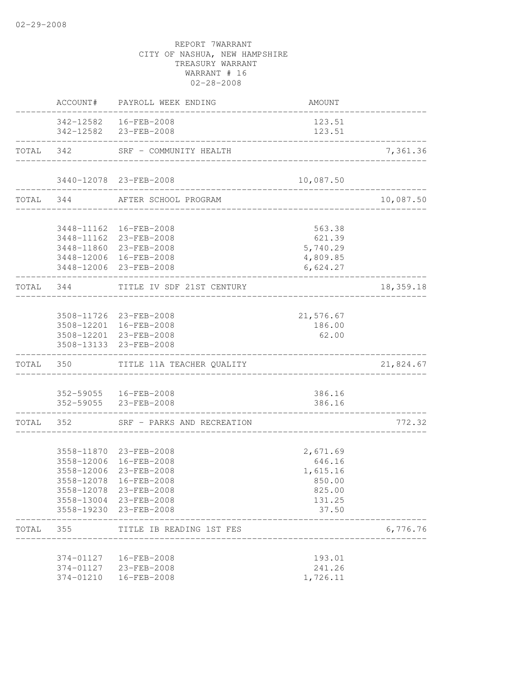|           | ACCOUNT#   | PAYROLL WEEK ENDING                             | AMOUNT                                   |           |
|-----------|------------|-------------------------------------------------|------------------------------------------|-----------|
|           |            | 342-12582  16-FEB-2008<br>342-12582 23-FEB-2008 | 123.51<br>123.51<br>-------------------- |           |
|           | TOTAL 342  | SRF - COMMUNITY HEALTH                          | ______________________________________   | 7,361.36  |
|           |            | 3440-12078 23-FEB-2008                          | 10,087.50                                |           |
|           | TOTAL 344  | AFTER SCHOOL PROGRAM                            |                                          | 10,087.50 |
|           |            | 3448-11162  16-FEB-2008                         | 563.38                                   |           |
|           |            | 3448-11162 23-FEB-2008                          | 621.39                                   |           |
|           |            | 3448-11860 23-FEB-2008                          | 5,740.29                                 |           |
|           |            | 3448-12006 16-FEB-2008                          | 4,809.85                                 |           |
|           |            | 3448-12006 23-FEB-2008                          | 6,624.27                                 |           |
|           |            | TOTAL 344 TITLE IV SDF 21ST CENTURY             | _________________                        | 18,359.18 |
|           |            | 3508-11726 23-FEB-2008                          | 21,576.67                                |           |
|           |            | 3508-12201 16-FEB-2008                          | 186.00                                   |           |
|           |            | 3508-12201 23-FEB-2008                          | 62.00                                    |           |
|           |            | 3508-13133 23-FEB-2008                          |                                          |           |
|           |            | TOTAL 350 TITLE 11A TEACHER QUALITY             |                                          | 21,824.67 |
|           |            | 352-59055  16-FEB-2008                          | 386.16                                   |           |
|           |            | 352-59055 23-FEB-2008                           | 386.16                                   |           |
| TOTAL 352 |            | SRF - PARKS AND RECREATION                      | ________________                         | 772.32    |
|           |            | 3558-11870 23-FEB-2008                          |                                          |           |
|           |            | 3558-12006 16-FEB-2008                          | 2,671.69<br>646.16                       |           |
|           | 3558-12006 | 23-FEB-2008                                     | 1,615.16                                 |           |
|           | 3558-12078 | 16-FEB-2008                                     | 850.00                                   |           |
|           |            | 3558-12078 23-FEB-2008                          | 825.00                                   |           |
|           |            | 3558-13004 23-FEB-2008                          | 131.25                                   |           |
|           |            | 3558-19230 23-FEB-2008                          | 37.50                                    |           |
| TOTAL 355 |            | TITLE IB READING 1ST FES                        |                                          | 6,776.76  |
|           | 374-01127  | 16-FEB-2008                                     | 193.01                                   |           |
|           | 374-01127  | 23-FEB-2008                                     | 241.26                                   |           |
|           | 374-01210  | 16-FEB-2008                                     | 1,726.11                                 |           |
|           |            |                                                 |                                          |           |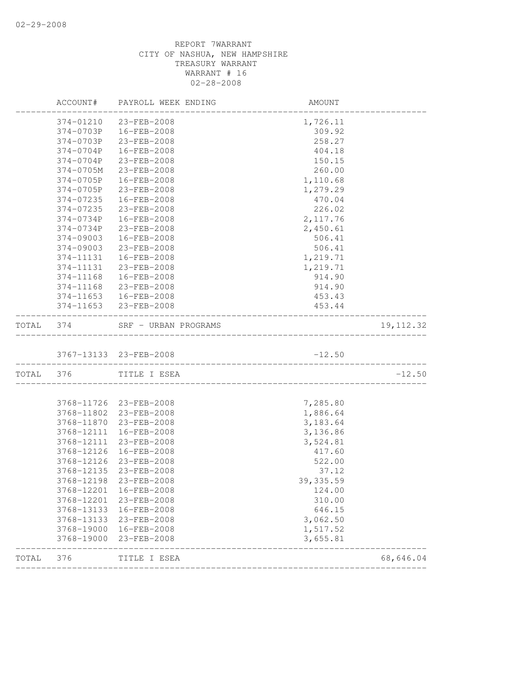| ACCOUNT#   | PAYROLL WEEK ENDING | AMOUNT                                                                                                                                                                                                                     |                                                 |
|------------|---------------------|----------------------------------------------------------------------------------------------------------------------------------------------------------------------------------------------------------------------------|-------------------------------------------------|
| 374-01210  | 23-FEB-2008         | 1,726.11                                                                                                                                                                                                                   |                                                 |
| 374-0703P  | 16-FEB-2008         | 309.92                                                                                                                                                                                                                     |                                                 |
| 374-0703P  | 23-FEB-2008         | 258.27                                                                                                                                                                                                                     |                                                 |
| 374-0704P  | 16-FEB-2008         | 404.18                                                                                                                                                                                                                     |                                                 |
| 374-0704P  | 23-FEB-2008         | 150.15                                                                                                                                                                                                                     |                                                 |
| 374-0705M  | 23-FEB-2008         | 260.00                                                                                                                                                                                                                     |                                                 |
| 374-0705P  | 16-FEB-2008         | 1,110.68                                                                                                                                                                                                                   |                                                 |
| 374-0705P  | 23-FEB-2008         | 1,279.29                                                                                                                                                                                                                   |                                                 |
| 374-07235  | 16-FEB-2008         | 470.04                                                                                                                                                                                                                     |                                                 |
| 374-07235  | 23-FEB-2008         | 226.02                                                                                                                                                                                                                     |                                                 |
| 374-0734P  | 16-FEB-2008         | 2, 117.76                                                                                                                                                                                                                  |                                                 |
| 374-0734P  | 23-FEB-2008         | 2,450.61                                                                                                                                                                                                                   |                                                 |
| 374-09003  | 16-FEB-2008         | 506.41                                                                                                                                                                                                                     |                                                 |
| 374-09003  | 23-FEB-2008         | 506.41                                                                                                                                                                                                                     |                                                 |
| 374-11131  | 16-FEB-2008         | 1,219.71                                                                                                                                                                                                                   |                                                 |
| 374-11131  | 23-FEB-2008         | 1,219.71                                                                                                                                                                                                                   |                                                 |
| 374-11168  | 16-FEB-2008         | 914.90                                                                                                                                                                                                                     |                                                 |
| 374-11168  | 23-FEB-2008         | 914.90                                                                                                                                                                                                                     |                                                 |
| 374-11653  |                     | 453.43                                                                                                                                                                                                                     |                                                 |
|            |                     | 453.44                                                                                                                                                                                                                     |                                                 |
| 374        |                     |                                                                                                                                                                                                                            | 19, 112.32                                      |
|            |                     | $-12.50$                                                                                                                                                                                                                   |                                                 |
| TOTAL 376  |                     |                                                                                                                                                                                                                            | $-12.50$                                        |
|            |                     |                                                                                                                                                                                                                            |                                                 |
| 3768-11726 |                     | 7,285.80                                                                                                                                                                                                                   |                                                 |
| 3768-11802 |                     | 1,886.64                                                                                                                                                                                                                   |                                                 |
| 3768-11870 | 23-FEB-2008         | 3,183.64                                                                                                                                                                                                                   |                                                 |
| 3768-12111 | 16-FEB-2008         | 3,136.86                                                                                                                                                                                                                   |                                                 |
| 3768-12111 | 23-FEB-2008         | 3,524.81                                                                                                                                                                                                                   |                                                 |
| 3768-12126 | 16-FEB-2008         | 417.60                                                                                                                                                                                                                     |                                                 |
| 3768-12126 | 23-FEB-2008         | 522.00                                                                                                                                                                                                                     |                                                 |
| 3768-12135 | 23-FEB-2008         | 37.12                                                                                                                                                                                                                      |                                                 |
|            |                     | 39, 335.59                                                                                                                                                                                                                 |                                                 |
| 3768-12201 |                     | 124.00                                                                                                                                                                                                                     |                                                 |
| 3768-12201 |                     | 310.00                                                                                                                                                                                                                     |                                                 |
| 3768-13133 |                     | 646.15                                                                                                                                                                                                                     |                                                 |
| 3768-13133 | 23-FEB-2008         | 3,062.50                                                                                                                                                                                                                   |                                                 |
| 3768-19000 |                     | 1,517.52                                                                                                                                                                                                                   |                                                 |
| 3768-19000 | 23-FEB-2008         | 3,655.81                                                                                                                                                                                                                   |                                                 |
| 376        | TITLE I ESEA        |                                                                                                                                                                                                                            | 68,646.04                                       |
|            |                     | 16-FEB-2008<br>374-11653 23-FEB-2008<br>SRF - URBAN PROGRAMS<br>3767-13133 23-FEB-2008<br>TITLE I ESEA<br>23-FEB-2008<br>23-FEB-2008<br>3768-12198 23-FEB-2008<br>16-FEB-2008<br>23-FEB-2008<br>16-FEB-2008<br>16-FEB-2008 | _________________<br>__________________________ |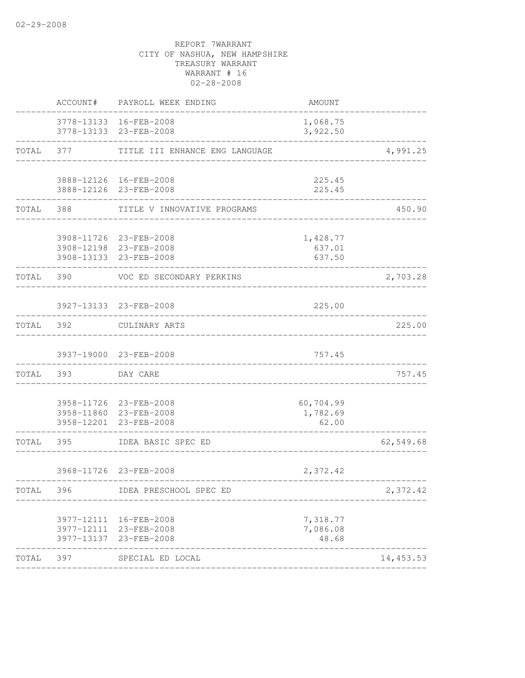|           | ACCOUNT#  | PAYROLL WEEK ENDING                                                        | AMOUNT                         |           |
|-----------|-----------|----------------------------------------------------------------------------|--------------------------------|-----------|
|           |           | 3778-13133 16-FEB-2008<br>3778-13133 23-FEB-2008                           | 1,068.75<br>3,922.50           |           |
| TOTAL     | 377       | TITLE III ENHANCE ENG LANGUAGE                                             |                                | 4,991.25  |
|           |           | 3888-12126 16-FEB-2008<br>3888-12126 23-FEB-2008                           | 225.45<br>225.45               |           |
| TOTAL     | 388       | TITLE V INNOVATIVE PROGRAMS                                                |                                | 450.90    |
|           |           | 3908-11726 23-FEB-2008<br>3908-12198 23-FEB-2008<br>3908-13133 23-FEB-2008 | 1,428.77<br>637.01<br>637.50   |           |
| TOTAL     | 390       | VOC ED SECONDARY PERKINS                                                   |                                | 2,703.28  |
|           |           | 3927-13133 23-FEB-2008                                                     | 225.00                         |           |
| TOTAL 392 |           | CULINARY ARTS                                                              |                                | 225.00    |
|           |           | 3937-19000 23-FEB-2008                                                     | 757.45                         |           |
|           | TOTAL 393 | DAY CARE                                                                   |                                | 757.45    |
|           |           | 3958-11726 23-FEB-2008<br>3958-11860 23-FEB-2008<br>3958-12201 23-FEB-2008 | 60,704.99<br>1,782.69<br>62.00 |           |
| TOTAL     | 395       | IDEA BASIC SPEC ED                                                         |                                | 62,549.68 |
|           |           | 3968-11726 23-FEB-2008                                                     | 2,372.42                       |           |
| TOTAL     | 396       | IDEA PRESCHOOL SPEC ED                                                     |                                | 2,372.42  |
|           |           | 3977-12111 16-FEB-2008<br>3977-12111 23-FEB-2008<br>3977-13137 23-FEB-2008 | 7,318.77<br>7,086.08<br>48.68  |           |
| TOTAL     | 397       | SPECIAL ED LOCAL                                                           |                                | 14,453.53 |
|           |           |                                                                            |                                |           |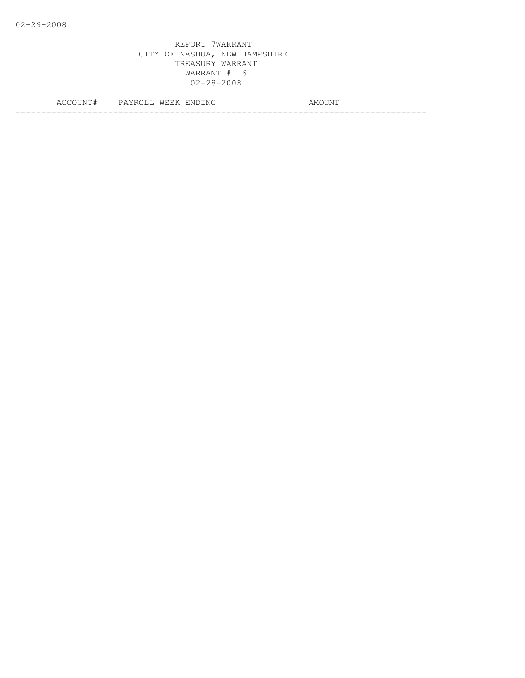|  | IAI H | 7 N L<br>N.<br> | M <sub>C</sub><br>l IXI |
|--|-------|-----------------|-------------------------|
|  |       |                 | ____                    |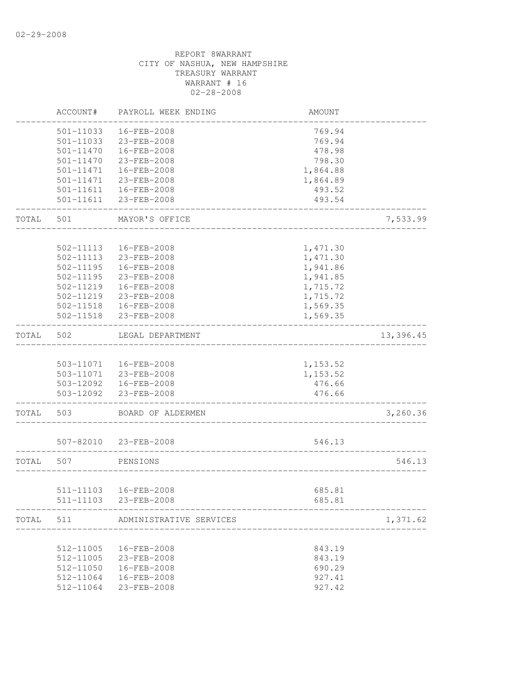|       | ACCOUNT#      | PAYROLL WEEK ENDING                             | AMOUNT             |           |
|-------|---------------|-------------------------------------------------|--------------------|-----------|
|       | 501-11033     | 16-FEB-2008                                     | 769.94             |           |
|       | 501-11033     | 23-FEB-2008                                     | 769.94             |           |
|       | 501-11470     | 16-FEB-2008                                     | 478.98             |           |
|       | 501-11470     | 23-FEB-2008                                     | 798.30             |           |
|       | 501-11471     | 16-FEB-2008                                     | 1,864.88           |           |
|       | 501-11471     | 23-FEB-2008                                     | 1,864.89           |           |
|       | 501-11611     | 16-FEB-2008                                     | 493.52             |           |
|       | 501-11611     | 23-FEB-2008                                     | 493.54             |           |
| TOTAL | 501           | MAYOR'S OFFICE                                  |                    | 7,533.99  |
|       |               |                                                 |                    |           |
|       | 502-11113     | 16-FEB-2008                                     | 1,471.30           |           |
|       | 502-11113     | 23-FEB-2008                                     | 1,471.30           |           |
|       | 502-11195     | 16-FEB-2008                                     | 1,941.86           |           |
|       | $502 - 11195$ | 23-FEB-2008                                     | 1,941.85           |           |
|       | 502-11219     | 16-FEB-2008                                     | 1,715.72           |           |
|       | 502-11219     | 23-FEB-2008                                     | 1,715.72           |           |
|       | 502-11518     | 16-FEB-2008                                     | 1,569.35           |           |
|       | 502-11518     | 23-FEB-2008                                     | 1,569.35           |           |
| TOTAL | 502           | LEGAL DEPARTMENT                                |                    | 13,396.45 |
|       |               |                                                 |                    |           |
|       | 503-11071     | 16-FEB-2008                                     | 1,153.52           |           |
|       |               | 503-11071 23-FEB-2008<br>503-12092  16-FEB-2008 | 1,153.52<br>476.66 |           |
|       | 503-12092     | 23-FEB-2008                                     | 476.66             |           |
| TOTAL | 503           | BOARD OF ALDERMEN                               |                    | 3,260.36  |
|       |               |                                                 |                    |           |
|       | 507-82010     | 23-FEB-2008                                     | 546.13             |           |
| TOTAL | 507           | PENSIONS                                        |                    | 546.13    |
|       |               |                                                 |                    |           |
|       |               | 511-11103 16-FEB-2008                           | 685.81             |           |
|       |               | 511-11103 23-FEB-2008                           | 685.81             |           |
| TOTAL | 511           | ADMINISTRATIVE SERVICES                         |                    | 1,371.62  |
|       | 512-11005     | 16-FEB-2008                                     | 843.19             |           |
|       | 512-11005     | 23-FEB-2008                                     | 843.19             |           |
|       | 512-11050     | 16-FEB-2008                                     | 690.29             |           |
|       | 512-11064     | 16-FEB-2008                                     | 927.41             |           |
|       | 512-11064     | 23-FEB-2008                                     | 927.42             |           |
|       |               |                                                 |                    |           |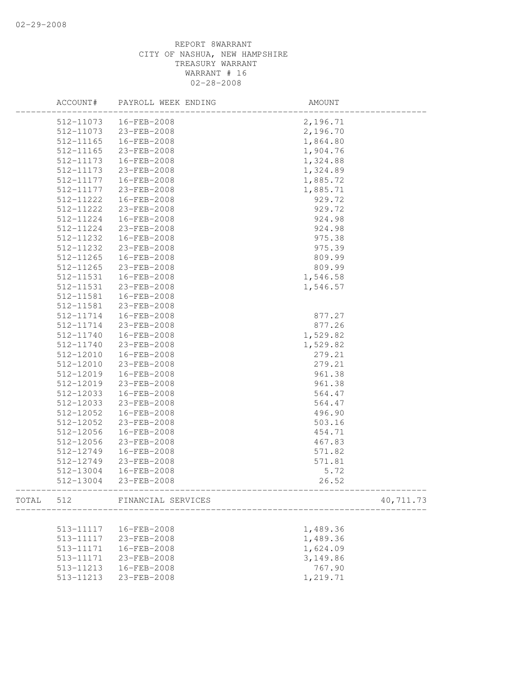|           |               | ACCOUNT# PAYROLL WEEK ENDING | AMOUNT    |
|-----------|---------------|------------------------------|-----------|
|           |               | 512-11073  16-FEB-2008       | 2,196.71  |
|           | 512-11073     | 23-FEB-2008                  | 2,196.70  |
|           | 512-11165     | 16-FEB-2008                  | 1,864.80  |
|           | $512 - 11165$ | 23-FEB-2008                  | 1,904.76  |
|           | 512-11173     | 16-FEB-2008                  | 1,324.88  |
|           | 512-11173     | 23-FEB-2008                  | 1,324.89  |
|           | 512-11177     | 16-FEB-2008                  | 1,885.72  |
|           | 512-11177     | 23-FEB-2008                  | 1,885.71  |
|           | 512-11222     | 16-FEB-2008                  | 929.72    |
|           | 512-11222     | 23-FEB-2008                  | 929.72    |
|           | 512-11224     | $16 - FEB - 2008$            | 924.98    |
|           | 512-11224     | 23-FEB-2008                  | 924.98    |
|           | 512-11232     | 16-FEB-2008                  | 975.38    |
|           | 512-11232     | 23-FEB-2008                  | 975.39    |
|           | 512-11265     | 16-FEB-2008                  | 809.99    |
|           | 512-11265     | 23-FEB-2008                  | 809.99    |
|           | 512-11531     | 16-FEB-2008                  | 1,546.58  |
|           | 512-11531     | 23-FEB-2008                  | 1,546.57  |
|           | 512-11581     | 16-FEB-2008                  |           |
|           | 512-11581     | 23-FEB-2008                  |           |
|           | 512-11714     | 16-FEB-2008                  | 877.27    |
|           | 512-11714     | 23-FEB-2008                  | 877.26    |
|           | 512-11740     | 16-FEB-2008                  | 1,529.82  |
|           | 512-11740     | 23-FEB-2008                  | 1,529.82  |
|           | 512-12010     | 16-FEB-2008                  | 279.21    |
|           | 512-12010     | 23-FEB-2008                  | 279.21    |
|           | 512-12019     | 16-FEB-2008                  | 961.38    |
|           | 512-12019     | 23-FEB-2008                  | 961.38    |
|           | 512-12033     | 16-FEB-2008                  | 564.47    |
|           | 512-12033     | 23-FEB-2008                  | 564.47    |
|           | 512-12052     | 16-FEB-2008                  | 496.90    |
|           | 512-12052     | 23-FEB-2008                  | 503.16    |
|           | 512-12056     | 16-FEB-2008                  | 454.71    |
|           | 512-12056     | 23-FEB-2008                  | 467.83    |
|           | 512-12749     | 16-FEB-2008                  | 571.82    |
|           | 512-12749     | 23-FEB-2008                  | 571.81    |
|           | 512-13004     | 16-FEB-2008                  | 5.72      |
|           | 512-13004     | 23-FEB-2008                  | 26.52     |
| TOTAL 512 |               | FINANCIAL SERVICES           | 40,711.73 |
|           |               |                              |           |
|           | 513-11117     | 16-FEB-2008                  | 1,489.36  |
|           | 513-11117     | 23-FEB-2008                  | 1,489.36  |
|           | 513-11171     | 16-FEB-2008                  | 1,624.09  |
|           | 513-11171     | 23-FEB-2008                  | 3,149.86  |
|           | 513-11213     | 16-FEB-2008                  | 767.90    |
|           | 513-11213     | 23-FEB-2008                  | 1,219.71  |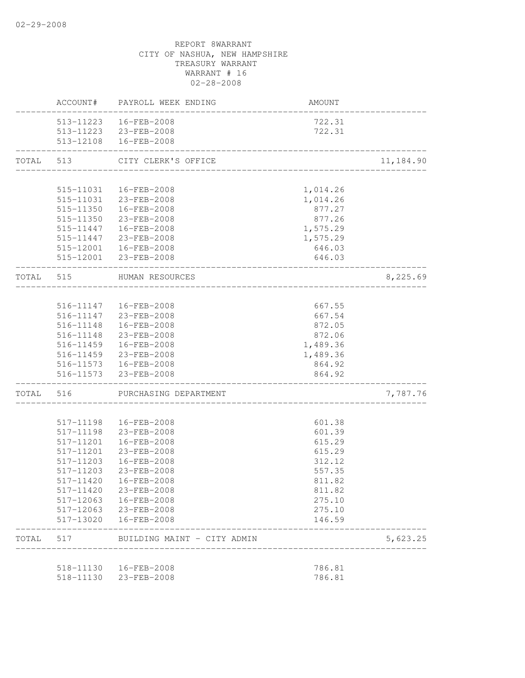|           |                        | ACCOUNT# PAYROLL WEEK ENDING | AMOUNT           |           |
|-----------|------------------------|------------------------------|------------------|-----------|
|           |                        | 513-11223  16-FEB-2008       | 722.31           |           |
|           |                        | 513-11223 23-FEB-2008        | 722.31           |           |
|           |                        | 513-12108  16-FEB-2008       |                  |           |
| TOTAL 513 |                        | CITY CLERK'S OFFICE          |                  | 11,184.90 |
|           |                        |                              |                  |           |
|           |                        | 515-11031  16-FEB-2008       | 1,014.26         |           |
|           |                        | 515-11031 23-FEB-2008        | 1,014.26         |           |
|           |                        | 515-11350  16-FEB-2008       | 877.27           |           |
|           |                        | 515-11350 23-FEB-2008        | 877.26           |           |
|           |                        | 515-11447  16-FEB-2008       | 1,575.29         |           |
|           | 515-11447              | 23-FEB-2008                  | 1,575.29         |           |
|           |                        | 515-12001  16-FEB-2008       | 646.03           |           |
|           |                        | 515-12001 23-FEB-2008        | 646.03           |           |
|           |                        | TOTAL 515 HUMAN RESOURCES    |                  | 8,225.69  |
|           |                        |                              |                  |           |
|           |                        | 516-11147  16-FEB-2008       | 667.55           |           |
|           |                        | 516-11147 23-FEB-2008        | 667.54           |           |
|           |                        | 516-11148  16-FEB-2008       | 872.05           |           |
|           |                        | 516-11148 23-FEB-2008        | 872.06           |           |
|           | 516-11459              | 16-FEB-2008                  | 1,489.36         |           |
|           |                        | 516-11459 23-FEB-2008        | 1,489.36         |           |
|           |                        | 516-11573  16-FEB-2008       | 864.92           |           |
|           |                        | 516-11573 23-FEB-2008        | 864.92           |           |
| TOTAL 516 |                        | PURCHASING DEPARTMENT        |                  | 7,787.76  |
|           |                        |                              |                  |           |
|           | 517-11198<br>517-11198 | 16-FEB-2008<br>23-FEB-2008   | 601.38<br>601.39 |           |
|           | 517-11201              | 16-FEB-2008                  | 615.29           |           |
|           | 517-11201              | 23-FEB-2008                  | 615.29           |           |
|           | 517-11203              | 16-FEB-2008                  | 312.12           |           |
|           | 517-11203              | 23-FEB-2008                  | 557.35           |           |
|           | 517-11420              | 16-FEB-2008                  | 811.82           |           |
|           | 517-11420              | 23-FEB-2008                  | 811.82           |           |
|           | 517-12063              | 16-FEB-2008                  | 275.10           |           |
|           | 517-12063              | 23-FEB-2008                  | 275.10           |           |
|           | 517-13020              | 16-FEB-2008                  | 146.59           |           |
| TOTAL     | 517                    | BUILDING MAINT - CITY ADMIN  |                  | 5,623.25  |
|           |                        |                              |                  |           |
|           | 518-11130              | 16-FEB-2008                  | 786.81           |           |
|           | 518-11130              | 23-FEB-2008                  | 786.81           |           |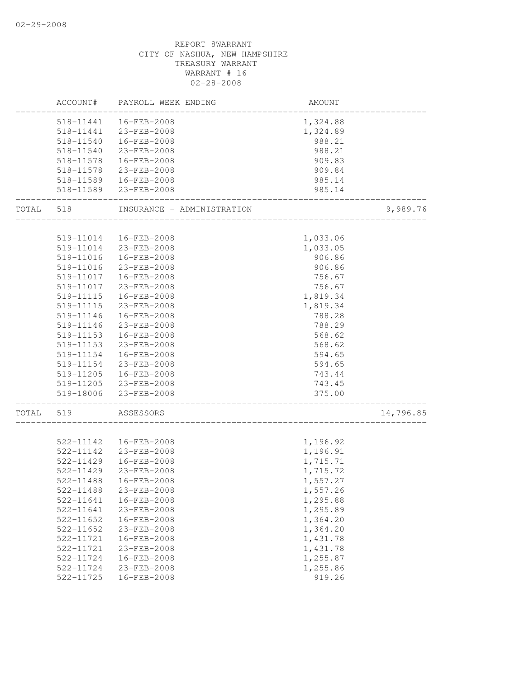|       | ACCOUNT#  | PAYROLL WEEK ENDING        | AMOUNT   |           |
|-------|-----------|----------------------------|----------|-----------|
|       |           | 518-11441  16-FEB-2008     | 1,324.88 |           |
|       |           | 518-11441 23-FEB-2008      | 1,324.89 |           |
|       | 518-11540 | 16-FEB-2008                | 988.21   |           |
|       | 518-11540 | 23-FEB-2008                | 988.21   |           |
|       | 518-11578 | 16-FEB-2008                | 909.83   |           |
|       | 518-11578 | 23-FEB-2008                | 909.84   |           |
|       | 518-11589 | 16-FEB-2008                | 985.14   |           |
|       |           | 518-11589 23-FEB-2008      | 985.14   |           |
| TOTAL | 518       | INSURANCE - ADMINISTRATION |          | 9,989.76  |
|       |           |                            |          |           |
|       | 519-11014 | 16-FEB-2008                | 1,033.06 |           |
|       | 519-11014 | 23-FEB-2008                | 1,033.05 |           |
|       | 519-11016 | 16-FEB-2008                | 906.86   |           |
|       | 519-11016 | 23-FEB-2008                | 906.86   |           |
|       | 519-11017 | 16-FEB-2008                | 756.67   |           |
|       | 519-11017 | 23-FEB-2008                | 756.67   |           |
|       | 519-11115 | 16-FEB-2008                | 1,819.34 |           |
|       | 519-11115 | 23-FEB-2008                | 1,819.34 |           |
|       | 519-11146 | 16-FEB-2008                | 788.28   |           |
|       | 519-11146 | 23-FEB-2008                | 788.29   |           |
|       | 519-11153 | $16 - FEB - 2008$          | 568.62   |           |
|       | 519-11153 | 23-FEB-2008                | 568.62   |           |
|       | 519-11154 | 16-FEB-2008                | 594.65   |           |
|       | 519-11154 | 23-FEB-2008                | 594.65   |           |
|       | 519-11205 | 16-FEB-2008                | 743.44   |           |
|       |           | 519-11205 23-FEB-2008      | 743.45   |           |
|       |           | 519-18006 23-FEB-2008      | 375.00   |           |
| TOTAL | 519       | ASSESSORS                  |          | 14,796.85 |
|       |           |                            |          |           |
|       | 522-11142 | 16-FEB-2008                | 1,196.92 |           |
|       | 522-11142 | 23-FEB-2008                | 1,196.91 |           |
|       | 522-11429 | 16-FEB-2008                | 1,715.71 |           |
|       | 522-11429 | 23-FEB-2008                | 1,715.72 |           |
|       | 522-11488 | 16-FEB-2008                | 1,557.27 |           |
|       | 522-11488 | 23-FEB-2008                | 1,557.26 |           |
|       | 522-11641 | 16-FEB-2008                | 1,295.88 |           |
|       | 522-11641 | 23-FEB-2008                | 1,295.89 |           |
|       | 522-11652 | 16-FEB-2008                | 1,364.20 |           |
|       | 522-11652 | 23-FEB-2008                | 1,364.20 |           |
|       | 522-11721 | 16-FEB-2008                | 1,431.78 |           |
|       | 522-11721 | 23-FEB-2008                | 1,431.78 |           |
|       | 522-11724 | 16-FEB-2008                | 1,255.87 |           |
|       | 522-11724 | 23-FEB-2008                | 1,255.86 |           |
|       | 522-11725 | 16-FEB-2008                | 919.26   |           |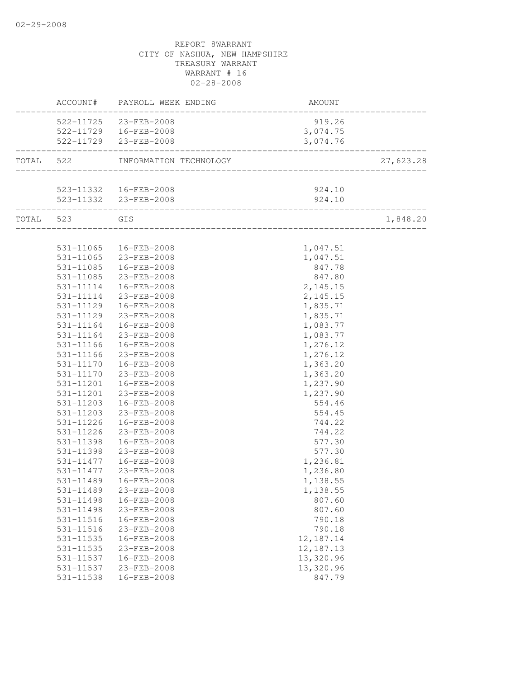|           |                     | ACCOUNT# PAYROLL WEEK ENDING | AMOUNT      |           |
|-----------|---------------------|------------------------------|-------------|-----------|
|           |                     | 522-11725 23-FEB-2008        | 919.26      |           |
|           |                     | 522-11729  16-FEB-2008       | 3,074.75    |           |
|           |                     | 522-11729 23-FEB-2008        | 3,074.76    |           |
| TOTAL 522 |                     | INFORMATION TECHNOLOGY       |             | 27,623.28 |
|           |                     |                              |             |           |
|           |                     | 523-11332  16-FEB-2008       | 924.10      |           |
|           | ___________________ | 523-11332 23-FEB-2008        | 924.10      |           |
|           | TOTAL 523 GIS       |                              |             | 1,848.20  |
|           |                     |                              |             |           |
|           |                     | 531-11065  16-FEB-2008       | 1,047.51    |           |
|           | 531-11065           | 23-FEB-2008                  | 1,047.51    |           |
|           | 531-11085           | $16 - FEB - 2008$            | 847.78      |           |
|           | 531-11085           | 23-FEB-2008                  | 847.80      |           |
|           |                     | 531-11114  16-FEB-2008       | 2, 145.15   |           |
|           |                     | 531-11114 23-FEB-2008        | 2,145.15    |           |
|           |                     | 531-11129  16-FEB-2008       | 1,835.71    |           |
|           |                     | 531-11129 23-FEB-2008        | 1,835.71    |           |
|           | 531-11164           | 16-FEB-2008                  | 1,083.77    |           |
|           | 531-11164           | 23-FEB-2008                  | 1,083.77    |           |
|           | 531-11166           | 16-FEB-2008                  | 1,276.12    |           |
|           | 531-11166           | 23-FEB-2008                  | 1,276.12    |           |
|           |                     | 531-11170  16-FEB-2008       | 1,363.20    |           |
|           |                     | 531-11170 23-FEB-2008        | 1,363.20    |           |
|           |                     | 531-11201  16-FEB-2008       | 1,237.90    |           |
|           | 531-11201           | 23-FEB-2008                  | 1,237.90    |           |
|           | 531-11203           | 16-FEB-2008                  | 554.46      |           |
|           | 531-11203           | 23-FEB-2008                  | 554.45      |           |
|           | 531-11226           | 16-FEB-2008                  | 744.22      |           |
|           | 531-11226           | 23-FEB-2008                  | 744.22      |           |
|           | 531-11398           | 16-FEB-2008                  | 577.30      |           |
|           | 531-11398           | 23-FEB-2008                  | 577.30      |           |
|           |                     | 531-11477  16-FEB-2008       | 1,236.81    |           |
|           | 531-11477           | 23-FEB-2008                  | 1,236.80    |           |
|           | 531-11489           | 16-FEB-2008                  | 1,138.55    |           |
|           | 531-11489           | 23-FEB-2008                  | 1,138.55    |           |
|           | 531-11498           | 16-FEB-2008                  | 807.60      |           |
|           | 531-11498           | 23-FEB-2008                  | 807.60      |           |
|           | 531-11516           | 16-FEB-2008                  | 790.18      |           |
|           | 531-11516           | 23-FEB-2008                  | 790.18      |           |
|           | 531-11535           | 16-FEB-2008                  | 12, 187. 14 |           |
|           | 531-11535           | 23-FEB-2008                  | 12, 187. 13 |           |
|           | 531-11537           | 16-FEB-2008                  | 13,320.96   |           |
|           | 531-11537           | 23-FEB-2008                  | 13,320.96   |           |
|           | 531-11538           | 16-FEB-2008                  | 847.79      |           |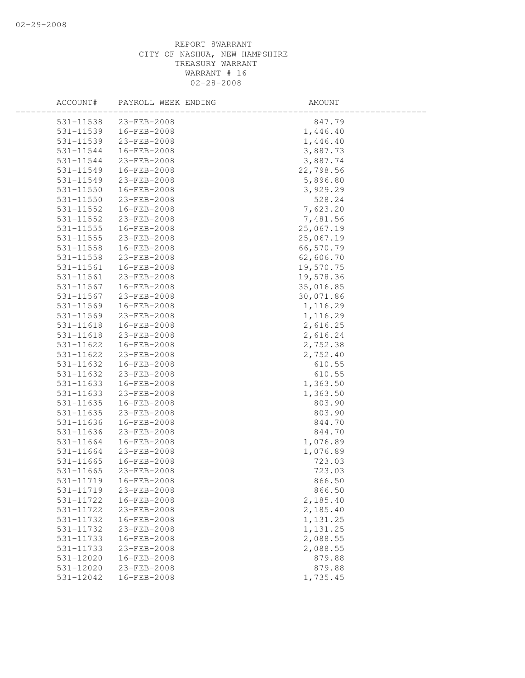| ACCOUNT#      | PAYROLL WEEK ENDING | AMOUNT    |  |
|---------------|---------------------|-----------|--|
| 531-11538     | 23-FEB-2008         | 847.79    |  |
| 531-11539     | 16-FEB-2008         | 1,446.40  |  |
| 531-11539     | 23-FEB-2008         | 1,446.40  |  |
| 531-11544     | 16-FEB-2008         | 3,887.73  |  |
| 531-11544     | 23-FEB-2008         | 3,887.74  |  |
| 531-11549     | 16-FEB-2008         | 22,798.56 |  |
| 531-11549     | 23-FEB-2008         | 5,896.80  |  |
| 531-11550     | 16-FEB-2008         | 3,929.29  |  |
| 531-11550     | 23-FEB-2008         | 528.24    |  |
| 531-11552     | 16-FEB-2008         | 7,623.20  |  |
| 531-11552     | 23-FEB-2008         | 7,481.56  |  |
| 531-11555     | 16-FEB-2008         | 25,067.19 |  |
| 531-11555     | 23-FEB-2008         | 25,067.19 |  |
| 531-11558     | 16-FEB-2008         | 66,570.79 |  |
| 531-11558     | 23-FEB-2008         | 62,606.70 |  |
| 531-11561     | 16-FEB-2008         | 19,570.75 |  |
| 531-11561     | 23-FEB-2008         | 19,578.36 |  |
| 531-11567     | 16-FEB-2008         | 35,016.85 |  |
| 531-11567     | 23-FEB-2008         | 30,071.86 |  |
| $531 - 11569$ | 16-FEB-2008         | 1,116.29  |  |
| 531-11569     | 23-FEB-2008         | 1,116.29  |  |
| 531-11618     | 16-FEB-2008         | 2,616.25  |  |
| $531 - 11618$ | 23-FEB-2008         | 2,616.24  |  |
| 531-11622     | 16-FEB-2008         | 2,752.38  |  |
| 531-11622     | 23-FEB-2008         | 2,752.40  |  |
| 531-11632     | 16-FEB-2008         | 610.55    |  |
| 531-11632     | 23-FEB-2008         | 610.55    |  |
| 531-11633     | 16-FEB-2008         | 1,363.50  |  |
| 531-11633     | 23-FEB-2008         | 1,363.50  |  |
| 531-11635     | 16-FEB-2008         | 803.90    |  |
| 531-11635     | 23-FEB-2008         | 803.90    |  |
| 531-11636     | 16-FEB-2008         | 844.70    |  |
| 531-11636     | 23-FEB-2008         | 844.70    |  |
| 531-11664     | 16-FEB-2008         | 1,076.89  |  |
| 531-11664     | 23-FEB-2008         | 1,076.89  |  |
| 531-11665     | 16-FEB-2008         | 723.03    |  |
| 531-11665     | 23-FEB-2008         | 723.03    |  |
| 531-11719     | 16-FEB-2008         | 866.50    |  |
| 531-11719     | 23-FEB-2008         | 866.50    |  |
| 531-11722     | 16-FEB-2008         | 2,185.40  |  |
| 531-11722     | 23-FEB-2008         | 2,185.40  |  |
| 531-11732     | 16-FEB-2008         | 1,131.25  |  |
| 531-11732     | 23-FEB-2008         | 1,131.25  |  |
| 531-11733     | 16-FEB-2008         | 2,088.55  |  |
| 531-11733     | 23-FEB-2008         | 2,088.55  |  |
| 531-12020     | 16-FEB-2008         | 879.88    |  |
| 531-12020     | 23-FEB-2008         | 879.88    |  |
| 531-12042     | 16-FEB-2008         | 1,735.45  |  |
|               |                     |           |  |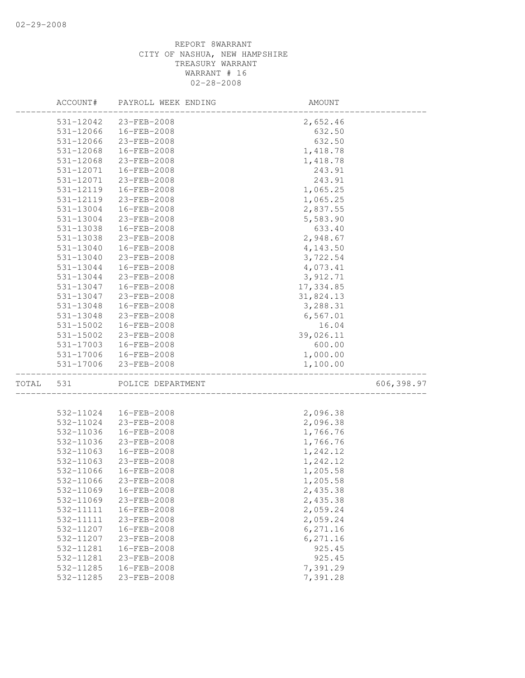|       | ACCOUNT#  | PAYROLL WEEK ENDING | AMOUNT    |            |
|-------|-----------|---------------------|-----------|------------|
|       | 531-12042 | 23-FEB-2008         | 2,652.46  |            |
|       | 531-12066 | 16-FEB-2008         | 632.50    |            |
|       | 531-12066 | 23-FEB-2008         | 632.50    |            |
|       | 531-12068 | $16 - FEB - 2008$   | 1,418.78  |            |
|       | 531-12068 | 23-FEB-2008         | 1,418.78  |            |
|       | 531-12071 | 16-FEB-2008         | 243.91    |            |
|       | 531-12071 | 23-FEB-2008         | 243.91    |            |
|       | 531-12119 | 16-FEB-2008         | 1,065.25  |            |
|       | 531-12119 | 23-FEB-2008         | 1,065.25  |            |
|       | 531-13004 | 16-FEB-2008         | 2,837.55  |            |
|       | 531-13004 | 23-FEB-2008         | 5,583.90  |            |
|       | 531-13038 | 16-FEB-2008         | 633.40    |            |
|       | 531-13038 | 23-FEB-2008         | 2,948.67  |            |
|       | 531-13040 | 16-FEB-2008         | 4,143.50  |            |
|       | 531-13040 | 23-FEB-2008         | 3,722.54  |            |
|       | 531-13044 | 16-FEB-2008         | 4,073.41  |            |
|       | 531-13044 | 23-FEB-2008         | 3,912.71  |            |
|       | 531-13047 | 16-FEB-2008         | 17,334.85 |            |
|       | 531-13047 | 23-FEB-2008         | 31,824.13 |            |
|       | 531-13048 | $16 - FEB - 2008$   | 3,288.31  |            |
|       | 531-13048 | 23-FEB-2008         | 6,567.01  |            |
|       | 531-15002 | 16-FEB-2008         | 16.04     |            |
|       | 531-15002 | 23-FEB-2008         | 39,026.11 |            |
|       | 531-17003 | 16-FEB-2008         | 600.00    |            |
|       | 531-17006 | 16-FEB-2008         | 1,000.00  |            |
|       | 531-17006 | 23-FEB-2008         | 1,100.00  |            |
| TOTAL | 531       | POLICE DEPARTMENT   |           | 606,398.97 |
|       |           |                     |           |            |
|       | 532-11024 | 16-FEB-2008         | 2,096.38  |            |
|       | 532-11024 | 23-FEB-2008         | 2,096.38  |            |
|       | 532-11036 | 16-FEB-2008         | 1,766.76  |            |
|       | 532-11036 | 23-FEB-2008         | 1,766.76  |            |
|       | 532-11063 | 16-FEB-2008         | 1,242.12  |            |
|       | 532-11063 | 23-FEB-2008         | 1,242.12  |            |
|       | 532-11066 | 16-FEB-2008         | 1,205.58  |            |
|       | 532-11066 | 23-FEB-2008         | 1,205.58  |            |
|       | 532-11069 | 16-FEB-2008         | 2,435.38  |            |
|       | 532-11069 | 23-FEB-2008         | 2,435.38  |            |
|       | 532-11111 | 16-FEB-2008         | 2,059.24  |            |
|       | 532-11111 | 23-FEB-2008         | 2,059.24  |            |
|       | 532-11207 | 16-FEB-2008         | 6,271.16  |            |
|       | 532-11207 | 23-FEB-2008         | 6,271.16  |            |
|       | 532-11281 | 16-FEB-2008         | 925.45    |            |
|       | 532-11281 | 23-FEB-2008         | 925.45    |            |
|       | 532-11285 | 16-FEB-2008         | 7,391.29  |            |
|       | 532-11285 | 23-FEB-2008         | 7,391.28  |            |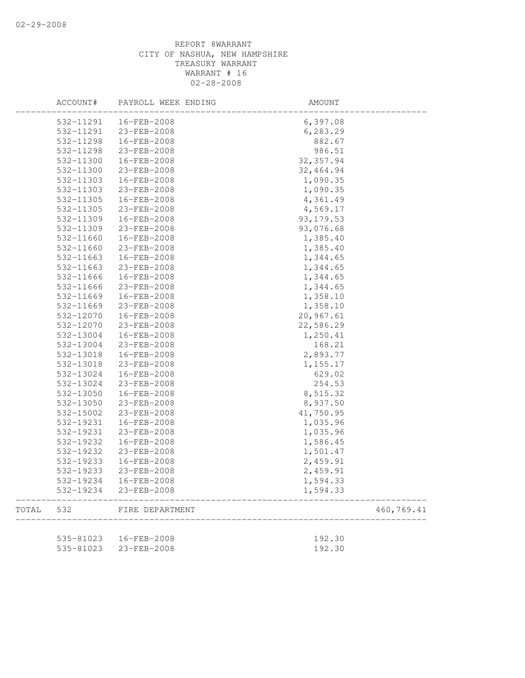|       | ACCOUNT#               | PAYROLL WEEK ENDING        | AMOUNT               |            |
|-------|------------------------|----------------------------|----------------------|------------|
|       | 532-11291              | 16-FEB-2008                | 6,397.08             |            |
|       | 532-11291              | 23-FEB-2008                | 6, 283.29            |            |
|       | 532-11298              | 16-FEB-2008                | 882.67               |            |
|       | 532-11298              | 23-FEB-2008                | 986.51               |            |
|       | 532-11300              | 16-FEB-2008                | 32, 357.94           |            |
|       | 532-11300              | 23-FEB-2008                | 32,464.94            |            |
|       | 532-11303              | 16-FEB-2008                | 1,090.35             |            |
|       | 532-11303              | 23-FEB-2008                | 1,090.35             |            |
|       | 532-11305              | 16-FEB-2008                | 4,361.49             |            |
|       | 532-11305              | 23-FEB-2008                | 4,569.17             |            |
|       | 532-11309              | 16-FEB-2008                | 93, 179.53           |            |
|       | 532-11309              | 23-FEB-2008                | 93,076.68            |            |
|       | 532-11660              | 16-FEB-2008                | 1,385.40             |            |
|       | 532-11660              | 23-FEB-2008                | 1,385.40             |            |
|       | 532-11663              | 16-FEB-2008                | 1,344.65             |            |
|       | 532-11663              | 23-FEB-2008                | 1,344.65             |            |
|       | 532-11666              | 16-FEB-2008                | 1,344.65             |            |
|       | 532-11666              | 23-FEB-2008                | 1,344.65             |            |
|       | 532-11669              | 16-FEB-2008                | 1,358.10             |            |
|       | 532-11669              | 23-FEB-2008                | 1,358.10             |            |
|       | 532-12070              | 16-FEB-2008                | 20,967.61            |            |
|       | 532-12070              | 23-FEB-2008                | 22,586.29            |            |
|       | 532-13004              | 16-FEB-2008                | 1,250.41             |            |
|       | 532-13004              | 23-FEB-2008                | 168.21               |            |
|       | 532-13018              | 16-FEB-2008                | 2,893.77             |            |
|       | 532-13018              | 23-FEB-2008                | 1,155.17             |            |
|       | 532-13024              | 16-FEB-2008                | 629.02               |            |
|       | 532-13024              | 23-FEB-2008                | 254.53               |            |
|       | 532-13050              | 16-FEB-2008                | 8,515.32             |            |
|       | 532-13050              | 23-FEB-2008                | 8,937.50             |            |
|       | 532-15002              | 23-FEB-2008                | 41,750.95            |            |
|       | 532-19231              | 16-FEB-2008                | 1,035.96             |            |
|       | 532-19231              | 23-FEB-2008                | 1,035.96             |            |
|       | 532-19232              | 16-FEB-2008                | 1,586.45             |            |
|       | 532-19232              | 23-FEB-2008                | 1,501.47             |            |
|       | 532-19233              | 16-FEB-2008                | 2,459.91             |            |
|       | 532-19233              | 23-FEB-2008                | 2,459.91             |            |
|       | 532-19234<br>532-19234 | 16-FEB-2008<br>23-FEB-2008 | 1,594.33<br>1,594.33 |            |
|       |                        |                            |                      |            |
| TOTAL | 532                    | FIRE DEPARTMENT            |                      | 460,769.41 |
|       | 535-81023              | 16-FEB-2008                | 192.30               |            |
|       | 535-81023              | 23-FEB-2008                | 192.30               |            |
|       |                        |                            |                      |            |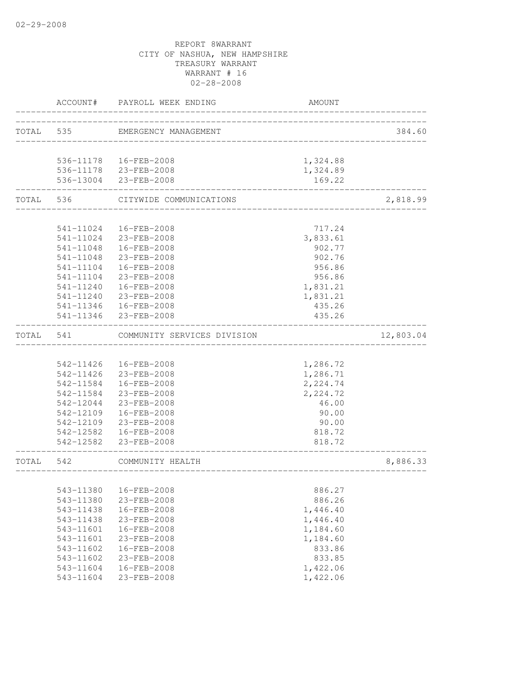|           | ACCOUNT#               | PAYROLL WEEK ENDING                          | <b>AMOUNT</b>        |           |
|-----------|------------------------|----------------------------------------------|----------------------|-----------|
| TOTAL 535 |                        | EMERGENCY MANAGEMENT                         |                      | 384.60    |
|           |                        | 536-11178  16-FEB-2008                       | 1,324.88             |           |
|           |                        | 536-11178 23-FEB-2008                        | 1,324.89             |           |
|           |                        | 536-13004 23-FEB-2008                        | 169.22               |           |
|           | TOTAL 536              | CITYWIDE COMMUNICATIONS                      |                      | 2,818.99  |
|           |                        |                                              |                      |           |
|           | 541-11024              | 16-FEB-2008<br>541-11024 23-FEB-2008         | 717.24<br>3,833.61   |           |
|           | 541-11048              | 16-FEB-2008                                  | 902.77               |           |
|           | 541-11048              | 23-FEB-2008                                  | 902.76               |           |
|           | 541-11104              | 16-FEB-2008                                  | 956.86               |           |
|           | $541 - 11104$          | 23-FEB-2008                                  | 956.86               |           |
|           | 541-11240              | 16-FEB-2008                                  | 1,831.21             |           |
|           | $541 - 11240$          | 23-FEB-2008                                  | 1,831.21             |           |
|           |                        | 541-11346  16-FEB-2008                       | 435.26               |           |
|           |                        | 541-11346 23-FEB-2008                        | 435.26               |           |
| TOTAL     | 541                    | COMMUNITY SERVICES DIVISION                  |                      | 12,803.04 |
|           |                        |                                              |                      |           |
|           |                        | 542-11426  16-FEB-2008                       | 1,286.72             |           |
|           |                        | 542-11426 23-FEB-2008                        | 1,286.71             |           |
|           |                        | 542-11584  16-FEB-2008                       | 2,224.74             |           |
|           | 542-11584              | 23-FEB-2008                                  | 2,224.72             |           |
|           | 542-12044              | 23-FEB-2008                                  | 46.00                |           |
|           | 542-12109              | 16-FEB-2008                                  | 90.00                |           |
|           | 542-12109              | 23-FEB-2008                                  | 90.00                |           |
|           | 542-12582              | 16-FEB-2008                                  | 818.72               |           |
|           | 542-12582              | $23 - FEB - 2008$                            | 818.72               |           |
| TOTAL 542 |                        | COMMUNITY HEALTH<br>________________________ |                      | 8,886.33  |
|           |                        |                                              |                      |           |
|           | 543-11380              | 16-FEB-2008                                  | 886.27               |           |
|           | 543-11380              | 23-FEB-2008                                  | 886.26               |           |
|           | 543-11438              | 16-FEB-2008                                  | 1,446.40             |           |
|           | 543-11438              | 23-FEB-2008                                  | 1,446.40             |           |
|           | 543-11601              | 16-FEB-2008                                  | 1,184.60             |           |
|           | 543-11601              | 23-FEB-2008                                  | 1,184.60             |           |
|           | 543-11602              | 16-FEB-2008                                  | 833.86               |           |
|           | 543-11602<br>543-11604 | 23-FEB-2008<br>16-FEB-2008                   | 833.85               |           |
|           | 543-11604              | 23-FEB-2008                                  | 1,422.06<br>1,422.06 |           |
|           |                        |                                              |                      |           |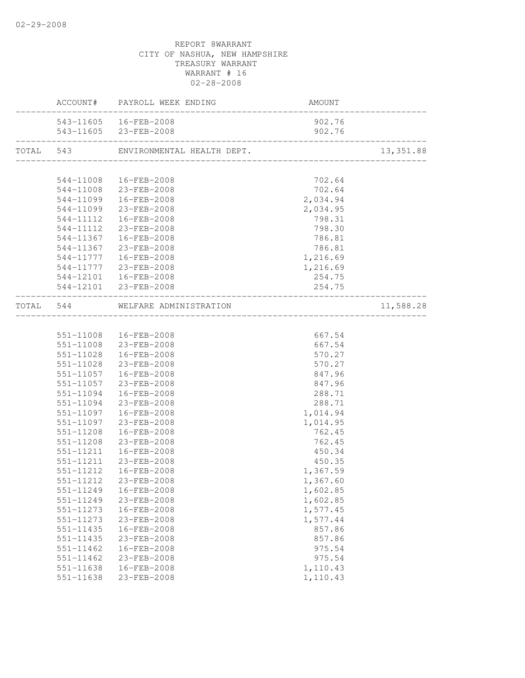|               | ACCOUNT# PAYROLL WEEK ENDING     | AMOUNT   |           |
|---------------|----------------------------------|----------|-----------|
|               | 543-11605  16-FEB-2008           | 902.76   |           |
|               | 543-11605 23-FEB-2008            | 902.76   |           |
|               |                                  |          | 13,351.88 |
|               |                                  |          |           |
|               | 544-11008  16-FEB-2008           | 702.64   |           |
|               | 544-11008 23-FEB-2008            | 702.64   |           |
|               | 544-11099  16-FEB-2008           | 2,034.94 |           |
|               | 544-11099 23-FEB-2008            | 2,034.95 |           |
|               | 544-11112  16-FEB-2008           | 798.31   |           |
|               | 544-11112 23-FEB-2008            | 798.30   |           |
|               | 544-11367  16-FEB-2008           | 786.81   |           |
|               | 544-11367 23-FEB-2008            | 786.81   |           |
|               | 544-11777  16-FEB-2008           | 1,216.69 |           |
|               | 544-11777 23-FEB-2008            | 1,216.69 |           |
|               | 544-12101  16-FEB-2008           | 254.75   |           |
|               | 544-12101 23-FEB-2008            | 254.75   |           |
|               | TOTAL 544 WELFARE ADMINISTRATION |          | 11,588.28 |
|               |                                  |          |           |
|               | 551-11008  16-FEB-2008           | 667.54   |           |
|               | 551-11008 23-FEB-2008            | 667.54   |           |
|               | 551-11028  16-FEB-2008           | 570.27   |           |
|               | 551-11028 23-FEB-2008            | 570.27   |           |
|               | 551-11057  16-FEB-2008           | 847.96   |           |
|               | 551-11057 23-FEB-2008            | 847.96   |           |
|               | 551-11094  16-FEB-2008           | 288.71   |           |
|               | 551-11094 23-FEB-2008            | 288.71   |           |
| 551-11097     | 16-FEB-2008                      | 1,014.94 |           |
| 551-11097     | 23-FEB-2008                      | 1,014.95 |           |
| 551-11208     | 16-FEB-2008                      | 762.45   |           |
| 551-11208     | 23-FEB-2008                      | 762.45   |           |
| 551-11211     | 16-FEB-2008                      | 450.34   |           |
|               | 551-11211 23-FEB-2008            | 450.35   |           |
|               | 551-11212  16-FEB-2008           | 1,367.59 |           |
|               | 551-11212 23-FEB-2008            | 1,367.60 |           |
| 551-11249     | 16-FEB-2008                      | 1,602.85 |           |
| 551-11249     | 23-FEB-2008                      | 1,602.85 |           |
| 551-11273     | 16-FEB-2008                      | 1,577.45 |           |
| 551-11273     | 23-FEB-2008                      | 1,577.44 |           |
| 551-11435     | 16-FEB-2008                      | 857.86   |           |
| 551-11435     | 23-FEB-2008                      | 857.86   |           |
| 551-11462     | 16-FEB-2008                      | 975.54   |           |
| $551 - 11462$ | 23-FEB-2008                      | 975.54   |           |
| $551 - 11638$ | 16-FEB-2008                      | 1,110.43 |           |
| 551-11638     | 23-FEB-2008                      | 1,110.43 |           |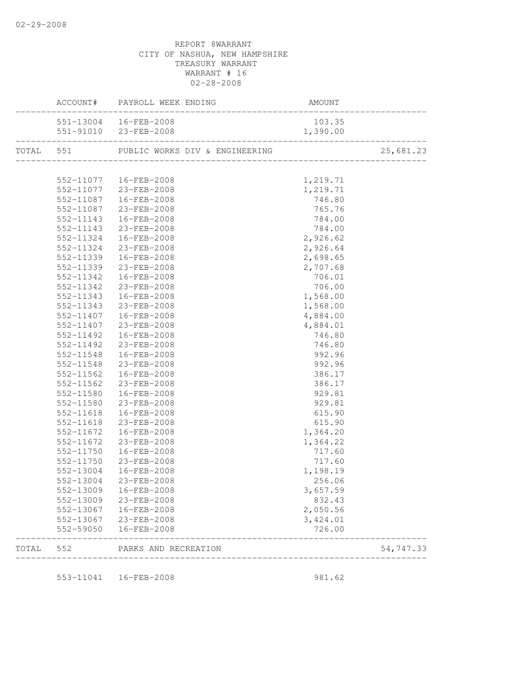|       |                        | ACCOUNT# PAYROLL WEEK ENDING             | AMOUNT               |           |
|-------|------------------------|------------------------------------------|----------------------|-----------|
|       |                        | 551-13004  16-FEB-2008                   | 103.35               |           |
|       |                        | 551-91010 23-FEB-2008                    | 1,390.00             |           |
|       |                        | TOTAL 551 PUBLIC WORKS DIV & ENGINEERING |                      | 25,681.23 |
|       |                        |                                          |                      |           |
|       |                        | 552-11077  16-FEB-2008                   | 1,219.71             |           |
|       |                        | 552-11077 23-FEB-2008                    | 1,219.71             |           |
|       |                        | 552-11087  16-FEB-2008                   | 746.80               |           |
|       | 552-11087              | 23-FEB-2008                              | 765.76               |           |
|       | 552-11143              | 16-FEB-2008                              | 784.00               |           |
|       | 552-11143              | 23-FEB-2008                              | 784.00               |           |
|       | 552-11324              | 16-FEB-2008                              | 2,926.62             |           |
|       | 552-11324              | 23-FEB-2008                              | 2,926.64             |           |
|       |                        | 552-11339  16-FEB-2008                   | 2,698.65             |           |
|       |                        | 552-11339 23-FEB-2008                    | 2,707.68             |           |
|       | 552-11342              | 16-FEB-2008                              | 706.01               |           |
|       | 552-11342              | 23-FEB-2008                              | 706.00               |           |
|       | 552-11343              | 16-FEB-2008                              | 1,568.00             |           |
|       | 552-11343              | 23-FEB-2008                              | 1,568.00             |           |
|       | 552-11407              | 16-FEB-2008                              | 4,884.00             |           |
|       | 552-11407              | 23-FEB-2008                              | 4,884.01             |           |
|       | 552-11492              | 16-FEB-2008                              | 746.80               |           |
|       | 552-11492              | 23-FEB-2008                              | 746.80               |           |
|       | 552-11548              | 16-FEB-2008                              | 992.96               |           |
|       |                        | 552-11548 23-FEB-2008                    | 992.96               |           |
|       | 552-11562              | 16-FEB-2008                              | 386.17               |           |
|       | 552-11562              | 23-FEB-2008                              | 386.17               |           |
|       | 552-11580              | 16-FEB-2008                              | 929.81               |           |
|       | 552-11580              | 23-FEB-2008                              | 929.81               |           |
|       | 552-11618              | 16-FEB-2008                              | 615.90               |           |
|       | 552-11618              | 23-FEB-2008                              | 615.90               |           |
|       |                        | 552-11672  16-FEB-2008                   | 1,364.20             |           |
|       |                        | 552-11672 23-FEB-2008                    | 1,364.22             |           |
|       | 552-11750              | 16-FEB-2008                              | 717.60               |           |
|       | 552-11750              | 23-FEB-2008                              | 717.60               |           |
|       | 552-13004              | 16-FEB-2008                              | 1,198.19             |           |
|       | 552-13004              | 23-FEB-2008                              | 256.06               |           |
|       |                        | 16-FEB-2008                              | 3,657.59             |           |
|       | 552-13009<br>552-13009 | 23-FEB-2008                              | 832.43               |           |
|       |                        |                                          |                      |           |
|       | 552-13067<br>552-13067 | 16-FEB-2008<br>23-FEB-2008               | 2,050.56<br>3,424.01 |           |
|       | 552-59050              | 16-FEB-2008                              | 726.00               |           |
| TOTAL | 552                    | PARKS AND RECREATION                     |                      | 54,747.33 |
|       |                        |                                          |                      |           |
|       |                        | 553-11041  16-FEB-2008                   | 981.62               |           |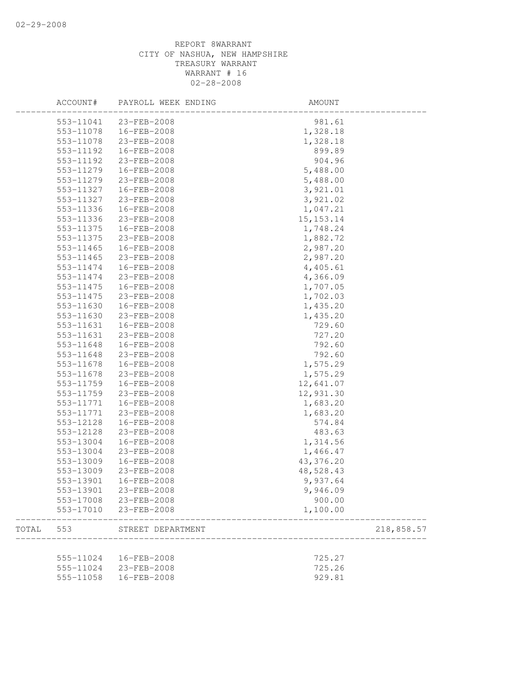|       | ACCOUNT#  | PAYROLL WEEK ENDING | AMOUNT      |            |
|-------|-----------|---------------------|-------------|------------|
|       | 553-11041 | 23-FEB-2008         | 981.61      |            |
|       | 553-11078 | 16-FEB-2008         | 1,328.18    |            |
|       | 553-11078 | 23-FEB-2008         | 1,328.18    |            |
|       | 553-11192 | 16-FEB-2008         | 899.89      |            |
|       | 553-11192 | 23-FEB-2008         | 904.96      |            |
|       | 553-11279 | 16-FEB-2008         | 5,488.00    |            |
|       | 553-11279 | 23-FEB-2008         | 5,488.00    |            |
|       | 553-11327 | 16-FEB-2008         | 3,921.01    |            |
|       | 553-11327 | 23-FEB-2008         | 3,921.02    |            |
|       | 553-11336 | 16-FEB-2008         | 1,047.21    |            |
|       | 553-11336 | 23-FEB-2008         | 15, 153. 14 |            |
|       | 553-11375 | 16-FEB-2008         | 1,748.24    |            |
|       | 553-11375 | 23-FEB-2008         | 1,882.72    |            |
|       | 553-11465 | 16-FEB-2008         | 2,987.20    |            |
|       | 553-11465 | 23-FEB-2008         | 2,987.20    |            |
|       | 553-11474 | 16-FEB-2008         | 4,405.61    |            |
|       | 553-11474 | 23-FEB-2008         | 4,366.09    |            |
|       | 553-11475 | 16-FEB-2008         | 1,707.05    |            |
|       | 553-11475 | 23-FEB-2008         | 1,702.03    |            |
|       | 553-11630 | 16-FEB-2008         | 1,435.20    |            |
|       | 553-11630 | 23-FEB-2008         | 1,435.20    |            |
|       | 553-11631 | 16-FEB-2008         | 729.60      |            |
|       | 553-11631 | 23-FEB-2008         | 727.20      |            |
|       | 553-11648 | 16-FEB-2008         | 792.60      |            |
|       | 553-11648 | 23-FEB-2008         | 792.60      |            |
|       | 553-11678 | 16-FEB-2008         | 1,575.29    |            |
|       | 553-11678 | 23-FEB-2008         | 1,575.29    |            |
|       | 553-11759 | 16-FEB-2008         | 12,641.07   |            |
|       | 553-11759 | 23-FEB-2008         | 12,931.30   |            |
|       | 553-11771 | 16-FEB-2008         | 1,683.20    |            |
|       | 553-11771 | 23-FEB-2008         | 1,683.20    |            |
|       | 553-12128 | 16-FEB-2008         | 574.84      |            |
|       | 553-12128 | 23-FEB-2008         | 483.63      |            |
|       | 553-13004 | 16-FEB-2008         | 1,314.56    |            |
|       | 553-13004 | 23-FEB-2008         | 1,466.47    |            |
|       | 553-13009 | 16-FEB-2008         | 43,376.20   |            |
|       | 553-13009 | 23-FEB-2008         | 48,528.43   |            |
|       | 553-13901 | 16-FEB-2008         | 9,937.64    |            |
|       | 553-13901 | 23-FEB-2008         | 9,946.09    |            |
|       | 553-17008 | 23-FEB-2008         | 900.00      |            |
|       | 553-17010 | 23-FEB-2008         | 1,100.00    |            |
| TOTAL | 553       | STREET DEPARTMENT   |             | 218,858.57 |
|       |           |                     |             |            |
|       | 555-11024 | 16-FEB-2008         | 725.27      |            |
|       | 555-11024 | 23-FEB-2008         | 725.26      |            |
|       | 555-11058 | 16-FEB-2008         | 929.81      |            |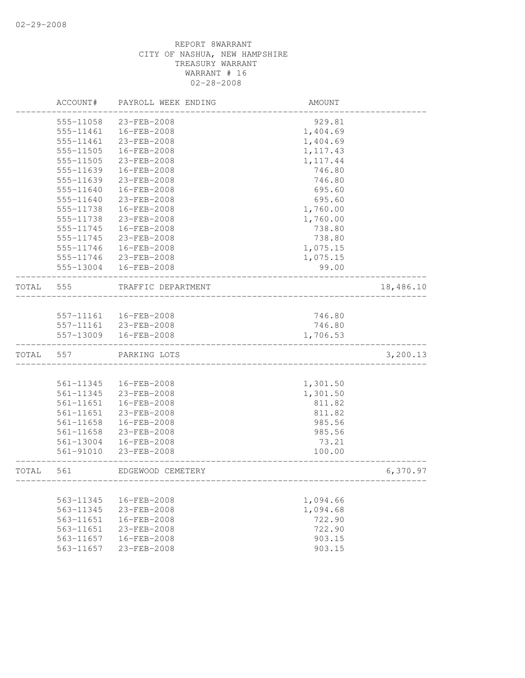|       | ACCOUNT#  | PAYROLL WEEK ENDING | AMOUNT                             |           |
|-------|-----------|---------------------|------------------------------------|-----------|
|       | 555-11058 | 23-FEB-2008         | 929.81                             |           |
|       | 555-11461 | 16-FEB-2008         | 1,404.69                           |           |
|       | 555-11461 | 23-FEB-2008         | 1,404.69                           |           |
|       | 555-11505 | 16-FEB-2008         | 1, 117.43                          |           |
|       | 555-11505 | 23-FEB-2008         | 1, 117.44                          |           |
|       | 555-11639 | 16-FEB-2008         | 746.80                             |           |
|       | 555-11639 | 23-FEB-2008         | 746.80                             |           |
|       | 555-11640 | 16-FEB-2008         | 695.60                             |           |
|       | 555-11640 | 23-FEB-2008         | 695.60                             |           |
|       | 555-11738 | 16-FEB-2008         | 1,760.00                           |           |
|       | 555-11738 | 23-FEB-2008         | 1,760.00                           |           |
|       | 555-11745 | 16-FEB-2008         | 738.80                             |           |
|       | 555-11745 | 23-FEB-2008         | 738.80                             |           |
|       | 555-11746 | 16-FEB-2008         | 1,075.15                           |           |
|       | 555-11746 | 23-FEB-2008         | 1,075.15                           |           |
|       | 555-13004 | 16-FEB-2008         | 99.00                              |           |
| TOTAL | 555       | TRAFFIC DEPARTMENT  |                                    | 18,486.10 |
|       |           |                     |                                    |           |
|       | 557-11161 | 16-FEB-2008         | 746.80                             |           |
|       | 557-11161 | 23-FEB-2008         | 746.80                             |           |
|       | 557-13009 | 16-FEB-2008         | 1,706.53                           |           |
| TOTAL | 557       | PARKING LOTS        |                                    | 3,200.13  |
|       |           |                     |                                    |           |
|       | 561-11345 | 16-FEB-2008         | 1,301.50                           |           |
|       | 561-11345 | 23-FEB-2008         | 1,301.50                           |           |
|       | 561-11651 | 16-FEB-2008         | 811.82                             |           |
|       | 561-11651 | 23-FEB-2008         | 811.82                             |           |
|       | 561-11658 | 16-FEB-2008         | 985.56                             |           |
|       | 561-11658 | 23-FEB-2008         | 985.56                             |           |
|       | 561-13004 | 16-FEB-2008         | 73.21                              |           |
|       | 561-91010 | $23 - FEB - 2008$   | 100.00                             |           |
| TOTAL | 561       | EDGEWOOD CEMETERY   | __________________________________ | 6,370.97  |
|       |           |                     |                                    |           |
|       | 563-11345 | 16-FEB-2008         | 1,094.66                           |           |
|       | 563-11345 | 23-FEB-2008         | 1,094.68                           |           |
|       | 563-11651 | 16-FEB-2008         | 722.90                             |           |
|       | 563-11651 | 23-FEB-2008         | 722.90                             |           |
|       | 563-11657 | 16-FEB-2008         | 903.15                             |           |
|       | 563-11657 | 23-FEB-2008         | 903.15                             |           |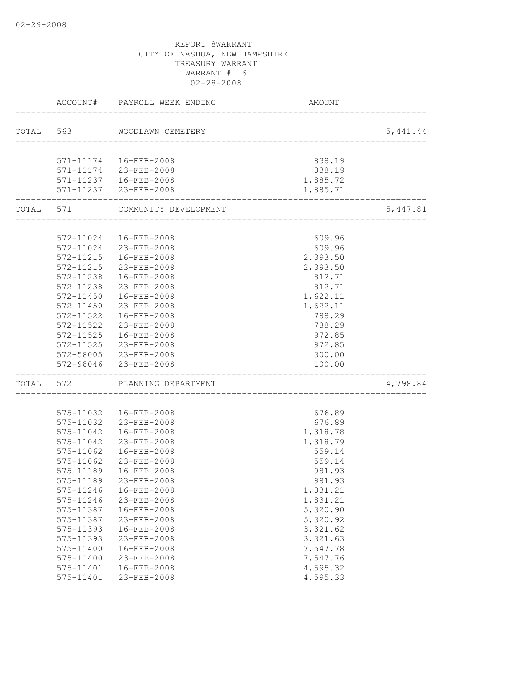|           |                         | ACCOUNT# PAYROLL WEEK ENDING         | AMOUNT                           |           |
|-----------|-------------------------|--------------------------------------|----------------------------------|-----------|
|           |                         | TOTAL 563 WOODLAWN CEMETERY          | ________________________________ | 5,441.44  |
|           |                         |                                      |                                  |           |
|           |                         | 571-11174  16-FEB-2008               | 838.19                           |           |
|           |                         | 571-11174 23-FEB-2008                | 838.19                           |           |
|           |                         | 571-11237  16-FEB-2008               | 1,885.72                         |           |
|           | _______________________ | 571-11237 23-FEB-2008                | 1,885.71                         |           |
| TOTAL 571 |                         | COMMUNITY DEVELOPMENT                |                                  | 5,447.81  |
|           |                         |                                      |                                  |           |
|           | 572-11024               | 16-FEB-2008                          | 609.96                           |           |
|           |                         | 572-11024 23-FEB-2008                | 609.96                           |           |
|           |                         | 572-11215  16-FEB-2008               | 2,393.50                         |           |
|           | 572-11215               | 23-FEB-2008                          | 2,393.50                         |           |
|           | 572-11238               | 16-FEB-2008                          | 812.71                           |           |
|           | 572-11238               | 23-FEB-2008                          | 812.71                           |           |
|           | 572-11450               | 16-FEB-2008                          | 1,622.11                         |           |
|           | 572-11450               | 23-FEB-2008                          | 1,622.11                         |           |
|           | 572-11522<br>572-11522  | 16-FEB-2008<br>23-FEB-2008           | 788.29<br>788.29                 |           |
|           | 572-11525               | 16-FEB-2008                          |                                  |           |
|           |                         |                                      | 972.85<br>972.85                 |           |
|           |                         | 572-11525 23-FEB-2008                |                                  |           |
|           | 572-98046               | 572-58005 23-FEB-2008<br>23-FEB-2008 | 300.00<br>100.00                 |           |
| TOTAL     | 572                     | PLANNING DEPARTMENT                  |                                  | 14,798.84 |
|           |                         |                                      |                                  |           |
|           | 575-11032               | 16-FEB-2008                          | 676.89                           |           |
|           | 575-11032               | 23-FEB-2008                          | 676.89                           |           |
|           | 575-11042               | 16-FEB-2008                          | 1,318.78                         |           |
|           | 575-11042               | 23-FEB-2008                          | 1,318.79                         |           |
|           | 575-11062               | 16-FEB-2008                          | 559.14                           |           |
|           | 575-11062               | 23-FEB-2008                          | 559.14                           |           |
|           | 575-11189               | 16-FEB-2008                          | 981.93                           |           |
|           | 575-11189               | 23-FEB-2008                          | 981.93                           |           |
|           | 575-11246               | 16-FEB-2008                          | 1,831.21                         |           |
|           | 575-11246               | 23-FEB-2008                          | 1,831.21                         |           |
|           | 575-11387               | 16-FEB-2008                          | 5,320.90                         |           |
|           | 575-11387               | 23-FEB-2008                          | 5,320.92                         |           |
|           | 575-11393               | 16-FEB-2008                          | 3,321.62                         |           |
|           | 575-11393               | 23-FEB-2008                          | 3,321.63                         |           |
|           | 575-11400<br>575-11400  | 16-FEB-2008<br>23-FEB-2008           | 7,547.78<br>7,547.76             |           |
|           | 575-11401               | 16-FEB-2008                          | 4,595.32                         |           |
|           | 575-11401               | 23-FEB-2008                          | 4,595.33                         |           |
|           |                         |                                      |                                  |           |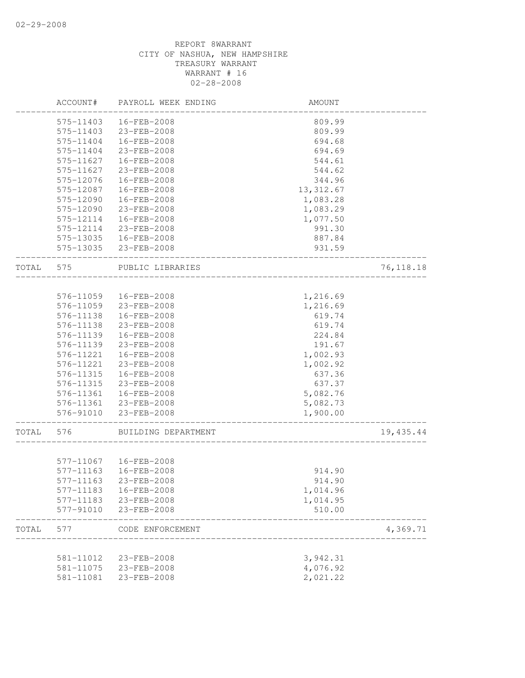|       | ACCOUNT#  | PAYROLL WEEK ENDING    | AMOUNT     |            |
|-------|-----------|------------------------|------------|------------|
|       | 575-11403 | 16-FEB-2008            | 809.99     |            |
|       | 575-11403 | 23-FEB-2008            | 809.99     |            |
|       | 575-11404 | 16-FEB-2008            | 694.68     |            |
|       | 575-11404 | 23-FEB-2008            | 694.69     |            |
|       | 575-11627 | 16-FEB-2008            | 544.61     |            |
|       | 575-11627 | 23-FEB-2008            | 544.62     |            |
|       | 575-12076 | 16-FEB-2008            | 344.96     |            |
|       | 575-12087 | 16-FEB-2008            | 13, 312.67 |            |
|       | 575-12090 | 16-FEB-2008            | 1,083.28   |            |
|       | 575-12090 | 23-FEB-2008            | 1,083.29   |            |
|       | 575-12114 | 16-FEB-2008            | 1,077.50   |            |
|       | 575-12114 | 23-FEB-2008            | 991.30     |            |
|       | 575-13035 | 16-FEB-2008            | 887.84     |            |
|       | 575-13035 | 23-FEB-2008            | 931.59     |            |
| TOTAL | 575       | PUBLIC LIBRARIES       |            | 76, 118.18 |
|       |           |                        |            |            |
|       | 576-11059 | 16-FEB-2008            | 1,216.69   |            |
|       | 576-11059 | 23-FEB-2008            | 1,216.69   |            |
|       | 576-11138 | $16 - FEB - 2008$      | 619.74     |            |
|       | 576-11138 | 23-FEB-2008            | 619.74     |            |
|       | 576-11139 | 16-FEB-2008            | 224.84     |            |
|       | 576-11139 | 23-FEB-2008            | 191.67     |            |
|       | 576-11221 | 16-FEB-2008            | 1,002.93   |            |
|       | 576-11221 | 23-FEB-2008            | 1,002.92   |            |
|       | 576-11315 | 16-FEB-2008            | 637.36     |            |
|       | 576-11315 | 23-FEB-2008            | 637.37     |            |
|       | 576-11361 | 16-FEB-2008            | 5,082.76   |            |
|       | 576-11361 | 23-FEB-2008            | 5,082.73   |            |
|       | 576-91010 | 23-FEB-2008            | 1,900.00   |            |
| TOTAL | 576       | BUILDING DEPARTMENT    |            | 19,435.44  |
|       |           | 577-11067  16-FEB-2008 |            |            |
|       | 577-11163 | 16-FEB-2008            | 914.90     |            |
|       | 577-11163 | 23-FEB-2008            | 914.90     |            |
|       | 577-11183 | 16-FEB-2008            | 1,014.96   |            |
|       | 577-11183 | 23-FEB-2008            | 1,014.95   |            |
|       | 577-91010 | 23-FEB-2008            | 510.00     |            |
| TOTAL | 577       | CODE ENFORCEMENT       |            | 4,369.71   |
|       |           |                        |            |            |
|       | 581-11012 | 23-FEB-2008            | 3,942.31   |            |
|       | 581-11075 | 23-FEB-2008            | 4,076.92   |            |
|       | 581-11081 | 23-FEB-2008            | 2,021.22   |            |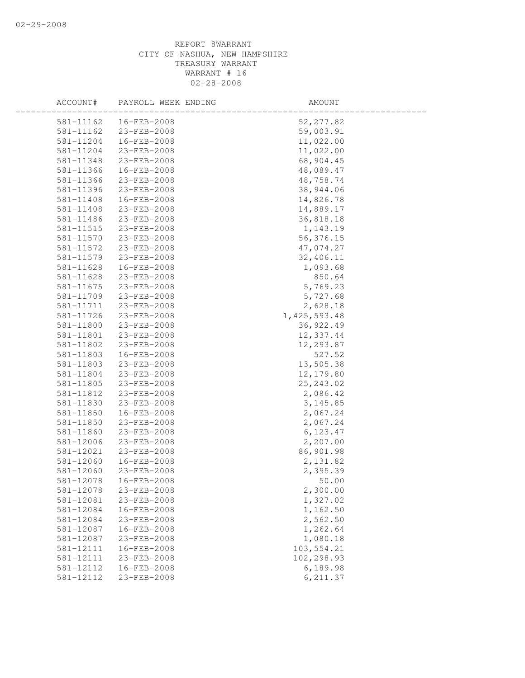| ACCOUNT#  | PAYROLL WEEK ENDING | AMOUNT         |  |
|-----------|---------------------|----------------|--|
| 581-11162 | 16-FEB-2008         | 52, 277.82     |  |
| 581-11162 | 23-FEB-2008         | 59,003.91      |  |
| 581-11204 | 16-FEB-2008         | 11,022.00      |  |
| 581-11204 | 23-FEB-2008         | 11,022.00      |  |
| 581-11348 | 23-FEB-2008         | 68,904.45      |  |
| 581-11366 | 16-FEB-2008         | 48,089.47      |  |
| 581-11366 | 23-FEB-2008         | 48,758.74      |  |
| 581-11396 | 23-FEB-2008         | 38,944.06      |  |
| 581-11408 | 16-FEB-2008         | 14,826.78      |  |
| 581-11408 | 23-FEB-2008         | 14,889.17      |  |
| 581-11486 | 23-FEB-2008         | 36,818.18      |  |
| 581-11515 | 23-FEB-2008         | 1,143.19       |  |
| 581-11570 | 23-FEB-2008         | 56, 376.15     |  |
| 581-11572 | 23-FEB-2008         | 47,074.27      |  |
| 581-11579 | 23-FEB-2008         | 32,406.11      |  |
| 581-11628 | 16-FEB-2008         | 1,093.68       |  |
| 581-11628 | 23-FEB-2008         | 850.64         |  |
| 581-11675 | 23-FEB-2008         | 5,769.23       |  |
| 581-11709 | 23-FEB-2008         | 5,727.68       |  |
| 581-11711 | 23-FEB-2008         | 2,628.18       |  |
| 581-11726 | 23-FEB-2008         | 1, 425, 593.48 |  |
| 581-11800 | 23-FEB-2008         | 36, 922.49     |  |
| 581-11801 | 23-FEB-2008         | 12,337.44      |  |
| 581-11802 | 23-FEB-2008         | 12,293.87      |  |
| 581-11803 | 16-FEB-2008         | 527.52         |  |
| 581-11803 | 23-FEB-2008         | 13,505.38      |  |
| 581-11804 | 23-FEB-2008         | 12,179.80      |  |
| 581-11805 | 23-FEB-2008         | 25, 243.02     |  |
| 581-11812 | 23-FEB-2008         | 2,086.42       |  |
| 581-11830 | 23-FEB-2008         | 3, 145.85      |  |
| 581-11850 | 16-FEB-2008         | 2,067.24       |  |
| 581-11850 | 23-FEB-2008         | 2,067.24       |  |
| 581-11860 | 23-FEB-2008         | 6,123.47       |  |
| 581-12006 | 23-FEB-2008         | 2,207.00       |  |
| 581-12021 | 23-FEB-2008         | 86,901.98      |  |
| 581-12060 | 16-FEB-2008         | 2,131.82       |  |
| 581-12060 | 23-FEB-2008         | 2,395.39       |  |
| 581-12078 | 16-FEB-2008         | 50.00          |  |
| 581-12078 | 23-FEB-2008         | 2,300.00       |  |
| 581-12081 | 23-FEB-2008         | 1,327.02       |  |
| 581-12084 | 16-FEB-2008         | 1,162.50       |  |
| 581-12084 | 23-FEB-2008         | 2,562.50       |  |
| 581-12087 | 16-FEB-2008         | 1,262.64       |  |
| 581-12087 | 23-FEB-2008         | 1,080.18       |  |
| 581-12111 | 16-FEB-2008         | 103,554.21     |  |
| 581-12111 | 23-FEB-2008         | 102,298.93     |  |
| 581-12112 | 16-FEB-2008         | 6,189.98       |  |
| 581-12112 | 23-FEB-2008         | 6, 211.37      |  |
|           |                     |                |  |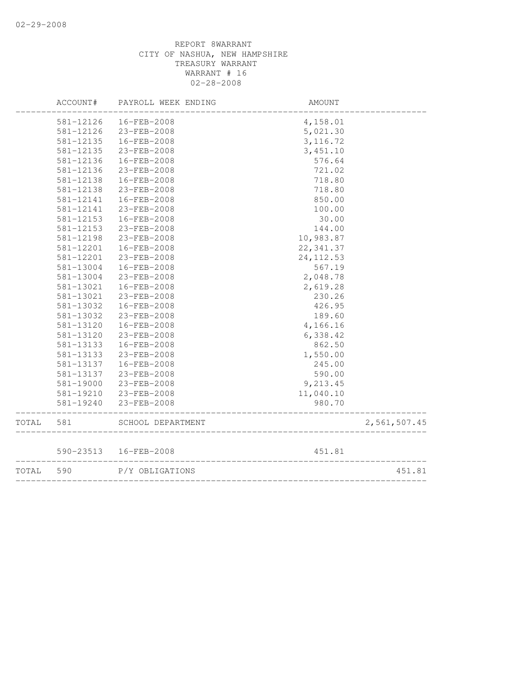|       | ACCOUNT#  | PAYROLL WEEK ENDING           | AMOUNT     |              |
|-------|-----------|-------------------------------|------------|--------------|
|       | 581-12126 | 16-FEB-2008                   | 4,158.01   |              |
|       | 581-12126 | 23-FEB-2008                   | 5,021.30   |              |
|       | 581-12135 | 16-FEB-2008                   | 3, 116.72  |              |
|       | 581-12135 | 23-FEB-2008                   | 3,451.10   |              |
|       | 581-12136 | 16-FEB-2008                   | 576.64     |              |
|       | 581-12136 | 23-FEB-2008                   | 721.02     |              |
|       | 581-12138 | $16 - FEB - 2008$             | 718.80     |              |
|       | 581-12138 | 23-FEB-2008                   | 718.80     |              |
|       | 581-12141 | 16-FEB-2008                   | 850.00     |              |
|       | 581-12141 | 23-FEB-2008                   | 100.00     |              |
|       | 581-12153 | 16-FEB-2008                   | 30.00      |              |
|       | 581-12153 | 23-FEB-2008                   | 144.00     |              |
|       | 581-12198 | 23-FEB-2008                   | 10,983.87  |              |
|       | 581-12201 | 16-FEB-2008                   | 22, 341.37 |              |
|       | 581-12201 | $23 - FEB - 2008$             | 24, 112.53 |              |
|       | 581-13004 | 16-FEB-2008                   | 567.19     |              |
|       | 581-13004 | 23-FEB-2008                   | 2,048.78   |              |
|       | 581-13021 | 16-FEB-2008                   | 2,619.28   |              |
|       | 581-13021 | 23-FEB-2008                   | 230.26     |              |
|       | 581-13032 | 16-FEB-2008                   | 426.95     |              |
|       | 581-13032 | 23-FEB-2008                   | 189.60     |              |
|       | 581-13120 | 16-FEB-2008                   | 4,166.16   |              |
|       | 581-13120 | 23-FEB-2008                   | 6,338.42   |              |
|       | 581-13133 | $16 - FEB - 2008$             | 862.50     |              |
|       | 581-13133 | 23-FEB-2008                   | 1,550.00   |              |
|       | 581-13137 | 16-FEB-2008                   | 245.00     |              |
|       | 581-13137 | 23-FEB-2008                   | 590.00     |              |
|       | 581-19000 | 23-FEB-2008                   | 9,213.45   |              |
|       | 581-19210 | 23-FEB-2008                   | 11,040.10  |              |
|       | 581-19240 | 23-FEB-2008                   | 980.70     |              |
| TOTAL | 581       | SCHOOL DEPARTMENT             |            | 2,561,507.45 |
|       |           | 590-23513  16-FEB-2008        | 451.81     |              |
| TOTAL | 590       | __________<br>P/Y OBLIGATIONS |            | 451.81       |
|       |           | _______________________       |            |              |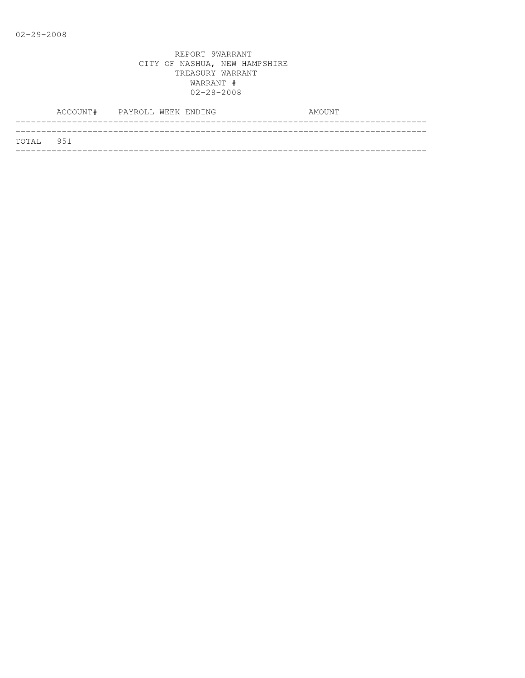|           | ACCOUNT# PAYROLL WEEK ENDING |  |  | AMOUNT |  |
|-----------|------------------------------|--|--|--------|--|
| TOTAL 951 |                              |  |  |        |  |
|           |                              |  |  |        |  |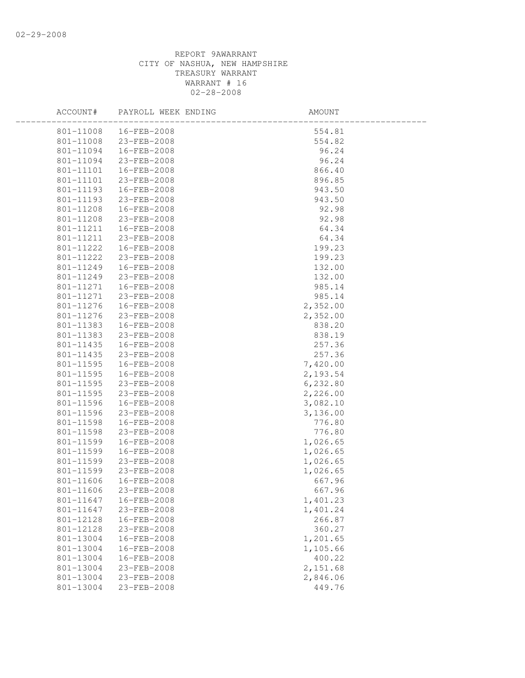| ACCOUNT#  | PAYROLL WEEK ENDING    | AMOUNT    |  |
|-----------|------------------------|-----------|--|
|           | 801-11008  16-FEB-2008 | 554.81    |  |
|           | 801-11008 23-FEB-2008  | 554.82    |  |
| 801-11094 | 16-FEB-2008            | 96.24     |  |
| 801-11094 | 23-FEB-2008            | 96.24     |  |
| 801-11101 | 16-FEB-2008            | 866.40    |  |
| 801-11101 | 23-FEB-2008            | 896.85    |  |
| 801-11193 | 16-FEB-2008            | 943.50    |  |
| 801-11193 | 23-FEB-2008            | 943.50    |  |
| 801-11208 | 16-FEB-2008            | 92.98     |  |
|           | 801-11208 23-FEB-2008  | 92.98     |  |
| 801-11211 | 16-FEB-2008            | 64.34     |  |
| 801-11211 | 23-FEB-2008            | 64.34     |  |
| 801-11222 | 16-FEB-2008            | 199.23    |  |
| 801-11222 | 23-FEB-2008            | 199.23    |  |
| 801-11249 | 16-FEB-2008            | 132.00    |  |
| 801-11249 | 23-FEB-2008            | 132.00    |  |
| 801-11271 | 16-FEB-2008            | 985.14    |  |
| 801-11271 | 23-FEB-2008            | 985.14    |  |
| 801-11276 | 16-FEB-2008            | 2,352.00  |  |
| 801-11276 | 23-FEB-2008            | 2,352.00  |  |
| 801-11383 | 16-FEB-2008            | 838.20    |  |
| 801-11383 | 23-FEB-2008            | 838.19    |  |
| 801-11435 | 16-FEB-2008            | 257.36    |  |
| 801-11435 | 23-FEB-2008            | 257.36    |  |
| 801-11595 | 16-FEB-2008            | 7,420.00  |  |
| 801-11595 | 16-FEB-2008            | 2,193.54  |  |
|           | 801-11595 23-FEB-2008  | 6, 232.80 |  |
| 801-11595 | 23-FEB-2008            | 2,226.00  |  |
| 801-11596 | 16-FEB-2008            | 3,082.10  |  |
| 801-11596 | 23-FEB-2008            | 3,136.00  |  |
| 801-11598 | 16-FEB-2008            | 776.80    |  |
| 801-11598 | 23-FEB-2008            | 776.80    |  |
| 801-11599 | 16-FEB-2008            | 1,026.65  |  |
| 801-11599 | 16-FEB-2008            | 1,026.65  |  |
| 801-11599 | 23-FEB-2008            | 1,026.65  |  |
| 801-11599 | 23-FEB-2008            | 1,026.65  |  |
| 801-11606 | 16-FEB-2008            | 667.96    |  |
| 801-11606 | 23-FEB-2008            | 667.96    |  |
| 801-11647 | 16-FEB-2008            | 1,401.23  |  |
| 801-11647 | 23-FEB-2008            | 1,401.24  |  |
| 801-12128 | 16-FEB-2008            | 266.87    |  |
| 801-12128 | 23-FEB-2008            | 360.27    |  |
| 801-13004 | 16-FEB-2008            | 1,201.65  |  |
| 801-13004 | 16-FEB-2008            | 1,105.66  |  |
| 801-13004 | 16-FEB-2008            | 400.22    |  |
| 801-13004 | 23-FEB-2008            | 2,151.68  |  |
| 801-13004 | 23-FEB-2008            | 2,846.06  |  |
| 801-13004 | 23-FEB-2008            | 449.76    |  |
|           |                        |           |  |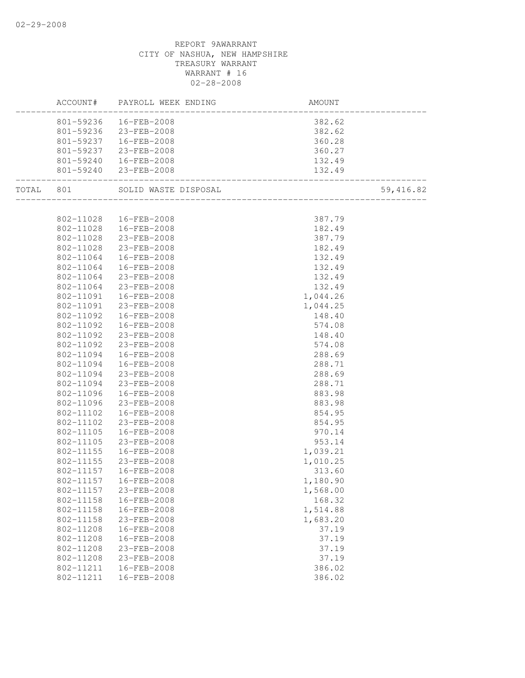| ACCOUNT#               | PAYROLL WEEK ENDING                              | AMOUNT           |           |
|------------------------|--------------------------------------------------|------------------|-----------|
|                        | 801-59236  16-FEB-2008                           | 382.62           |           |
|                        | 801-59236 23-FEB-2008                            | 382.62           |           |
|                        | 801-59237   16-FEB-2008                          | 360.28           |           |
|                        | 801-59237 23-FEB-2008                            | 360.27           |           |
|                        |                                                  | 132.49           |           |
|                        | 801-59240  16-FEB-2008<br>801-59240  23-FEB-2008 |                  |           |
|                        | TOTAL 801 SOLID WASTE DISPOSAL                   |                  | 59,416.82 |
|                        |                                                  |                  |           |
|                        | 802-11028  16-FEB-2008                           | 387.79           |           |
|                        | 802-11028  16-FEB-2008                           | 182.49           |           |
|                        | 802-11028 23-FEB-2008                            | 387.79           |           |
| 802-11028              | 23-FEB-2008                                      | 182.49           |           |
| 802-11064              | 16-FEB-2008                                      | 132.49           |           |
| 802-11064              | 16-FEB-2008                                      | 132.49           |           |
| 802-11064              | 23-FEB-2008                                      | 132.49           |           |
| 802-11064              | 23-FEB-2008                                      | 132.49           |           |
|                        | 802-11091  16-FEB-2008                           | 1,044.26         |           |
| 802-11091              | 23-FEB-2008                                      | 1,044.25         |           |
| 802-11092              | 16-FEB-2008                                      | 148.40           |           |
| 802-11092              | 16-FEB-2008                                      | 574.08           |           |
|                        | 802-11092 23-FEB-2008                            | 148.40           |           |
| 802-11092              | 23-FEB-2008                                      | 574.08           |           |
|                        | 802-11094  16-FEB-2008                           | 288.69           |           |
|                        | 802-11094  16-FEB-2008                           | 288.71           |           |
|                        | 802-11094 23-FEB-2008                            | 288.69           |           |
|                        | 802-11094 23-FEB-2008                            | 288.71           |           |
| 802-11096              | 16-FEB-2008                                      | 883.98           |           |
| 802-11096<br>802-11102 | 23-FEB-2008<br>16-FEB-2008                       | 883.98<br>854.95 |           |
| 802-11102              | 23-FEB-2008                                      | 854.95           |           |
| 802-11105              | 16-FEB-2008                                      | 970.14           |           |
| 802-11105              | 23-FEB-2008                                      | 953.14           |           |
| 802-11155              | 16-FEB-2008                                      | 1,039.21         |           |
|                        | 802-11155 23-FEB-2008                            | 1,010.25         |           |
|                        | 802-11157  16-FEB-2008                           | 313.60           |           |
| 802-11157              | 16-FEB-2008                                      | 1,180.90         |           |
| 802-11157              | 23-FEB-2008                                      | 1,568.00         |           |
| 802-11158              | 16-FEB-2008                                      | 168.32           |           |
| 802-11158              | 16-FEB-2008                                      | 1,514.88         |           |
| 802-11158              | 23-FEB-2008                                      | 1,683.20         |           |
| 802-11208              | 16-FEB-2008                                      | 37.19            |           |
| 802-11208              | 16-FEB-2008                                      | 37.19            |           |
| 802-11208              | 23-FEB-2008                                      | 37.19            |           |
| 802-11208              | 23-FEB-2008                                      | 37.19            |           |
| 802-11211              | 16-FEB-2008                                      | 386.02           |           |
| 802-11211              | 16-FEB-2008                                      | 386.02           |           |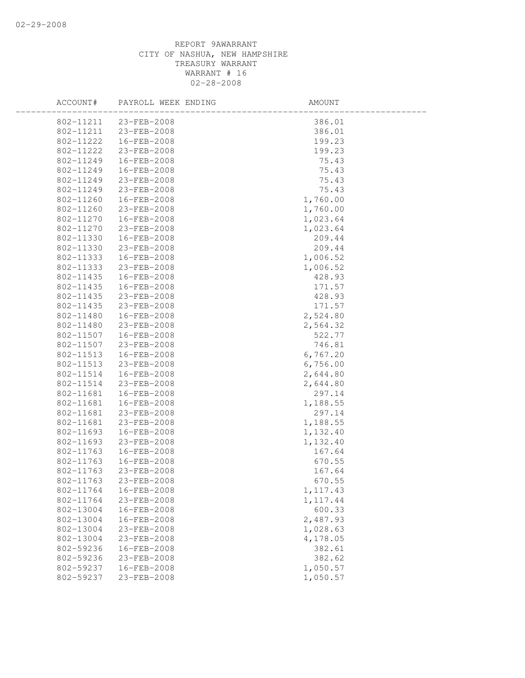| ACCOUNT#  | PAYROLL WEEK ENDING   | AMOUNT    |
|-----------|-----------------------|-----------|
|           | 802-11211 23-FEB-2008 | 386.01    |
| 802-11211 | 23-FEB-2008           | 386.01    |
| 802-11222 | 16-FEB-2008           | 199.23    |
| 802-11222 | 23-FEB-2008           | 199.23    |
| 802-11249 | 16-FEB-2008           | 75.43     |
| 802-11249 | 16-FEB-2008           | 75.43     |
| 802-11249 | 23-FEB-2008           | 75.43     |
| 802-11249 | 23-FEB-2008           | 75.43     |
| 802-11260 | 16-FEB-2008           | 1,760.00  |
| 802-11260 | 23-FEB-2008           | 1,760.00  |
| 802-11270 | 16-FEB-2008           | 1,023.64  |
| 802-11270 | 23-FEB-2008           | 1,023.64  |
| 802-11330 | 16-FEB-2008           | 209.44    |
| 802-11330 | 23-FEB-2008           | 209.44    |
| 802-11333 | 16-FEB-2008           | 1,006.52  |
| 802-11333 | 23-FEB-2008           | 1,006.52  |
| 802-11435 | 16-FEB-2008           | 428.93    |
| 802-11435 | 16-FEB-2008           | 171.57    |
| 802-11435 | 23-FEB-2008           | 428.93    |
| 802-11435 | 23-FEB-2008           | 171.57    |
| 802-11480 | 16-FEB-2008           | 2,524.80  |
| 802-11480 | 23-FEB-2008           | 2,564.32  |
| 802-11507 | 16-FEB-2008           | 522.77    |
| 802-11507 | 23-FEB-2008           | 746.81    |
| 802-11513 | 16-FEB-2008           | 6,767.20  |
| 802-11513 | 23-FEB-2008           | 6,756.00  |
| 802-11514 | 16-FEB-2008           | 2,644.80  |
| 802-11514 | 23-FEB-2008           | 2,644.80  |
| 802-11681 | 16-FEB-2008           | 297.14    |
| 802-11681 | 16-FEB-2008           | 1,188.55  |
| 802-11681 | 23-FEB-2008           | 297.14    |
| 802-11681 | 23-FEB-2008           | 1,188.55  |
| 802-11693 | 16-FEB-2008           | 1,132.40  |
| 802-11693 | 23-FEB-2008           | 1,132.40  |
| 802-11763 | 16-FEB-2008           | 167.64    |
| 802-11763 | 16-FEB-2008           | 670.55    |
| 802-11763 | 23-FEB-2008           | 167.64    |
| 802-11763 | 23-FEB-2008           | 670.55    |
| 802-11764 | 16-FEB-2008           | 1, 117.43 |
| 802-11764 | 23-FEB-2008           | 1, 117.44 |
| 802-13004 | 16-FEB-2008           | 600.33    |
| 802-13004 | 16-FEB-2008           | 2,487.93  |
| 802-13004 | 23-FEB-2008           | 1,028.63  |
| 802-13004 | 23-FEB-2008           | 4,178.05  |
| 802-59236 | 16-FEB-2008           | 382.61    |
| 802-59236 | 23-FEB-2008           | 382.62    |
| 802-59237 | 16-FEB-2008           | 1,050.57  |
| 802-59237 | 23-FEB-2008           | 1,050.57  |
|           |                       |           |